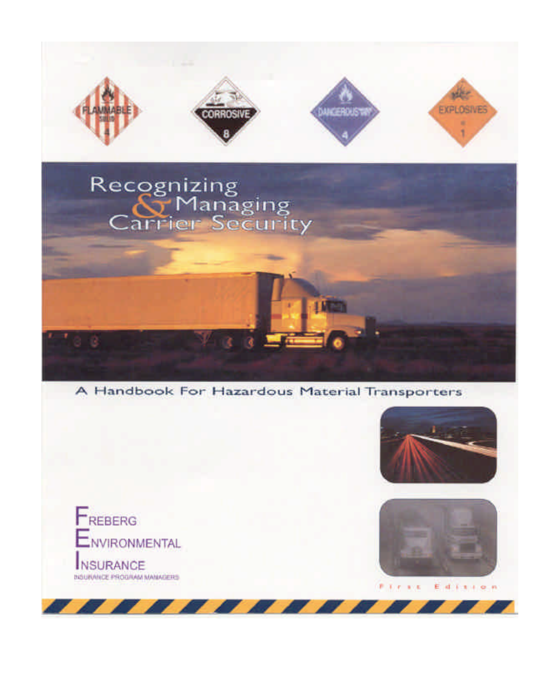





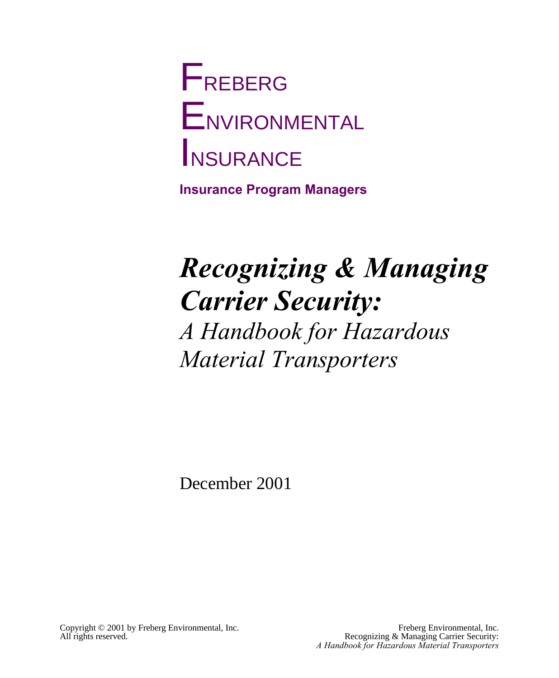# **F**REBERG **ENVIRONMENTAL** INSURANCE

**Insurance Program Managers**

## *Recognizing & Managing Carrier Security: A Handbook for Hazardous Material Transporters*

December 2001

Copyright © 2001 by Freberg Environmental, Inc.<br>All rights reserved. The exercise example of the Recognizing & Managing Carrier Security: Recognizing & Managing Carrier Security: *A Handbook for Hazardous Material Transporters*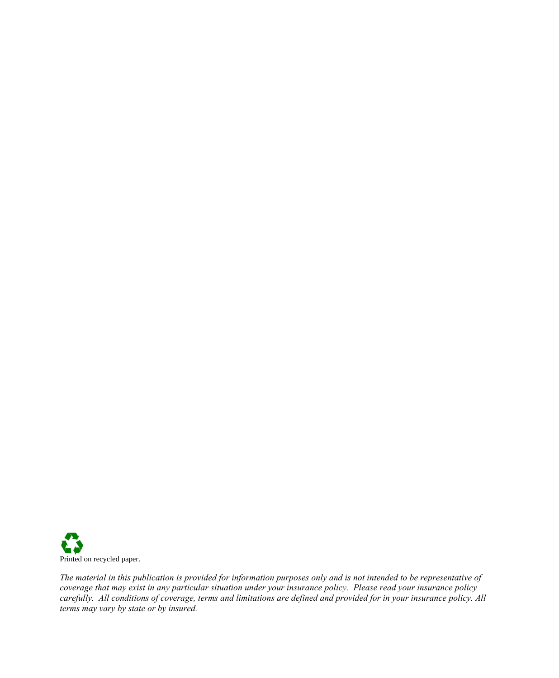

*The material in this publication is provided for information purposes only and is not intended to be representative of coverage that may exist in any particular situation under your insurance policy. Please read your insurance policy carefully. All conditions of coverage, terms and limitations are defined and provided for in your insurance policy. All terms may vary by state or by insured.*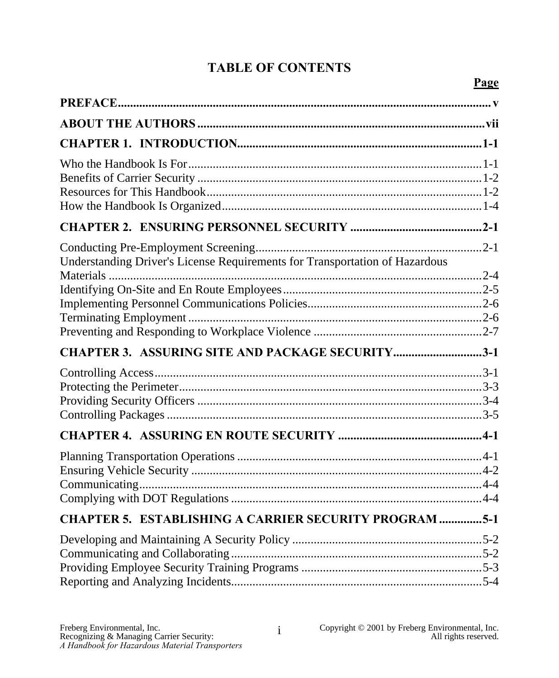#### **TABLE OF CONTENTS**

| Understanding Driver's License Requirements for Transportation of Hazardous |  |
|-----------------------------------------------------------------------------|--|
|                                                                             |  |
|                                                                             |  |
| CHAPTER 3. ASSURING SITE AND PACKAGE SECURITY3-1                            |  |
|                                                                             |  |
|                                                                             |  |
|                                                                             |  |
| <b>CHAPTER 5. ESTABLISHING A CARRIER SECURITY PROGRAM 5-1</b>               |  |
|                                                                             |  |
|                                                                             |  |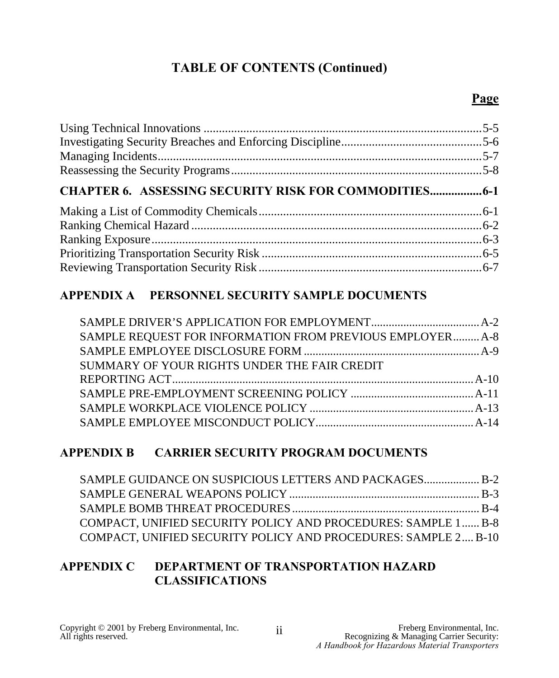#### **TABLE OF CONTENTS (Continued)**

#### **Page**

| <b>CHAPTER 6. ASSESSING SECURITY RISK FOR COMMODITIES 6-1</b> |  |
|---------------------------------------------------------------|--|
|                                                               |  |
|                                                               |  |
|                                                               |  |
|                                                               |  |
|                                                               |  |
|                                                               |  |

#### **APPENDIX A PERSONNEL SECURITY SAMPLE DOCUMENTS**

| SAMPLE REQUEST FOR INFORMATION FROM PREVIOUS EMPLOYER A-8 |  |
|-----------------------------------------------------------|--|
|                                                           |  |
| SUMMARY OF YOUR RIGHTS UNDER THE FAIR CREDIT              |  |
|                                                           |  |
|                                                           |  |
|                                                           |  |
|                                                           |  |

#### **APPENDIX B CARRIER SECURITY PROGRAM DOCUMENTS**

| SAMPLE GUIDANCE ON SUSPICIOUS LETTERS AND PACKAGES B-2         |  |
|----------------------------------------------------------------|--|
|                                                                |  |
|                                                                |  |
| COMPACT, UNIFIED SECURITY POLICY AND PROCEDURES: SAMPLE 1 B-8  |  |
| COMPACT, UNIFIED SECURITY POLICY AND PROCEDURES: SAMPLE 2 B-10 |  |

#### **APPENDIX C DEPARTMENT OF TRANSPORTATION HAZARD CLASSIFICATIONS**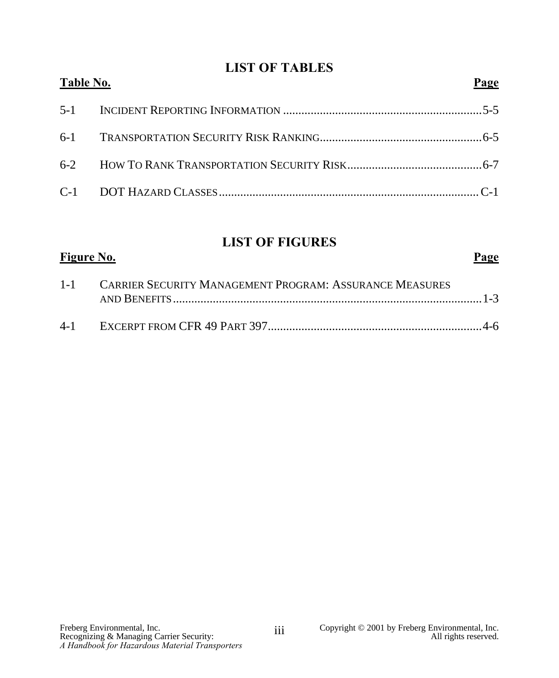#### **LIST OF TABLES**

| Table No. | Page |
|-----------|------|
|           |      |
|           |      |
|           |      |
|           |      |

#### **LIST OF FIGURES Figure No. Page**

| 1-1 CARRIER SECURITY MANAGEMENT PROGRAM: ASSURANCE MEASURES |  |
|-------------------------------------------------------------|--|
|                                                             |  |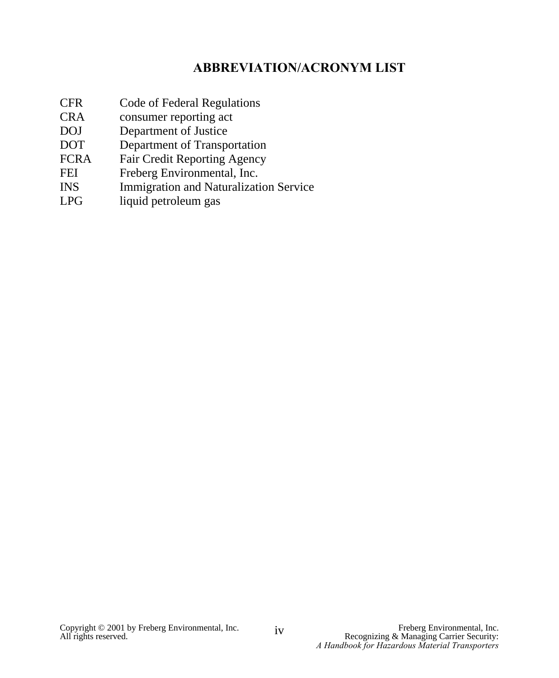#### **ABBREVIATION/ACRONYM LIST**

- CFR Code of Federal Regulations
- CRA consumer reporting act
- DOJ Department of Justice<br>DOT Department of Transpo
- Department of Transportation
- FCRA Fair Credit Reporting Agency
- FEI Freberg Environmental, Inc.
- INS Immigration and Naturalization Service
- LPG liquid petroleum gas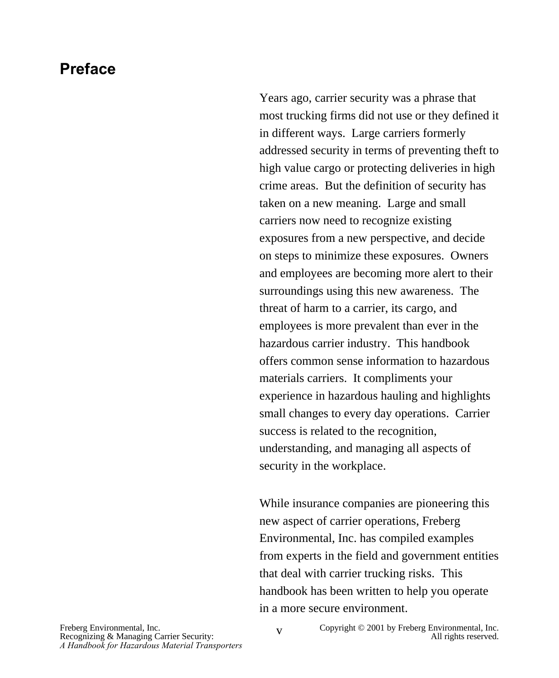#### **Preface**

Years ago, carrier security was a phrase that most trucking firms did not use or they defined it in different ways. Large carriers formerly addressed security in terms of preventing theft to high value cargo or protecting deliveries in high crime areas. But the definition of security has taken on a new meaning. Large and small carriers now need to recognize existing exposures from a new perspective, and decide on steps to minimize these exposures. Owners and employees are becoming more alert to their surroundings using this new awareness. The threat of harm to a carrier, its cargo, and employees is more prevalent than ever in the hazardous carrier industry. This handbook offers common sense information to hazardous materials carriers. It compliments your experience in hazardous hauling and highlights small changes to every day operations. Carrier success is related to the recognition, understanding, and managing all aspects of security in the workplace.

While insurance companies are pioneering this new aspect of carrier operations, Freberg Environmental, Inc. has compiled examples from experts in the field and government entities that deal with carrier trucking risks. This handbook has been written to help you operate in a more secure environment.

Freberg Environmental, Inc.<br>
Recognizing & Managing Carrier Security: V<br>
Copyright © 2001 by Freberg Environmental, Inc.<br>
All rights reserved.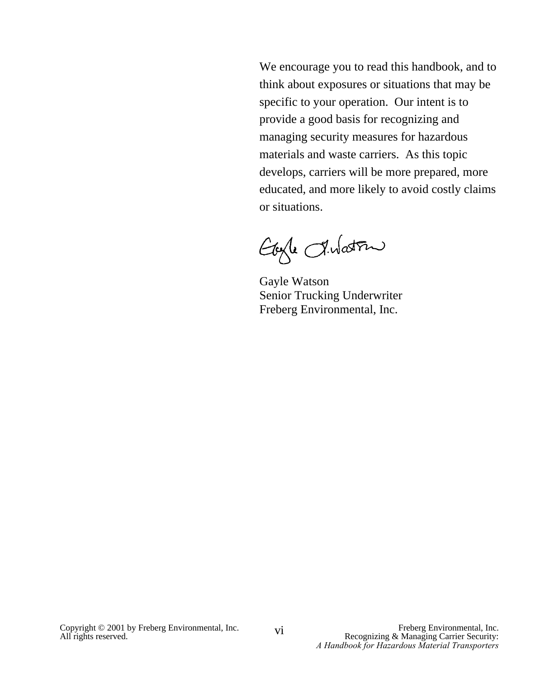We encourage you to read this handbook, and to think about exposures or situations that may be specific to your operation. Our intent is to provide a good basis for recognizing and managing security measures for hazardous materials and waste carriers. As this topic develops, carriers will be more prepared, more educated, and more likely to avoid costly claims or situations.

Eagle Intation

Gayle Watson Senior Trucking Underwriter Freberg Environmental, Inc.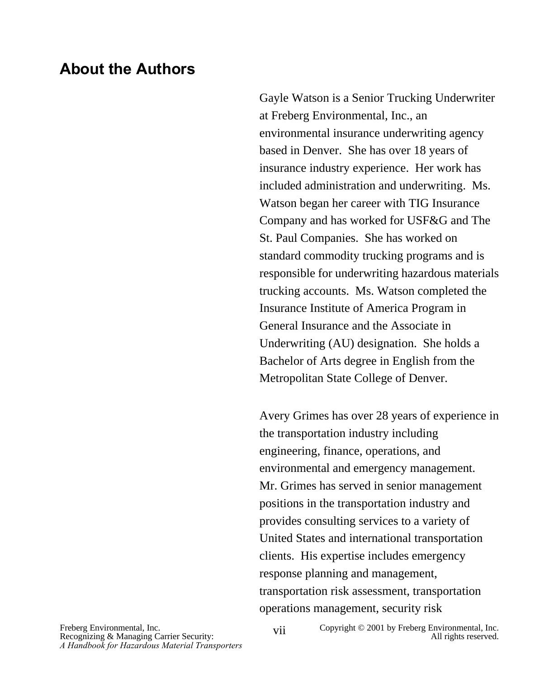#### **About the Authors**

Gayle Watson is a Senior Trucking Underwriter at Freberg Environmental, Inc., an environmental insurance underwriting agency based in Denver. She has over 18 years of insurance industry experience. Her work has included administration and underwriting. Ms. Watson began her career with TIG Insurance Company and has worked for USF&G and The St. Paul Companies. She has worked on standard commodity trucking programs and is responsible for underwriting hazardous materials trucking accounts. Ms. Watson completed the Insurance Institute of America Program in General Insurance and the Associate in Underwriting (AU) designation. She holds a Bachelor of Arts degree in English from the Metropolitan State College of Denver.

Avery Grimes has over 28 years of experience in the transportation industry including engineering, finance, operations, and environmental and emergency management. Mr. Grimes has served in senior management positions in the transportation industry and provides consulting services to a variety of United States and international transportation clients. His expertise includes emergency response planning and management, transportation risk assessment, transportation operations management, security risk

Freberg Environmental, Inc.<br>
Recognizing & Managing Carrier Security: Vii Copyright © 2001 by Freberg Environmental, Inc.<br>
All rights reserved.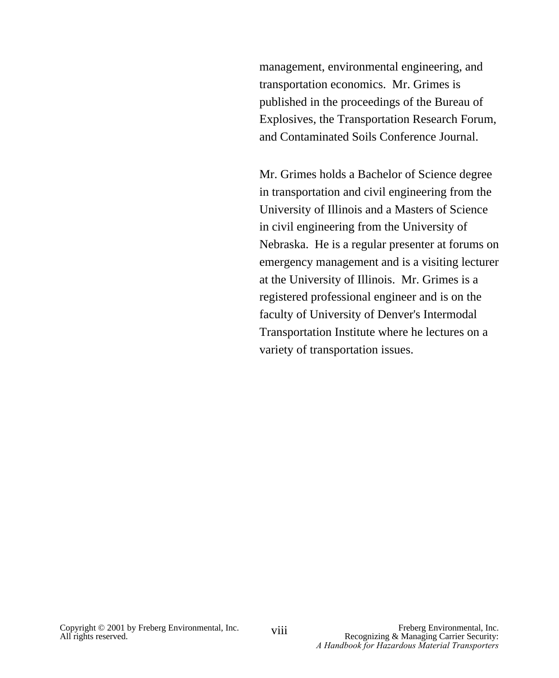management, environmental engineering, and transportation economics. Mr. Grimes is published in the proceedings of the Bureau of Explosives, the Transportation Research Forum, and Contaminated Soils Conference Journal.

Mr. Grimes holds a Bachelor of Science degree in transportation and civil engineering from the University of Illinois and a Masters of Science in civil engineering from the University of Nebraska. He is a regular presenter at forums on emergency management and is a visiting lecturer at the University of Illinois. Mr. Grimes is a registered professional engineer and is on the faculty of University of Denver's Intermodal Transportation Institute where he lectures on a variety of transportation issues.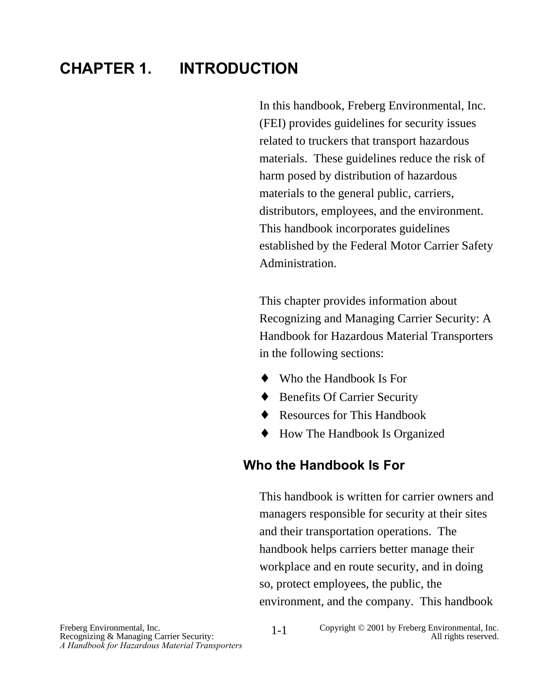### **CHAPTER 1. INTRODUCTION**

In this handbook, Freberg Environmental, Inc. (FEI) provides guidelines for security issues related to truckers that transport hazardous materials. These guidelines reduce the risk of harm posed by distribution of hazardous materials to the general public, carriers, distributors, employees, and the environment. This handbook incorporates guidelines established by the Federal Motor Carrier Safety Administration.

This chapter provides information about Recognizing and Managing Carrier Security: A Handbook for Hazardous Material Transporters in the following sections:

- ♦ Who the Handbook Is For
- ♦ Benefits Of Carrier Security
- ◆ Resources for This Handbook
- ♦ How The Handbook Is Organized

#### **Who the Handbook Is For**

This handbook is written for carrier owners and managers responsible for security at their sites and their transportation operations. The handbook helps carriers better manage their workplace and en route security, and in doing so, protect employees, the public, the environment, and the company. This handbook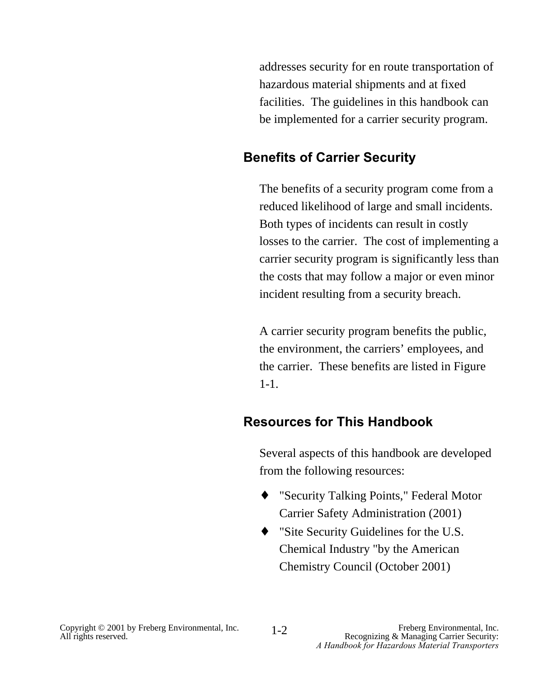addresses security for en route transportation of hazardous material shipments and at fixed facilities. The guidelines in this handbook can be implemented for a carrier security program.

#### **Benefits of Carrier Security**

The benefits of a security program come from a reduced likelihood of large and small incidents. Both types of incidents can result in costly losses to the carrier. The cost of implementing a carrier security program is significantly less than the costs that may follow a major or even minor incident resulting from a security breach.

A carrier security program benefits the public, the environment, the carriers' employees, and the carrier. These benefits are listed in Figure 1-1.

#### **Resources for This Handbook**

Several aspects of this handbook are developed from the following resources:

- ♦ "Security Talking Points," Federal Motor Carrier Safety Administration (2001)
- ♦ "Site Security Guidelines for the U.S. Chemical Industry "by the American Chemistry Council (October 2001)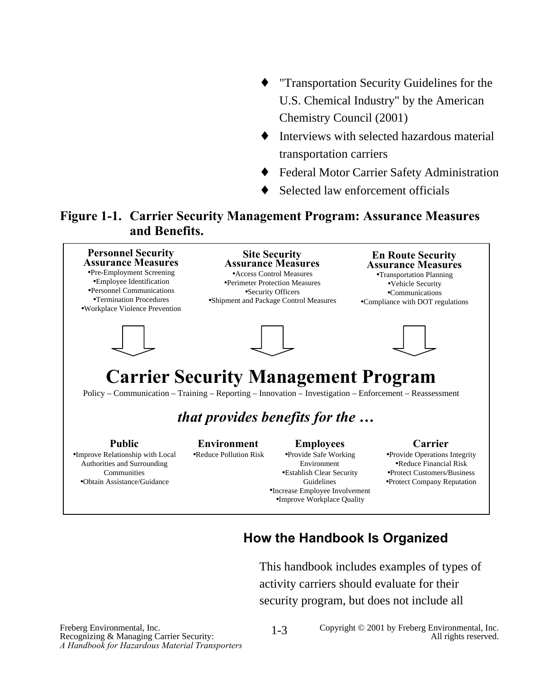- "Transportation Security Guidelines for the U.S. Chemical Industry" by the American Chemistry Council (2001)
- ♦ Interviews with selected hazardous material transportation carriers
- Federal Motor Carrier Safety Administration
- Selected law enforcement officials

#### **Figure 1-1. Carrier Security Management Program: Assurance Measures and Benefits.**



#### **How the Handbook Is Organized**

This handbook includes examples of types of activity carriers should evaluate for their security program, but does not include all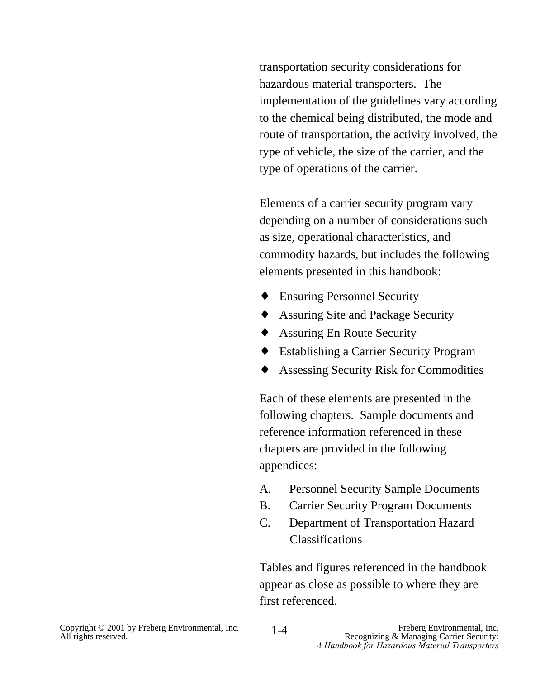transportation security considerations for hazardous material transporters. The implementation of the guidelines vary according to the chemical being distributed, the mode and route of transportation, the activity involved, the type of vehicle, the size of the carrier, and the type of operations of the carrier.

Elements of a carrier security program vary depending on a number of considerations such as size, operational characteristics, and commodity hazards, but includes the following elements presented in this handbook:

- **Ensuring Personnel Security**
- ♦ Assuring Site and Package Security
- ♦ Assuring En Route Security
- ♦ Establishing a Carrier Security Program
- ♦ Assessing Security Risk for Commodities

Each of these elements are presented in the following chapters. Sample documents and reference information referenced in these chapters are provided in the following appendices:

- A. Personnel Security Sample Documents
- B. Carrier Security Program Documents
- C. Department of Transportation Hazard Classifications

Tables and figures referenced in the handbook appear as close as possible to where they are first referenced.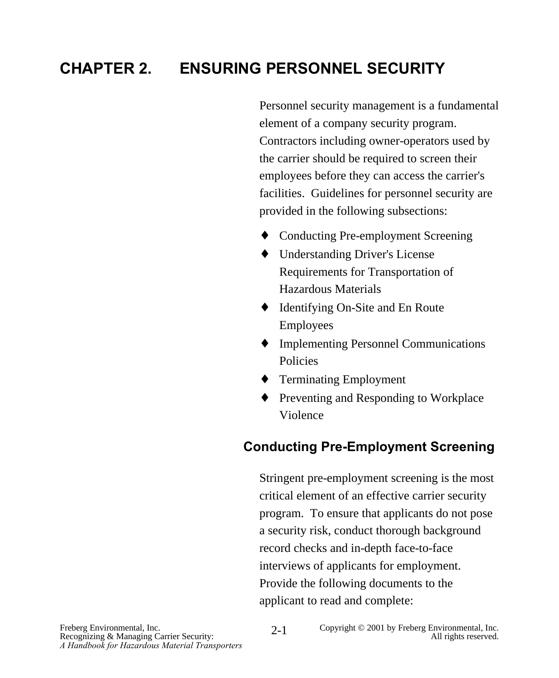## **CHAPTER 2. ENSURING PERSONNEL SECURITY**

Personnel security management is a fundamental element of a company security program. Contractors including owner-operators used by the carrier should be required to screen their employees before they can access the carrier's facilities. Guidelines for personnel security are provided in the following subsections:

- ♦ Conducting Pre-employment Screening
- ♦ Understanding Driver's License Requirements for Transportation of Hazardous Materials
- ♦ Identifying On-Site and En Route Employees
- ♦ Implementing Personnel Communications Policies
- ♦ Terminating Employment
- ♦ Preventing and Responding to Workplace Violence

#### **Conducting Pre-Employment Screening**

Stringent pre-employment screening is the most critical element of an effective carrier security program. To ensure that applicants do not pose a security risk, conduct thorough background record checks and in-depth face-to-face interviews of applicants for employment. Provide the following documents to the applicant to read and complete: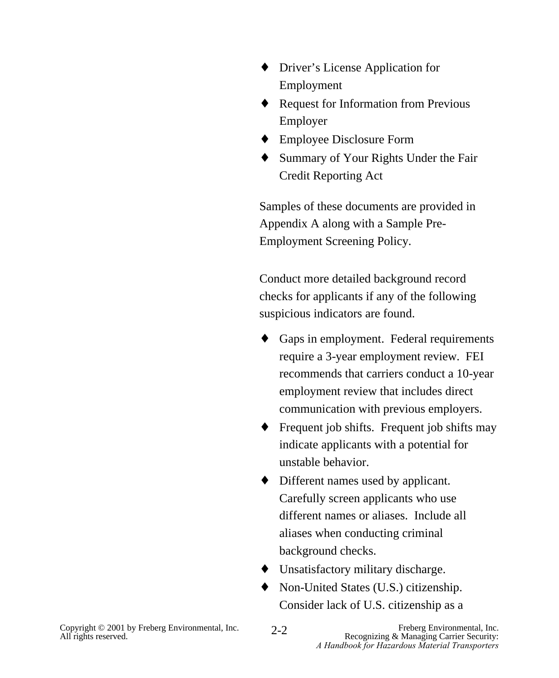- ♦ Driver's License Application for Employment
- ♦ Request for Information from Previous Employer
- ♦ Employee Disclosure Form
- ♦ Summary of Your Rights Under the Fair Credit Reporting Act

Samples of these documents are provided in Appendix A along with a Sample Pre-Employment Screening Policy.

Conduct more detailed background record checks for applicants if any of the following suspicious indicators are found.

- ♦ Gaps in employment. Federal requirements require a 3-year employment review. FEI recommends that carriers conduct a 10-year employment review that includes direct communication with previous employers.
- $\triangle$  Frequent job shifts. Frequent job shifts may indicate applicants with a potential for unstable behavior.
- ♦ Different names used by applicant. Carefully screen applicants who use different names or aliases. Include all aliases when conducting criminal background checks.
- ♦ Unsatisfactory military discharge.
- ♦ Non-United States (U.S.) citizenship. Consider lack of U.S. citizenship as a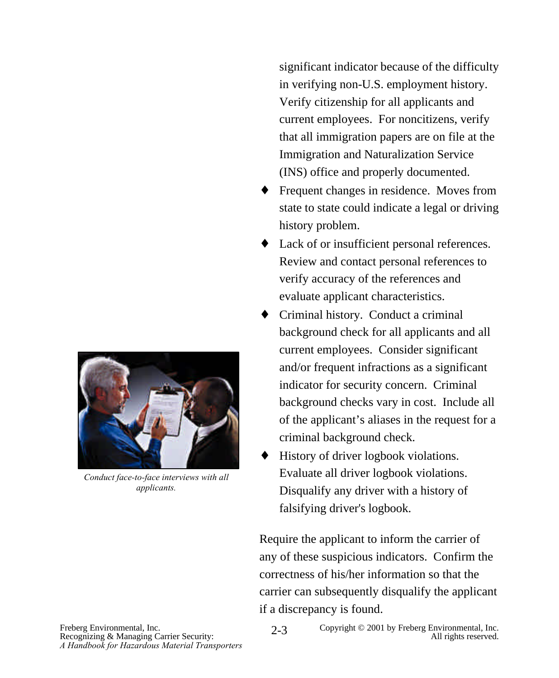

*Conduct face-to-face interviews with all applicants.*

significant indicator because of the difficulty in verifying non-U.S. employment history. Verify citizenship for all applicants and current employees. For noncitizens, verify that all immigration papers are on file at the Immigration and Naturalization Service (INS) office and properly documented.

- ♦ Frequent changes in residence. Moves from state to state could indicate a legal or driving history problem.
- ♦ Lack of or insufficient personal references. Review and contact personal references to verify accuracy of the references and evaluate applicant characteristics.
- ♦ Criminal history. Conduct a criminal background check for all applicants and all current employees. Consider significant and/or frequent infractions as a significant indicator for security concern. Criminal background checks vary in cost. Include all of the applicant's aliases in the request for a criminal background check.
- History of driver logbook violations. Evaluate all driver logbook violations. Disqualify any driver with a history of falsifying driver's logbook.

Require the applicant to inform the carrier of any of these suspicious indicators. Confirm the correctness of his/her information so that the carrier can subsequently disqualify the applicant if a discrepancy is found.

Recognizing & Managing Carrier Security: All rights reserved.<br>A Handbook for Hazardous Material Transporters

Freberg Environmental, Inc. Copyright © 2001 by Freberg Environmental, Inc. Copyright © 2001 by Freberg Environmental, Inc. Pecognizing & Managing Carrier Security: 2-3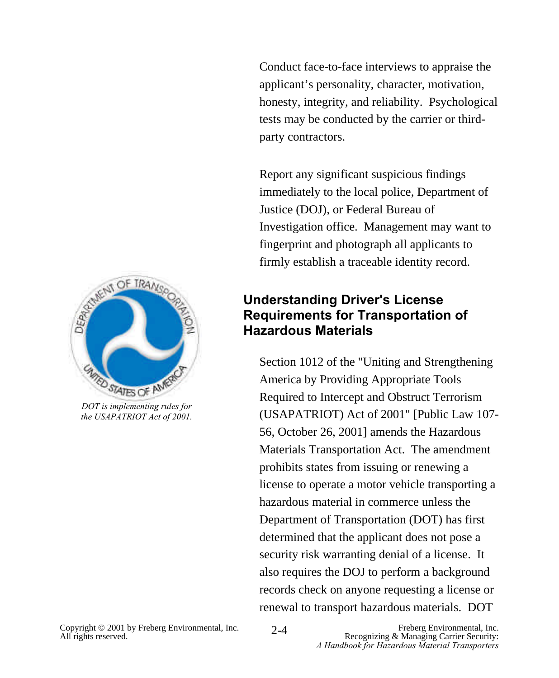Conduct face-to-face interviews to appraise the applicant's personality, character, motivation, honesty, integrity, and reliability. Psychological tests may be conducted by the carrier or thirdparty contractors.

Report any significant suspicious findings immediately to the local police, Department of Justice (DOJ), or Federal Bureau of Investigation office. Management may want to fingerprint and photograph all applicants to firmly establish a traceable identity record.

#### **Understanding Driver's License Requirements for Transportation of Hazardous Materials**

Section 1012 of the "Uniting and Strengthening America by Providing Appropriate Tools Required to Intercept and Obstruct Terrorism (USAPATRIOT) Act of 2001" [Public Law 107- 56, October 26, 2001] amends the Hazardous Materials Transportation Act. The amendment prohibits states from issuing or renewing a license to operate a motor vehicle transporting a hazardous material in commerce unless the Department of Transportation (DOT) has first determined that the applicant does not pose a security risk warranting denial of a license. It also requires the DOJ to perform a background records check on anyone requesting a license or renewal to transport hazardous materials. DOT



*the USAPATRIOT Act of 2001.*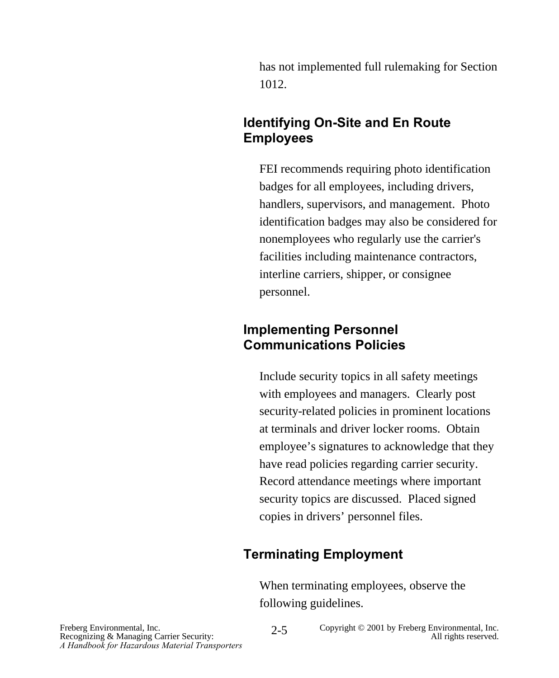has not implemented full rulemaking for Section 1012.

#### **Identifying On-Site and En Route Employees**

FEI recommends requiring photo identification badges for all employees, including drivers, handlers, supervisors, and management. Photo identification badges may also be considered for nonemployees who regularly use the carrier's facilities including maintenance contractors, interline carriers, shipper, or consignee personnel.

#### **Implementing Personnel Communications Policies**

Include security topics in all safety meetings with employees and managers. Clearly post security-related policies in prominent locations at terminals and driver locker rooms. Obtain employee's signatures to acknowledge that they have read policies regarding carrier security. Record attendance meetings where important security topics are discussed. Placed signed copies in drivers' personnel files.

#### **Terminating Employment**

When terminating employees, observe the following guidelines.

Recognizing & Managing Carrier Security: *A Handbook for Hazardous Material Transporters*

Freberg Environmental, Inc. Copyright © 2001 by Freberg Environmental, Inc. Recognizing & Managing Carrier Security: All rights reserved. 2-5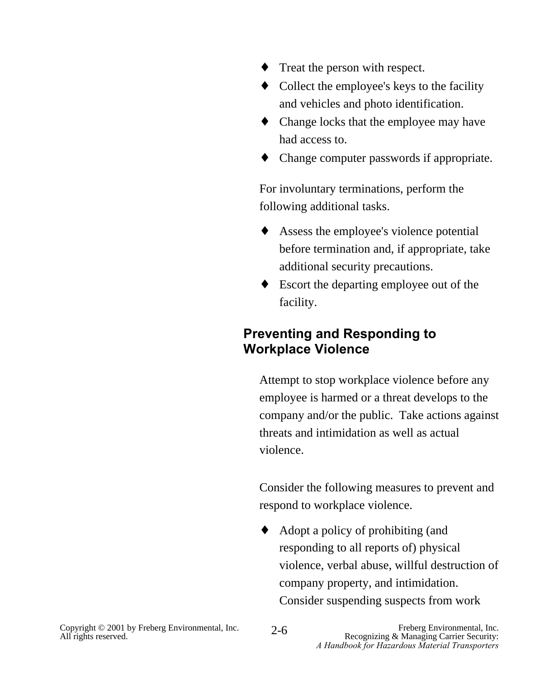- ♦ Treat the person with respect.
- Collect the employee's keys to the facility and vehicles and photo identification.
- ♦ Change locks that the employee may have had access to.
- ♦ Change computer passwords if appropriate.

For involuntary terminations, perform the following additional tasks.

- ♦ Assess the employee's violence potential before termination and, if appropriate, take additional security precautions.
- ♦ Escort the departing employee out of the facility.

#### **Preventing and Responding to Workplace Violence**

Attempt to stop workplace violence before any employee is harmed or a threat develops to the company and/or the public. Take actions against threats and intimidation as well as actual violence.

Consider the following measures to prevent and respond to workplace violence.

♦ Adopt a policy of prohibiting (and responding to all reports of) physical violence, verbal abuse, willful destruction of company property, and intimidation. Consider suspending suspects from work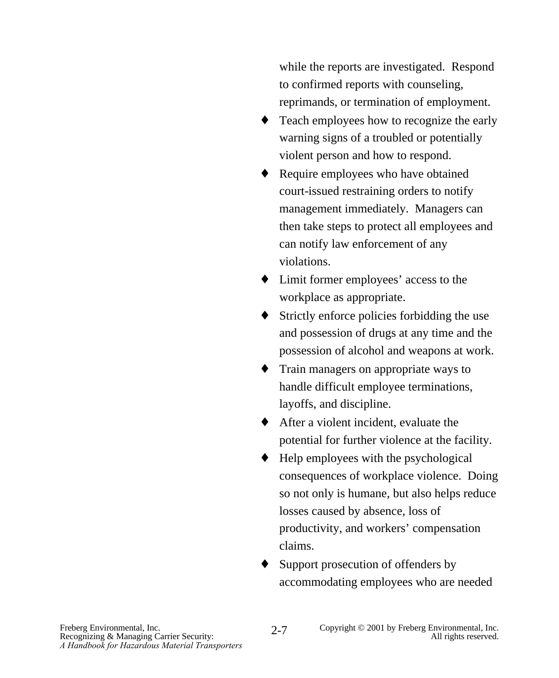while the reports are investigated. Respond to confirmed reports with counseling, reprimands, or termination of employment.

- ♦ Teach employees how to recognize the early warning signs of a troubled or potentially violent person and how to respond.
- ♦ Require employees who have obtained court-issued restraining orders to notify management immediately. Managers can then take steps to protect all employees and can notify law enforcement of any violations.
- ♦ Limit former employees' access to the workplace as appropriate.
- ♦ Strictly enforce policies forbidding the use and possession of drugs at any time and the possession of alcohol and weapons at work.
- ♦ Train managers on appropriate ways to handle difficult employee terminations, layoffs, and discipline.
- ♦ After a violent incident, evaluate the potential for further violence at the facility.
- Help employees with the psychological consequences of workplace violence. Doing so not only is humane, but also helps reduce losses caused by absence, loss of productivity, and workers' compensation claims.
- Support prosecution of offenders by accommodating employees who are needed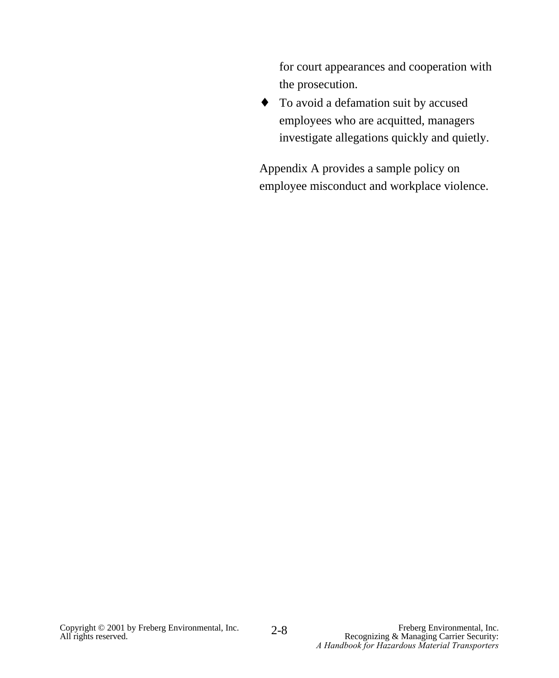for court appearances and cooperation with the prosecution.

♦ To avoid a defamation suit by accused employees who are acquitted, managers investigate allegations quickly and quietly.

Appendix A provides a sample policy on employee misconduct and workplace violence.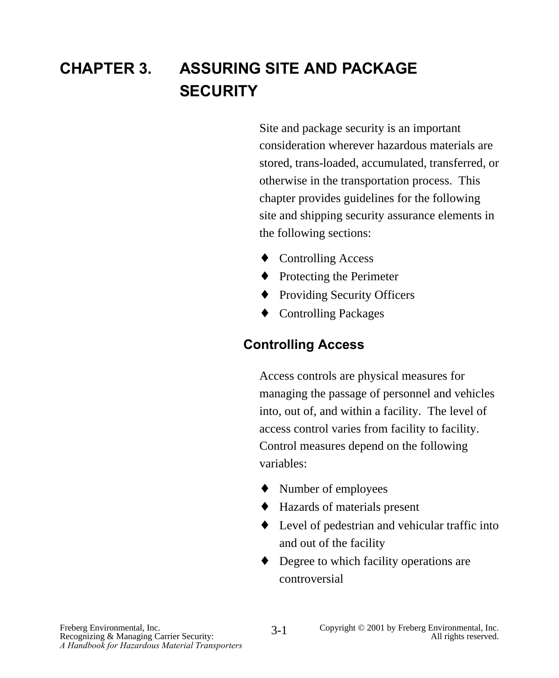## **CHAPTER 3. ASSURING SITE AND PACKAGE SECURITY**

Site and package security is an important consideration wherever hazardous materials are stored, trans-loaded, accumulated, transferred, or otherwise in the transportation process. This chapter provides guidelines for the following site and shipping security assurance elements in the following sections:

- ♦ Controlling Access
- ◆ Protecting the Perimeter
- ♦ Providing Security Officers
- ♦ Controlling Packages

#### **Controlling Access**

Access controls are physical measures for managing the passage of personnel and vehicles into, out of, and within a facility. The level of access control varies from facility to facility. Control measures depend on the following variables:

- ♦ Number of employees
- ♦ Hazards of materials present
- ♦ Level of pedestrian and vehicular traffic into and out of the facility
- ♦ Degree to which facility operations are controversial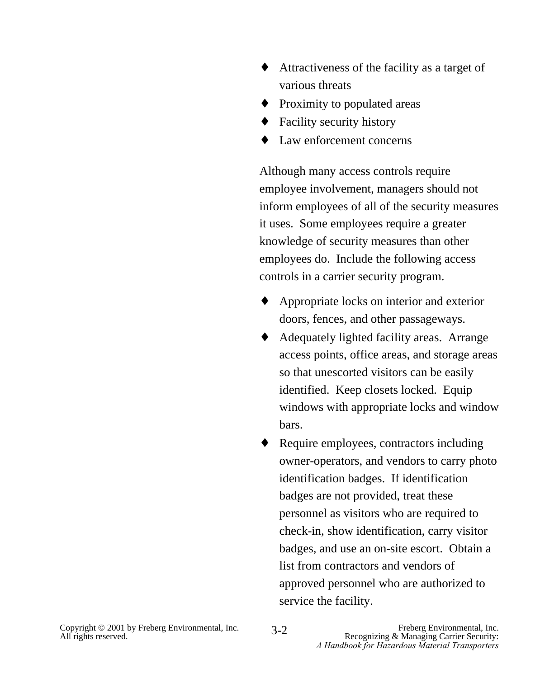- ♦ Attractiveness of the facility as a target of various threats
- Proximity to populated areas
- ♦ Facility security history
- ♦ Law enforcement concerns

Although many access controls require employee involvement, managers should not inform employees of all of the security measures it uses. Some employees require a greater knowledge of security measures than other employees do. Include the following access controls in a carrier security program.

- ♦ Appropriate locks on interior and exterior doors, fences, and other passageways.
- ♦ Adequately lighted facility areas. Arrange access points, office areas, and storage areas so that unescorted visitors can be easily identified. Keep closets locked. Equip windows with appropriate locks and window bars.
- Require employees, contractors including owner-operators, and vendors to carry photo identification badges. If identification badges are not provided, treat these personnel as visitors who are required to check-in, show identification, carry visitor badges, and use an on-site escort. Obtain a list from contractors and vendors of approved personnel who are authorized to service the facility.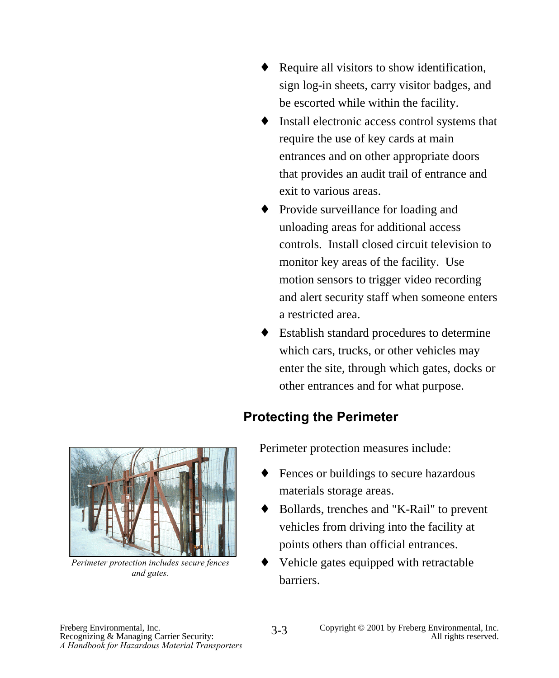- ♦ Require all visitors to show identification, sign log-in sheets, carry visitor badges, and be escorted while within the facility.
- ♦ Install electronic access control systems that require the use of key cards at main entrances and on other appropriate doors that provides an audit trail of entrance and exit to various areas.
- ♦ Provide surveillance for loading and unloading areas for additional access controls. Install closed circuit television to monitor key areas of the facility. Use motion sensors to trigger video recording and alert security staff when someone enters a restricted area.
- ♦ Establish standard procedures to determine which cars, trucks, or other vehicles may enter the site, through which gates, docks or other entrances and for what purpose.

#### **Protecting the Perimeter**

*Perimeter protection includes secure fences and gates.*

Perimeter protection measures include:

- ♦ Fences or buildings to secure hazardous materials storage areas.
- ♦ Bollards, trenches and "K-Rail" to prevent vehicles from driving into the facility at points others than official entrances.
- Vehicle gates equipped with retractable barriers.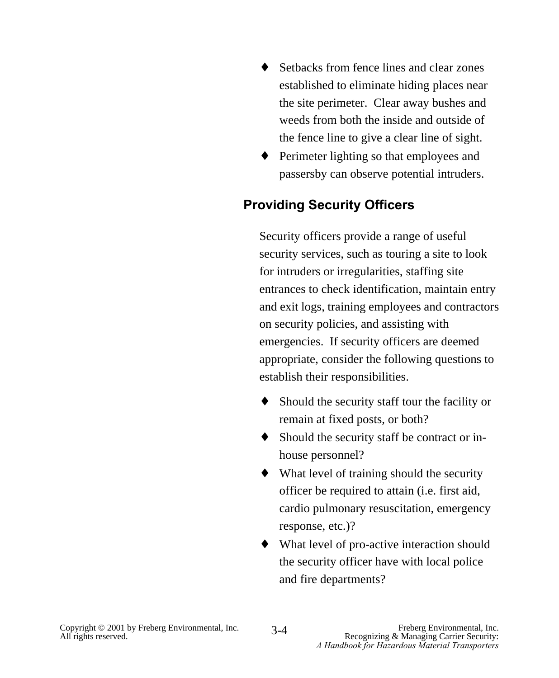- ♦ Setbacks from fence lines and clear zones established to eliminate hiding places near the site perimeter. Clear away bushes and weeds from both the inside and outside of the fence line to give a clear line of sight.
- ♦ Perimeter lighting so that employees and passersby can observe potential intruders.

#### **Providing Security Officers**

Security officers provide a range of useful security services, such as touring a site to look for intruders or irregularities, staffing site entrances to check identification, maintain entry and exit logs, training employees and contractors on security policies, and assisting with emergencies. If security officers are deemed appropriate, consider the following questions to establish their responsibilities.

- ♦ Should the security staff tour the facility or remain at fixed posts, or both?
- ♦ Should the security staff be contract or inhouse personnel?
- $\blacklozenge$  What level of training should the security officer be required to attain (i.e. first aid, cardio pulmonary resuscitation, emergency response, etc.)?
- ♦ What level of pro-active interaction should the security officer have with local police and fire departments?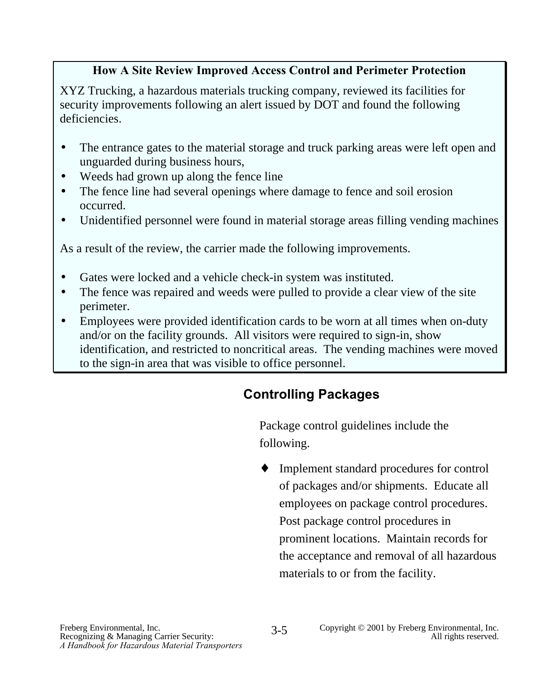#### **How A Site Review Improved Access Control and Perimeter Protection**

XYZ Trucking, a hazardous materials trucking company, reviewed its facilities for security improvements following an alert issued by DOT and found the following deficiencies.

- The entrance gates to the material storage and truck parking areas were left open and unguarded during business hours,
- Weeds had grown up along the fence line
- The fence line had several openings where damage to fence and soil erosion occurred.
- Unidentified personnel were found in material storage areas filling vending machines

As a result of the review, the carrier made the following improvements.

- Gates were locked and a vehicle check-in system was instituted.
- The fence was repaired and weeds were pulled to provide a clear view of the site perimeter.
- Employees were provided identification cards to be worn at all times when on-duty and/or on the facility grounds. All visitors were required to sign-in, show identification, and restricted to noncritical areas. The vending machines were moved to the sign-in area that was visible to office personnel.

#### **Controlling Packages**

Package control guidelines include the following.

Implement standard procedures for control of packages and/or shipments. Educate all employees on package control procedures. Post package control procedures in prominent locations. Maintain records for the acceptance and removal of all hazardous materials to or from the facility.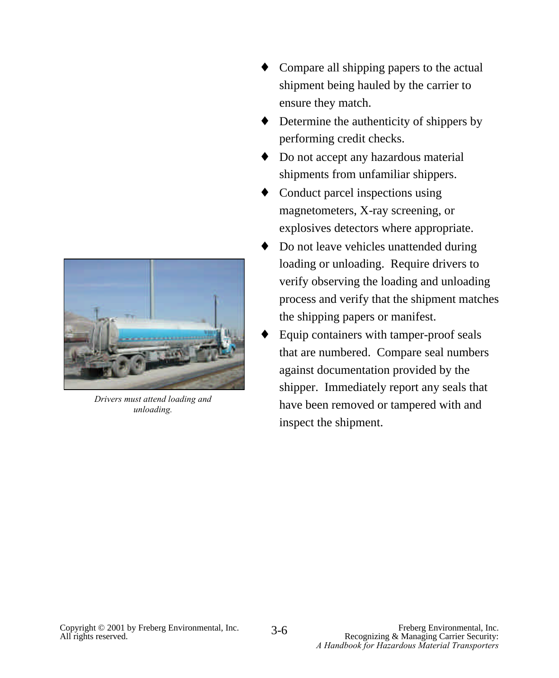

*Drivers must attend loading and unloading.*

- Compare all shipping papers to the actual shipment being hauled by the carrier to ensure they match.
- Determine the authenticity of shippers by performing credit checks.
- ♦ Do not accept any hazardous material shipments from unfamiliar shippers.
- $\triangleleft$  Conduct parcel inspections using magnetometers, X-ray screening, or explosives detectors where appropriate.
- Do not leave vehicles unattended during loading or unloading. Require drivers to verify observing the loading and unloading process and verify that the shipment matches the shipping papers or manifest.
- Equip containers with tamper-proof seals that are numbered. Compare seal numbers against documentation provided by the shipper. Immediately report any seals that have been removed or tampered with and inspect the shipment.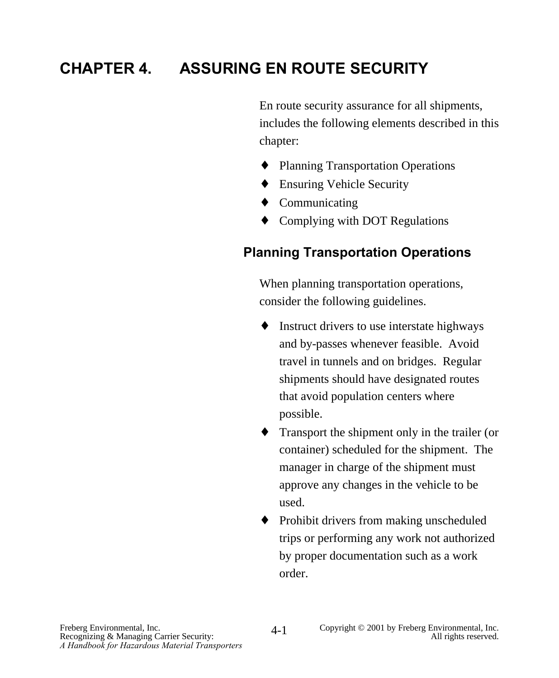## **CHAPTER 4. ASSURING EN ROUTE SECURITY**

En route security assurance for all shipments, includes the following elements described in this chapter:

- ♦ Planning Transportation Operations
- ♦ Ensuring Vehicle Security
- ♦ Communicating
- ♦ Complying with DOT Regulations

#### **Planning Transportation Operations**

When planning transportation operations, consider the following guidelines.

- ♦ Instruct drivers to use interstate highways and by-passes whenever feasible. Avoid travel in tunnels and on bridges. Regular shipments should have designated routes that avoid population centers where possible.
- ♦ Transport the shipment only in the trailer (or container) scheduled for the shipment. The manager in charge of the shipment must approve any changes in the vehicle to be used.
- ♦ Prohibit drivers from making unscheduled trips or performing any work not authorized by proper documentation such as a work order.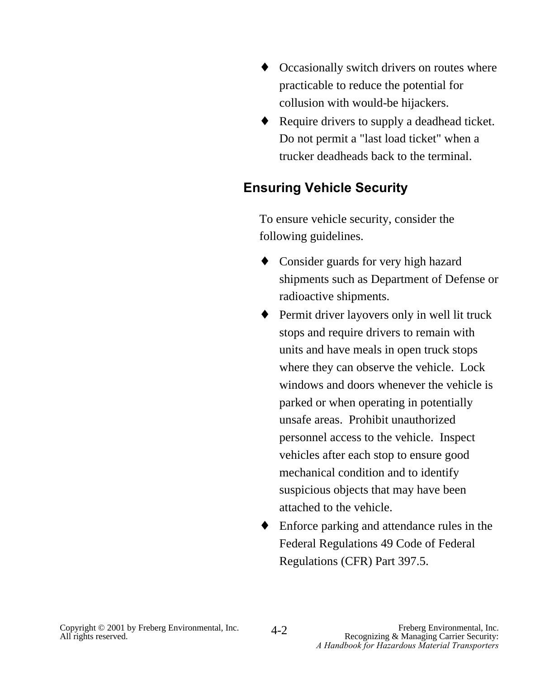- ♦ Occasionally switch drivers on routes where practicable to reduce the potential for collusion with would-be hijackers.
- ♦ Require drivers to supply a deadhead ticket. Do not permit a "last load ticket" when a trucker deadheads back to the terminal.

#### **Ensuring Vehicle Security**

To ensure vehicle security, consider the following guidelines.

- ♦ Consider guards for very high hazard shipments such as Department of Defense or radioactive shipments.
- ♦ Permit driver layovers only in well lit truck stops and require drivers to remain with units and have meals in open truck stops where they can observe the vehicle. Lock windows and doors whenever the vehicle is parked or when operating in potentially unsafe areas. Prohibit unauthorized personnel access to the vehicle. Inspect vehicles after each stop to ensure good mechanical condition and to identify suspicious objects that may have been attached to the vehicle.
- ♦ Enforce parking and attendance rules in the Federal Regulations 49 Code of Federal Regulations (CFR) Part 397.5.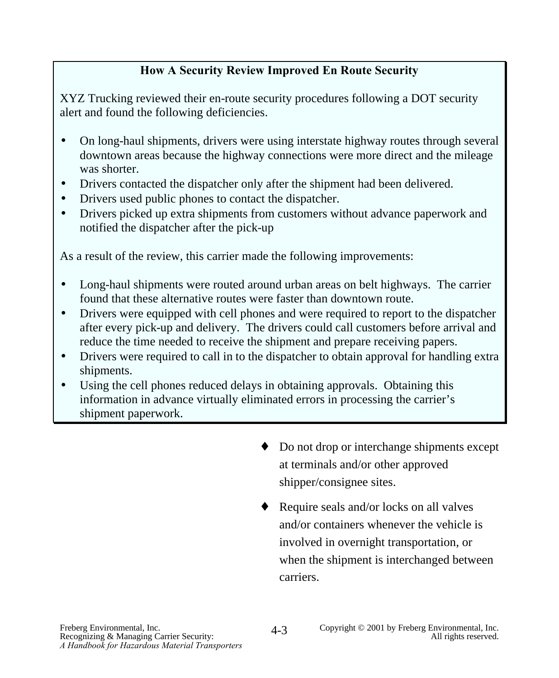#### **How A Security Review Improved En Route Security**

XYZ Trucking reviewed their en-route security procedures following a DOT security alert and found the following deficiencies.

- On long-haul shipments, drivers were using interstate highway routes through several downtown areas because the highway connections were more direct and the mileage was shorter.
- Drivers contacted the dispatcher only after the shipment had been delivered.
- Drivers used public phones to contact the dispatcher.
- Drivers picked up extra shipments from customers without advance paperwork and notified the dispatcher after the pick-up

As a result of the review, this carrier made the following improvements:

- Long-haul shipments were routed around urban areas on belt highways. The carrier found that these alternative routes were faster than downtown route.
- Drivers were equipped with cell phones and were required to report to the dispatcher after every pick-up and delivery. The drivers could call customers before arrival and reduce the time needed to receive the shipment and prepare receiving papers.
- Drivers were required to call in to the dispatcher to obtain approval for handling extra shipments.
- Using the cell phones reduced delays in obtaining approvals. Obtaining this information in advance virtually eliminated errors in processing the carrier's shipment paperwork.
	- ♦ Do not drop or interchange shipments except at terminals and/or other approved shipper/consignee sites.
	- $\triangleleft$  Require seals and/or locks on all valves and/or containers whenever the vehicle is involved in overnight transportation, or when the shipment is interchanged between carriers.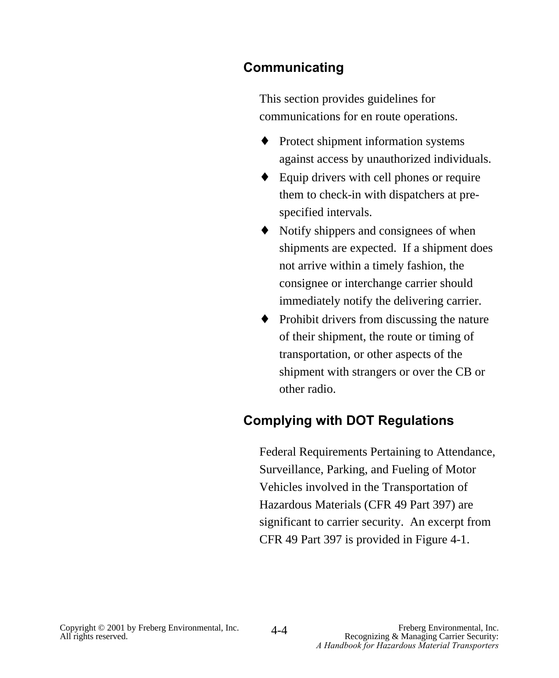#### **Communicating**

This section provides guidelines for communications for en route operations.

- ♦ Protect shipment information systems against access by unauthorized individuals.
- $\triangle$  Equip drivers with cell phones or require them to check-in with dispatchers at prespecified intervals.
- ♦ Notify shippers and consignees of when shipments are expected. If a shipment does not arrive within a timely fashion, the consignee or interchange carrier should immediately notify the delivering carrier.
- ♦ Prohibit drivers from discussing the nature of their shipment, the route or timing of transportation, or other aspects of the shipment with strangers or over the CB or other radio.

#### **Complying with DOT Regulations**

Federal Requirements Pertaining to Attendance, Surveillance, Parking, and Fueling of Motor Vehicles involved in the Transportation of Hazardous Materials (CFR 49 Part 397) are significant to carrier security. An excerpt from CFR 49 Part 397 is provided in Figure 4-1.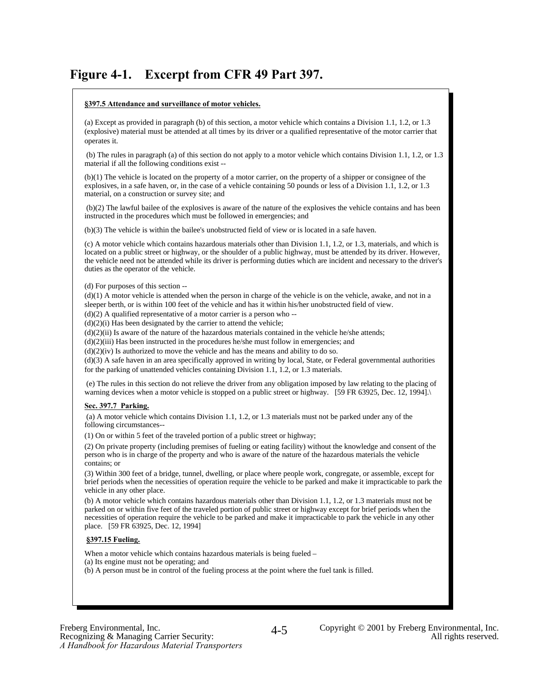#### **Figure 4-1. Excerpt from CFR 49 Part 397.**

#### **§397.5 Attendance and surveillance of motor vehicles. §397.5 Attendance and surveillance of motor vehicles.**

 $(a)$  Except as provided in paragraph (b) or this section, a motor vehicle which contains a Division 1.1, 1.2, or 1.3 (explosive) material must be attended at all times by its driver or a qualified representative of the motor carrier that operates it. operates it. (a) Except as provided in paragraph (b) of this section, a motor vehicle which contains a Division 1.1, 1.2, or 1.3

(b) The rules in paragraph (a) of this section do not apply to a motor vehicle which contains Division 1.1, 1.2, or 1.3 material if all the following conditions exist -- material if all the following conditions exist --

(b)(1) The vehicle is located on the property of a fluori carrier, on the property of a simpler of consiglice of the<br>explosives, in a safe haven, or, in the case of a vehicle containing 50 pounds or less of a Division 1.1 material, on a construction or survey site; and material, on a construction or survey site; and (b)(1) The vehicle is located on the property of a motor carrier, on the property of a shipper or consignee of the

 $(0)(2)$  The fawful bance of the explosives is aware of the hattie of the explosives the vehicle contains and has been<br>instructed in the procedures which must be followed in emergencies; and (b)(2) The lawful bailee of the explosives is aware of the nature of the explosives the vehicle contains and has been

(b)(3) The vehicle is within the bailee's unobstructed field of view or is located in a safe haven. (b)(3) The vehicle is within the bailee's unobstructed field of view or is located in a safe haven.

located on a public street or highway, or the shoulder of a public highway, must be attended by its driver. However, ocalculo in a public street of inguiway, or the shoulder of a public highway, hust be attended by its direct. However,<br>the vehicle need not be attended while its driver is performing duties which are incident and necessary duties as the operator of the vehicle. duties as the operator of the vehicle. (c) A motor vehicle which contains hazardous materials other than Division 1.1, 1.2, or 1.3, materials, and which is

 $(1)$  For purposes of this section  $-$ (d) For purposes of this section --

 $(d)(1)$  A motor vehicle is attended when the person in charge of the vehicle is on the vehicle, awake, and not in a sleeper berth, or is within 100 feet of the vehicle and has it within his/her unobstructed field of view.

 $(d)(2)$  A qualified representative of a motor carrier is a person who  $-$ 

 $(d)(2)$  A qualified representative of a motor carrier is a person who --<br>(d)(2)(i) Has been designated by the carrier to attend the vehicle;

(d)(2)(ii) Has been designated by the carrier to attend the vehicle;<br>(d)(2)(ii) Is aware of the nature of the hazardous materials contained in the vehicle he/she attends;

 $(d)(2)(ii)$  is aware of the nature of the nazardous materials contained in the vehicle he/she attends;  $(d)(2)(iii)$  Has been instructed in the procedures he/she must follow in emergencies; and

 $(d)(2)(m)$  Has been instructed in the procedures he/she must follow in emergencies, and  $(d)(2)(iv)$  Is authorized to move the vehicle and has the means and ability to do so.

 $d(x)$ (iv) is authorized to move the vehicle and has the means and ability to do so.  $(d)(3)$  A safe haven in an area specifically approved in writing by local, State, or Federal governmental authorities for the parking of unattended vehicles containing Division 1.1, 1.2, or 1.3 materials. for the parking of unattended vehicles containing Division 1.1, 1.2, or 1.3 materials.

warning devices when a motor vehicle is stopped on a public street or highway. [59 FR 63925, Dec. 12, 1994]. (e) The rules in this section do not relieve the driver from any obligation imposed by law relating to the placing of

#### **Sec. 397.7 Parking. Sec. 397.7 Parking.**

(a) A motor vehicle which contains Division 1.1, 1.2, or 1.3 materials must not be parked under any of the (a) A motor vehicle which contains Division 1.1, 1.2, or 1.3 materials must not be parked under any of the following circumstances-- following circumstances--

(1) On or within 5 feet of the traveled portion of a public street or highway;

(1) On or within 5 feet of the traveled portion of a public street or highway; (2) On private property (including premises of fueling or eating facility) without the knowledge and consent of the  $(2)$  On private property (including premises or identity of eating actiny) without the knowledge and consent of the property and who is aware of the nature of the hazardous materials the vehicle and consent or contains; or

contains; or (3) Within 300 feet of a bridge, tunnel, dwelling, or place where people work, congregate, or assemble, except for by while 500 feet of a onege, tanker, aweling, or place where people work, congregate, or assemble, except for<br>brief periods when the necessities of operation require the vehicle to be parked and make it impracticable to vehicle in any other place. vehicle in any other place.

parked on or within five feet of the traveled portion of public street or highway except for brief periods when the parked on or whilm live feet of the traveled pottom or plaone street or ingitiway except for offer periods when the<br>necessities of operation require the vehicle to be parked and make it impracticable to park the vehicle in place. [59 FR 63925, Dec. 12, 1994] place. [59 FR 63925, Dec. 12, 1994] (b) A motor vehicle which contains hazardous materials other than Division 1.1, 1.2, or 1.3 materials must not be

#### **§397.15 Fueling. §397.15 Fueling.**

When a motor vehicle which contains hazardous materials is being fueled –<br>(a) Its engine must not be operating; and (b) A person must be in control of the fueling process at the point where the fuel tank is filled. When a motor vehicle which contains hazardous materials is being fueled –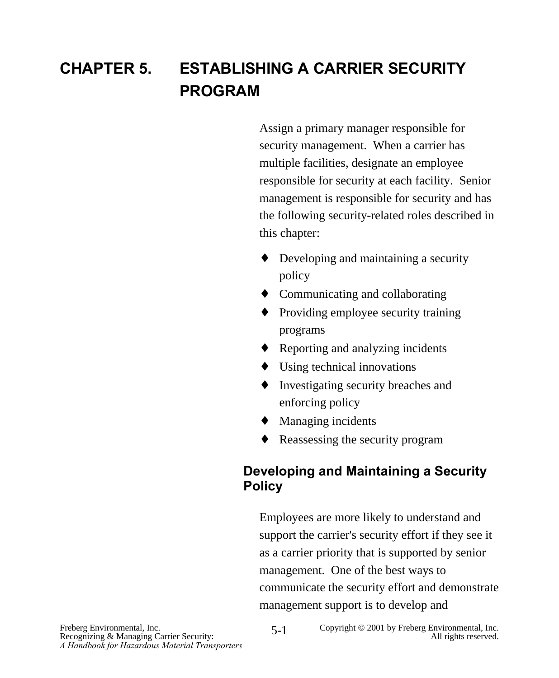## **CHAPTER 5. ESTABLISHING A CARRIER SECURITY PROGRAM**

Assign a primary manager responsible for security management. When a carrier has multiple facilities, designate an employee responsible for security at each facility. Senior management is responsible for security and has the following security-related roles described in this chapter:

- ♦ Developing and maintaining a security policy
- ♦ Communicating and collaborating
- ♦ Providing employee security training programs
- $\triangle$  Reporting and analyzing incidents
- $\triangleleft$  Using technical innovations
- ♦ Investigating security breaches and enforcing policy
- ♦ Managing incidents
- ♦ Reassessing the security program

#### **Developing and Maintaining a Security Policy**

Employees are more likely to understand and support the carrier's security effort if they see it as a carrier priority that is supported by senior management. One of the best ways to communicate the security effort and demonstrate management support is to develop and

Freberg Environmental, Inc.<br>
Recognizing & Managing Carrier Security: **Environmental, Inc.** Copyright © 2001 by Freberg Environmental, Inc.<br>
All rights reserved. 5-1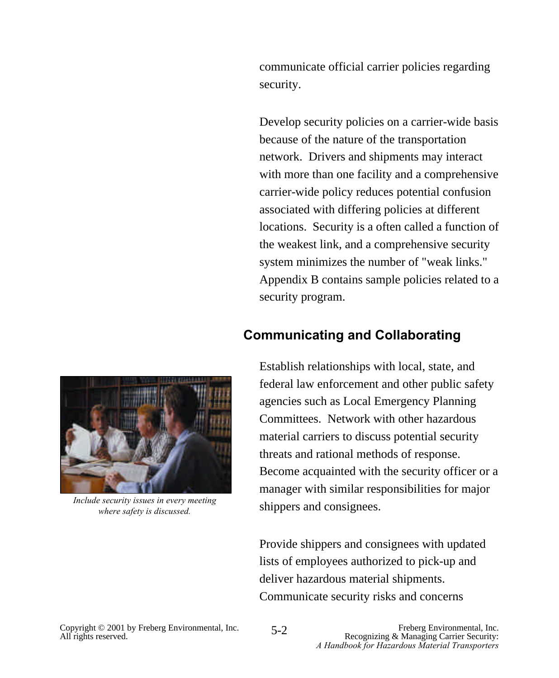communicate official carrier policies regarding security.

Develop security policies on a carrier-wide basis because of the nature of the transportation network. Drivers and shipments may interact with more than one facility and a comprehensive carrier-wide policy reduces potential confusion associated with differing policies at different locations. Security is a often called a function of the weakest link, and a comprehensive security system minimizes the number of "weak links." Appendix B contains sample policies related to a security program.

#### **Communicating and Collaborating**



*Include security issues in every meeting where safety is discussed.* 

Establish relationships with local, state, and federal law enforcement and other public safety agencies such as Local Emergency Planning Committees. Network with other hazardous material carriers to discuss potential security threats and rational methods of response. Become acquainted with the security officer or a manager with similar responsibilities for major shippers and consignees.

Provide shippers and consignees with updated lists of employees authorized to pick-up and deliver hazardous material shipments. Communicate security risks and concerns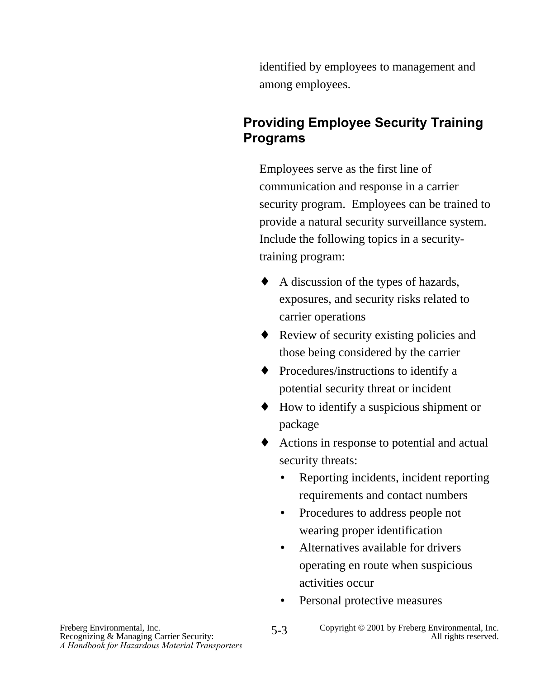identified by employees to management and among employees.

## **Providing Employee Security Training Programs**

Employees serve as the first line of communication and response in a carrier security program. Employees can be trained to provide a natural security surveillance system. Include the following topics in a securitytraining program:

- ♦ A discussion of the types of hazards, exposures, and security risks related to carrier operations
- ♦ Review of security existing policies and those being considered by the carrier
- ♦ Procedures/instructions to identify a potential security threat or incident
- ♦ How to identify a suspicious shipment or package
- ♦ Actions in response to potential and actual security threats:
	- Reporting incidents, incident reporting requirements and contact numbers
	- Procedures to address people not wearing proper identification
	- Alternatives available for drivers operating en route when suspicious activities occur
	- Personal protective measures

5-3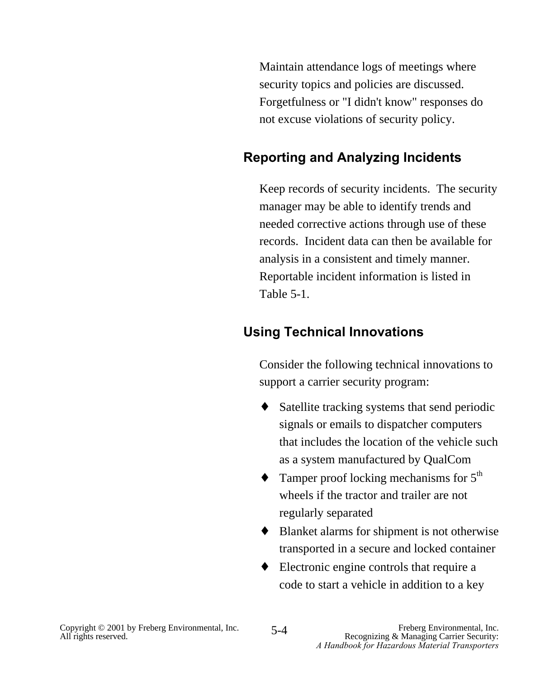Maintain attendance logs of meetings where security topics and policies are discussed. Forgetfulness or "I didn't know" responses do not excuse violations of security policy.

# **Reporting and Analyzing Incidents**

Keep records of security incidents. The security manager may be able to identify trends and needed corrective actions through use of these records. Incident data can then be available for analysis in a consistent and timely manner. Reportable incident information is listed in Table 5-1.

# **Using Technical Innovations**

Consider the following technical innovations to support a carrier security program:

- ♦ Satellite tracking systems that send periodic signals or emails to dispatcher computers that includes the location of the vehicle such as a system manufactured by QualCom
- $\triangle$  Tamper proof locking mechanisms for  $5^{\text{th}}$ wheels if the tractor and trailer are not regularly separated
- ♦ Blanket alarms for shipment is not otherwise transported in a secure and locked container
- ♦ Electronic engine controls that require a code to start a vehicle in addition to a key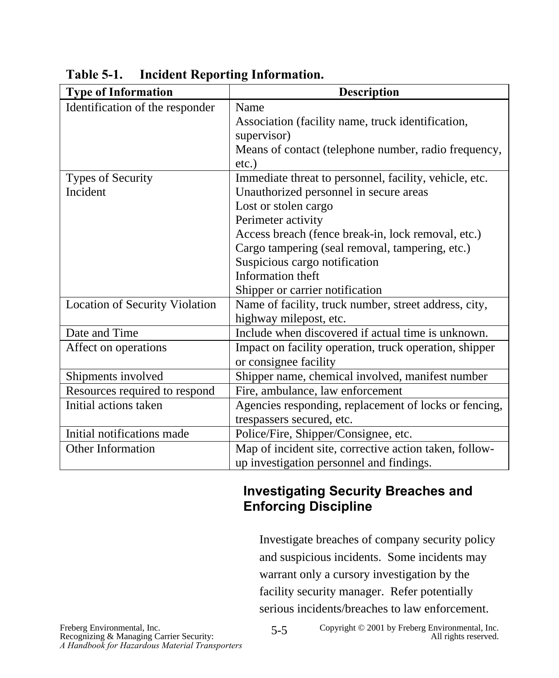| <b>Type of Information</b>            | <b>Description</b>                                     |
|---------------------------------------|--------------------------------------------------------|
| Identification of the responder       | Name                                                   |
|                                       | Association (facility name, truck identification,      |
|                                       | supervisor)                                            |
|                                       | Means of contact (telephone number, radio frequency,   |
|                                       | $etc.$ )                                               |
| Types of Security                     | Immediate threat to personnel, facility, vehicle, etc. |
| Incident                              | Unauthorized personnel in secure areas                 |
|                                       | Lost or stolen cargo                                   |
|                                       | Perimeter activity                                     |
|                                       | Access breach (fence break-in, lock removal, etc.)     |
|                                       | Cargo tampering (seal removal, tampering, etc.)        |
|                                       | Suspicious cargo notification                          |
|                                       | Information theft                                      |
|                                       | Shipper or carrier notification                        |
| <b>Location of Security Violation</b> | Name of facility, truck number, street address, city,  |
|                                       | highway milepost, etc.                                 |
| Date and Time                         | Include when discovered if actual time is unknown.     |
| Affect on operations                  | Impact on facility operation, truck operation, shipper |
|                                       | or consignee facility                                  |
| Shipments involved                    | Shipper name, chemical involved, manifest number       |
| Resources required to respond         | Fire, ambulance, law enforcement                       |
| Initial actions taken                 | Agencies responding, replacement of locks or fencing,  |
|                                       | trespassers secured, etc.                              |
| Initial notifications made            | Police/Fire, Shipper/Consignee, etc.                   |
| <b>Other Information</b>              | Map of incident site, corrective action taken, follow- |
|                                       | up investigation personnel and findings.               |

**Table 5-1. Incident Reporting Information.**

# **Investigating Security Breaches and Enforcing Discipline**

Investigate breaches of company security policy and suspicious incidents. Some incidents may warrant only a cursory investigation by the facility security manager. Refer potentially serious incidents/breaches to law enforcement.

5-5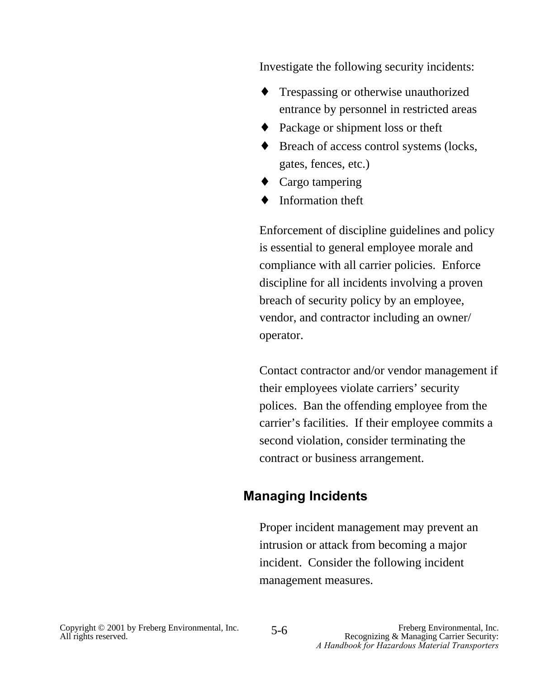Investigate the following security incidents:

- ♦ Trespassing or otherwise unauthorized entrance by personnel in restricted areas
- ♦ Package or shipment loss or theft
- ♦ Breach of access control systems (locks, gates, fences, etc.)
- $\triangleleft$  Cargo tampering
- ♦ Information theft

Enforcement of discipline guidelines and policy is essential to general employee morale and compliance with all carrier policies. Enforce discipline for all incidents involving a proven breach of security policy by an employee, vendor, and contractor including an owner/ operator.

Contact contractor and/or vendor management if their employees violate carriers' security polices. Ban the offending employee from the carrier's facilities. If their employee commits a second violation, consider terminating the contract or business arrangement.

# **Managing Incidents**

Proper incident management may prevent an intrusion or attack from becoming a major incident. Consider the following incident management measures.

5-6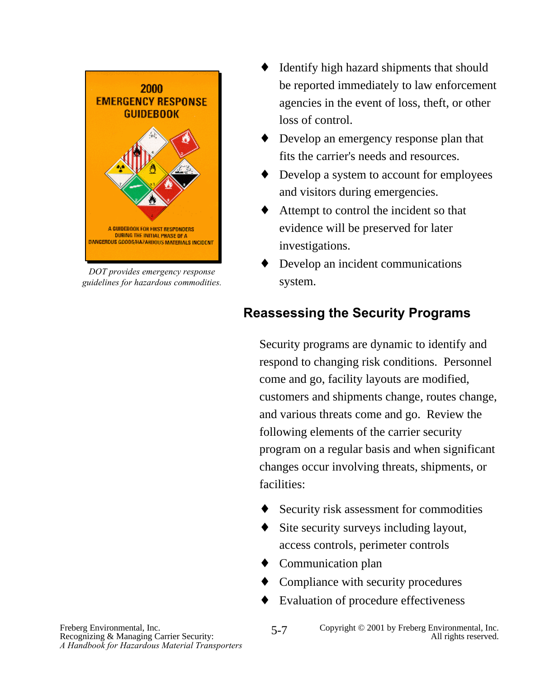

*DOT provides emergency response guidelines for hazardous commodities.*

- Identify high hazard shipments that should be reported immediately to law enforcement agencies in the event of loss, theft, or other loss of control.
- ♦ Develop an emergency response plan that fits the carrier's needs and resources.
- ♦ Develop a system to account for employees and visitors during emergencies.
- Attempt to control the incident so that evidence will be preserved for later investigations.
- Develop an incident communications system.

# **Reassessing the Security Programs**

Security programs are dynamic to identify and respond to changing risk conditions. Personnel come and go, facility layouts are modified, customers and shipments change, routes change, and various threats come and go. Review the following elements of the carrier security program on a regular basis and when significant changes occur involving threats, shipments, or facilities:

- Security risk assessment for commodities
- Site security surveys including layout, access controls, perimeter controls
- ♦ Communication plan
- Compliance with security procedures
- ♦ Evaluation of procedure effectiveness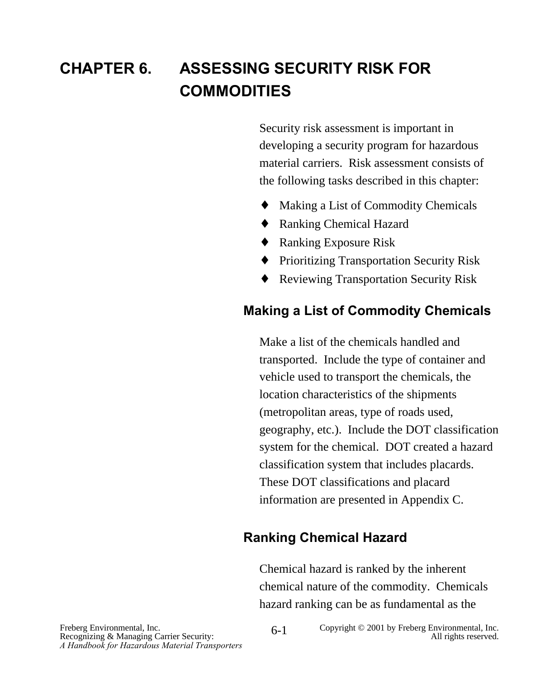# **CHAPTER 6. ASSESSING SECURITY RISK FOR COMMODITIES**

Security risk assessment is important in developing a security program for hazardous material carriers. Risk assessment consists of the following tasks described in this chapter:

- Making a List of Commodity Chemicals
- ♦ Ranking Chemical Hazard
- ♦ Ranking Exposure Risk
- ♦ Prioritizing Transportation Security Risk
- ♦ Reviewing Transportation Security Risk

# **Making a List of Commodity Chemicals**

Make a list of the chemicals handled and transported. Include the type of container and vehicle used to transport the chemicals, the location characteristics of the shipments (metropolitan areas, type of roads used, geography, etc.). Include the DOT classification system for the chemical. DOT created a hazard classification system that includes placards. These DOT classifications and placard information are presented in Appendix C.

# **Ranking Chemical Hazard**

Chemical hazard is ranked by the inherent chemical nature of the commodity. Chemicals hazard ranking can be as fundamental as the

Recognizing & Managing Carrier Security: *A Handbook for Hazardous Material Transporters*

Freberg Environmental, Inc. 6-1 Copyright © 2001 by Freberg Environmental, Inc. Recognizing & Managing Carrier Security: 6-1 Copyright © 2001 by Freberg Environmental, Inc. 6-1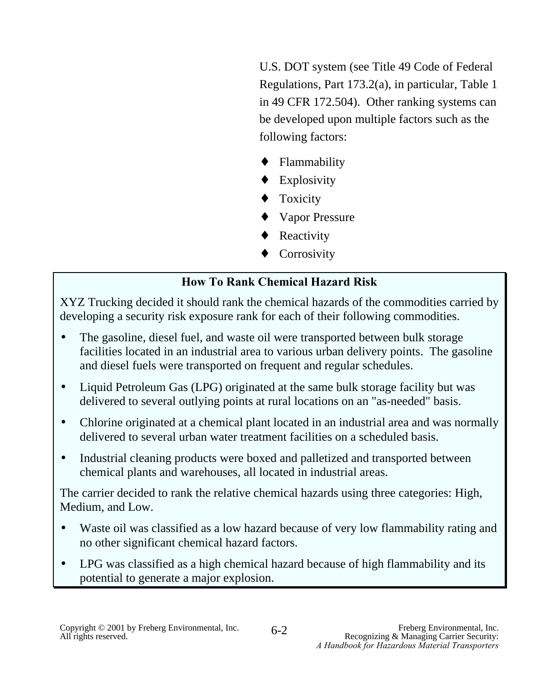U.S. DOT system (see Title 49 Code of Federal Regulations, Part 173.2(a), in particular, Table 1 in 49 CFR 172.504). Other ranking systems can be developed upon multiple factors such as the following factors:

- ♦ Flammability
- ♦ Explosivity
- ♦ Toxicity
- ♦ Vapor Pressure
- Reactivity
- Corrosivity

# **How To Rank Chemical Hazard Risk**

XYZ Trucking decided it should rank the chemical hazards of the commodities carried by developing a security risk exposure rank for each of their following commodities.

- The gasoline, diesel fuel, and waste oil were transported between bulk storage facilities located in an industrial area to various urban delivery points. The gasoline and diesel fuels were transported on frequent and regular schedules.
- Liquid Petroleum Gas (LPG) originated at the same bulk storage facility but was delivered to several outlying points at rural locations on an "as-needed" basis.
- Chlorine originated at a chemical plant located in an industrial area and was normally delivered to several urban water treatment facilities on a scheduled basis.
- Industrial cleaning products were boxed and palletized and transported between chemical plants and warehouses, all located in industrial areas.

The carrier decided to rank the relative chemical hazards using three categories: High, Medium, and Low.

- Waste oil was classified as a low hazard because of very low flammability rating and no other significant chemical hazard factors.
- LPG was classified as a high chemical hazard because of high flammability and its potential to generate a major explosion.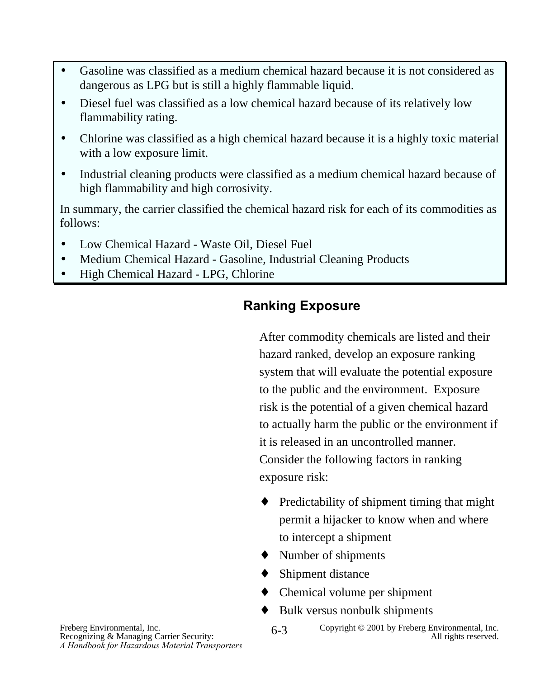- Gasoline was classified as a medium chemical hazard because it is not considered as dangerous as LPG but is still a highly flammable liquid.
- Diesel fuel was classified as a low chemical hazard because of its relatively low flammability rating.
- Chlorine was classified as a high chemical hazard because it is a highly toxic material with a low exposure limit.
- Industrial cleaning products were classified as a medium chemical hazard because of high flammability and high corrosivity.

In summary, the carrier classified the chemical hazard risk for each of its commodities as follows:

- Low Chemical Hazard Waste Oil, Diesel Fuel
- Medium Chemical Hazard Gasoline, Industrial Cleaning Products
- High Chemical Hazard LPG, Chlorine

# **Ranking Exposure**

After commodity chemicals are listed and their hazard ranked, develop an exposure ranking system that will evaluate the potential exposure to the public and the environment. Exposure risk is the potential of a given chemical hazard to actually harm the public or the environment if it is released in an uncontrolled manner. Consider the following factors in ranking exposure risk:

- ♦ Predictability of shipment timing that might permit a hijacker to know when and where to intercept a shipment
- ♦ Number of shipments
- ♦ Shipment distance
- ♦ Chemical volume per shipment
- Bulk versus nonbulk shipments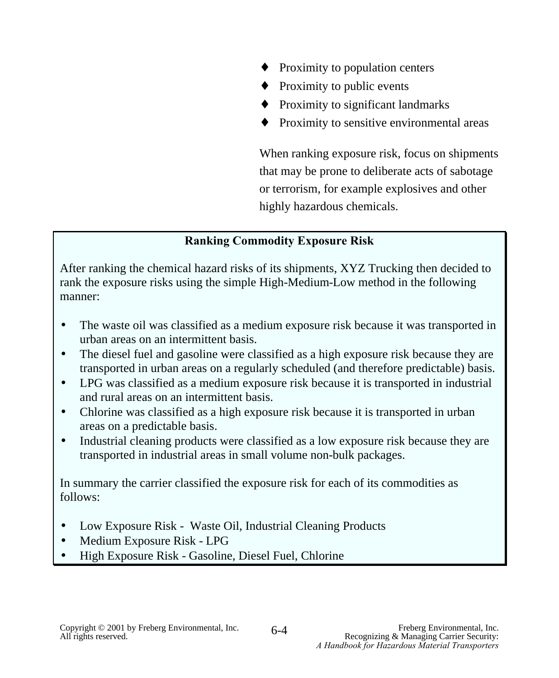- Proximity to population centers
- $\triangle$  Proximity to public events
- ♦ Proximity to significant landmarks
- ♦ Proximity to sensitive environmental areas

When ranking exposure risk, focus on shipments that may be prone to deliberate acts of sabotage or terrorism, for example explosives and other highly hazardous chemicals.

## **Ranking Commodity Exposure Risk**

After ranking the chemical hazard risks of its shipments, XYZ Trucking then decided to rank the exposure risks using the simple High-Medium-Low method in the following manner:

- The waste oil was classified as a medium exposure risk because it was transported in urban areas on an intermittent basis.
- The diesel fuel and gasoline were classified as a high exposure risk because they are transported in urban areas on a regularly scheduled (and therefore predictable) basis.
- LPG was classified as a medium exposure risk because it is transported in industrial and rural areas on an intermittent basis.
- Chlorine was classified as a high exposure risk because it is transported in urban areas on a predictable basis.
- Industrial cleaning products were classified as a low exposure risk because they are transported in industrial areas in small volume non-bulk packages.

In summary the carrier classified the exposure risk for each of its commodities as follows:

- Low Exposure Risk Waste Oil, Industrial Cleaning Products
- Medium Exposure Risk LPG
- High Exposure Risk Gasoline, Diesel Fuel, Chlorine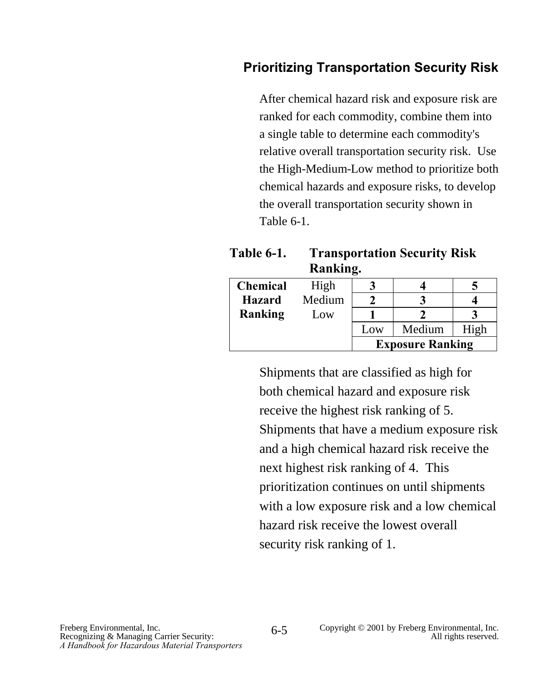# **Prioritizing Transportation Security Risk**

After chemical hazard risk and exposure risk are ranked for each commodity, combine them into a single table to determine each commodity's relative overall transportation security risk. Use the High-Medium-Low method to prioritize both chemical hazards and exposure risks, to develop the overall transportation security shown in Table 6-1.

| <b>Table 6-1.</b> | <b>Transportation Security Risk</b> |  |
|-------------------|-------------------------------------|--|
|                   | Ranking.                            |  |

| <b>Chemical</b> | High   |     |                         |      |
|-----------------|--------|-----|-------------------------|------|
| <b>Hazard</b>   | Medium |     |                         |      |
| Ranking         | Low    |     |                         |      |
|                 |        | Low | Medium                  | High |
|                 |        |     | <b>Exposure Ranking</b> |      |

Shipments that are classified as high for both chemical hazard and exposure risk receive the highest risk ranking of 5. Shipments that have a medium exposure risk and a high chemical hazard risk receive the next highest risk ranking of 4. This prioritization continues on until shipments with a low exposure risk and a low chemical hazard risk receive the lowest overall security risk ranking of 1.

6-5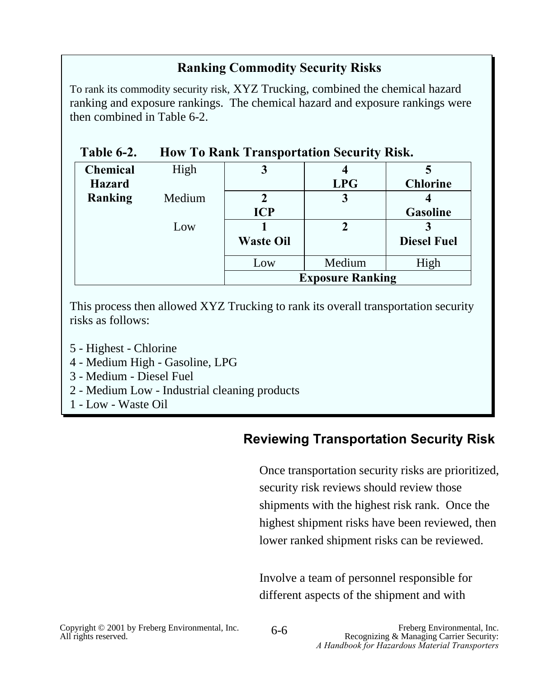## **Ranking Commodity Security Risks**

To rank its commodity security risk, XYZ Trucking, combined the chemical hazard ranking and exposure rankings. The chemical hazard and exposure rankings were then combined in Table 6-2.

| Table 6-2.      |        |                  | <b>How To Rank Transportation Security Risk.</b> |                    |
|-----------------|--------|------------------|--------------------------------------------------|--------------------|
| <b>Chemical</b> | High   |                  |                                                  |                    |
| <b>Hazard</b>   |        |                  | <b>LPG</b>                                       | <b>Chlorine</b>    |
| Ranking         | Medium |                  |                                                  |                    |
|                 |        | <b>ICP</b>       |                                                  | <b>Gasoline</b>    |
|                 | Low    |                  | 2                                                |                    |
|                 |        | <b>Waste Oil</b> |                                                  | <b>Diesel Fuel</b> |
|                 |        | Low              | Medium                                           | High               |
|                 |        |                  | <b>Exposure Ranking</b>                          |                    |

This process then allowed XYZ Trucking to rank its overall transportation security risks as follows:

- 5 Highest Chlorine
- 4 Medium High Gasoline, LPG
- 3 Medium Diesel Fuel
- 2 Medium Low Industrial cleaning products
- 1 Low Waste Oil

## **Reviewing Transportation Security Risk**

Once transportation security risks are prioritized, security risk reviews should review those shipments with the highest risk rank. Once the highest shipment risks have been reviewed, then lower ranked shipment risks can be reviewed.

Involve a team of personnel responsible for different aspects of the shipment and with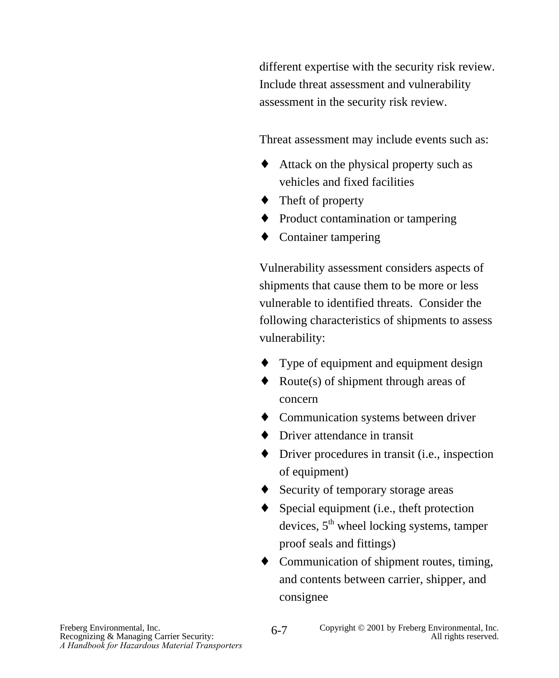different expertise with the security risk review. Include threat assessment and vulnerability assessment in the security risk review.

Threat assessment may include events such as:

- ♦ Attack on the physical property such as vehicles and fixed facilities
- ♦ Theft of property
- ♦ Product contamination or tampering
- ♦ Container tampering

Vulnerability assessment considers aspects of shipments that cause them to be more or less vulnerable to identified threats. Consider the following characteristics of shipments to assess vulnerability:

- ♦ Type of equipment and equipment design
- $\triangleleft$  Route(s) of shipment through areas of concern
- ♦ Communication systems between driver
- ◆ Driver attendance in transit
- $\blacklozenge$  Driver procedures in transit (i.e., inspection of equipment)
- ♦ Security of temporary storage areas
- $\blacklozenge$  Special equipment (i.e., theft protection devices,  $5<sup>th</sup>$  wheel locking systems, tamper proof seals and fittings)
- ♦ Communication of shipment routes, timing, and contents between carrier, shipper, and consignee

6-7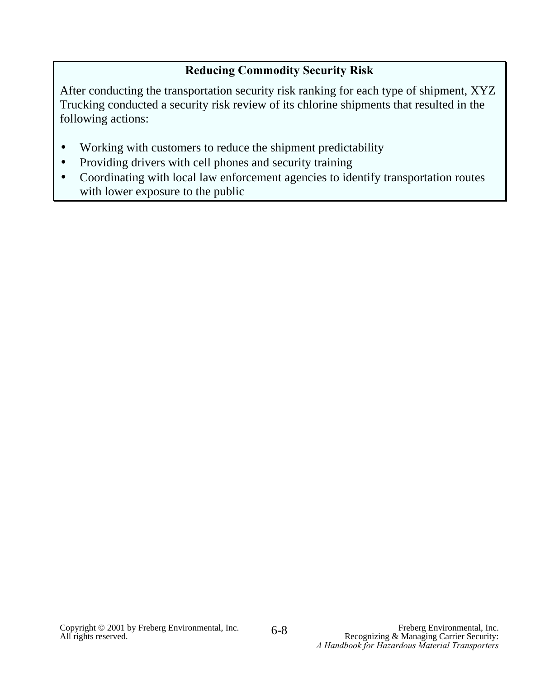## **Reducing Commodity Security Risk**

After conducting the transportation security risk ranking for each type of shipment, XYZ Trucking conducted a security risk review of its chlorine shipments that resulted in the following actions:

- Working with customers to reduce the shipment predictability
- Providing drivers with cell phones and security training
- Coordinating with local law enforcement agencies to identify transportation routes with lower exposure to the public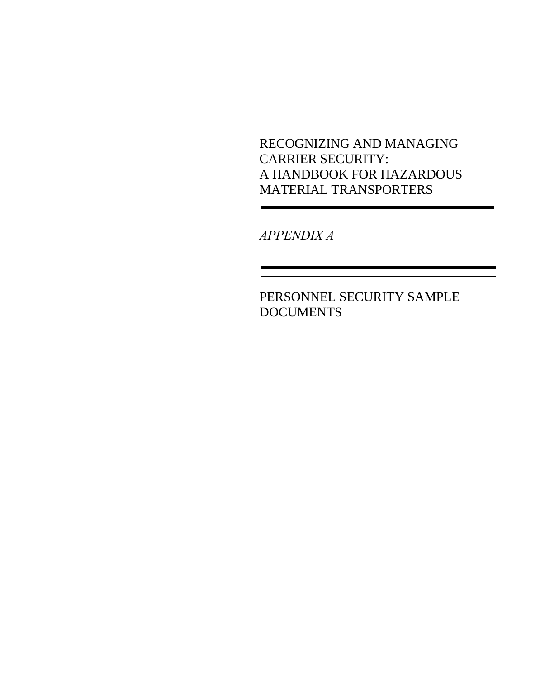RECOGNIZING AND MANAGING CARRIER SECURITY: A HANDBOOK FOR HAZARDOUS MATERIAL TRANSPORTERS

*APPENDIX A*

PERSONNEL SECURITY SAMPLE **DOCUMENTS**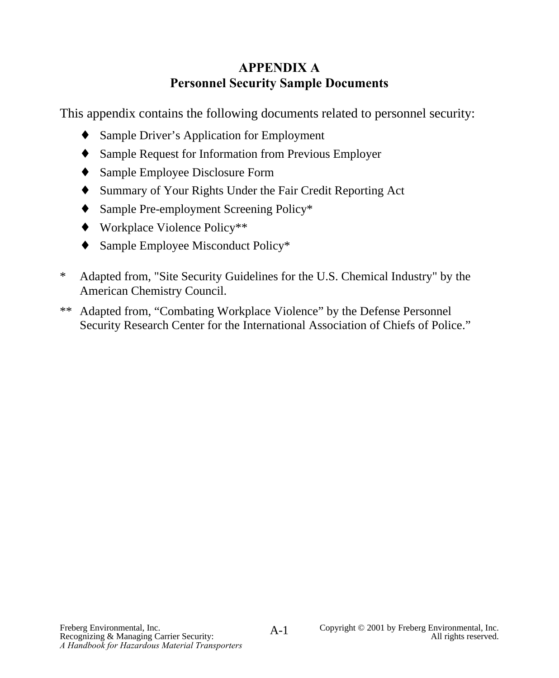# **APPENDIX A Personnel Security Sample Documents**

This appendix contains the following documents related to personnel security:

- ♦ Sample Driver's Application for Employment
- ♦ Sample Request for Information from Previous Employer
- ♦ Sample Employee Disclosure Form
- ♦ Summary of Your Rights Under the Fair Credit Reporting Act
- ♦ Sample Pre-employment Screening Policy\*
- ♦ Workplace Violence Policy\*\*
- ♦ Sample Employee Misconduct Policy\*
- \* Adapted from, "Site Security Guidelines for the U.S. Chemical Industry" by the American Chemistry Council.
- \*\* Adapted from, "Combating Workplace Violence" by the Defense Personnel Security Research Center for the International Association of Chiefs of Police."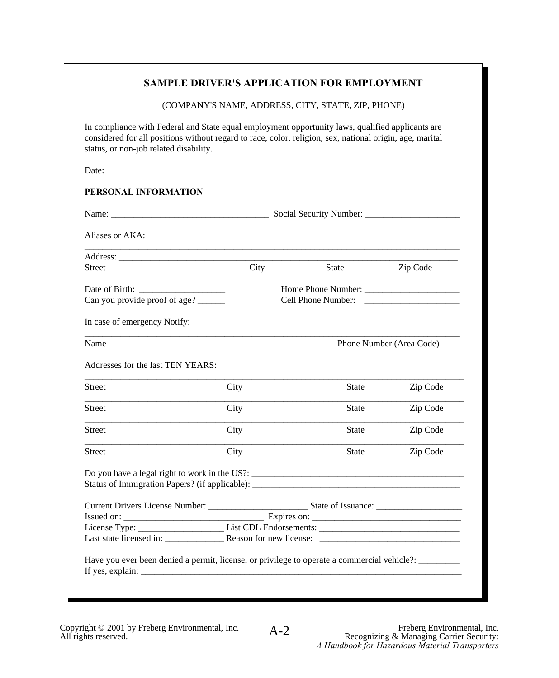# **SAMPLE DRIVER'S APPLICATION FOR EMPLOYMENT SAMPLE DRIVER'S APPLICATION FOR EMPLOYMENT**

(COMPANY'S NAME, ADDRESS, CITY, STATE, ZIP, PHONE) (COMPANY'S NAME, ADDRESS, CITY, STATE, ZIP, PHONE)

In compliance with Federal and State equal employment opportunity laws, qualified applicants are considered for all positions without regard to race, color, religion, sex, national origin, age, marital status, or non-job related disability. status, or non-job related disability. In compliance with Federal and State equal employment opportunity laws, qualified applicants are

Date: Date:

## **PERSONAL INFORMATION PERSONAL INFORMATION**

| Aliases or AKA:                                                                                 |      |                                          |                          |
|-------------------------------------------------------------------------------------------------|------|------------------------------------------|--------------------------|
| Address:                                                                                        |      |                                          |                          |
| <b>Street</b>                                                                                   | City | <b>State</b>                             | Zip Code                 |
| Date of Birth:<br>Can you provide proof of age?                                                 |      | Home Phone Number:<br>Cell Phone Number: |                          |
| In case of emergency Notify:                                                                    |      |                                          |                          |
| Name                                                                                            |      |                                          | Phone Number (Area Code) |
| Addresses for the last TEN YEARS:                                                               |      |                                          |                          |
| Street                                                                                          | City | <b>State</b>                             | Zip Code                 |
| Street                                                                                          | City | <b>State</b>                             | Zip Code                 |
| <b>Street</b>                                                                                   | City | <b>State</b>                             | Zip Code                 |
| Street                                                                                          | City | <b>State</b>                             | Zip Code                 |
| Do you have a legal right to work in the US?:<br>Status of Immigration Papers? (if applicable): |      |                                          |                          |
|                                                                                                 |      |                                          |                          |
|                                                                                                 |      |                                          |                          |
|                                                                                                 |      |                                          |                          |
| Last state licensed in: Reason for new license: _________________________________               |      |                                          |                          |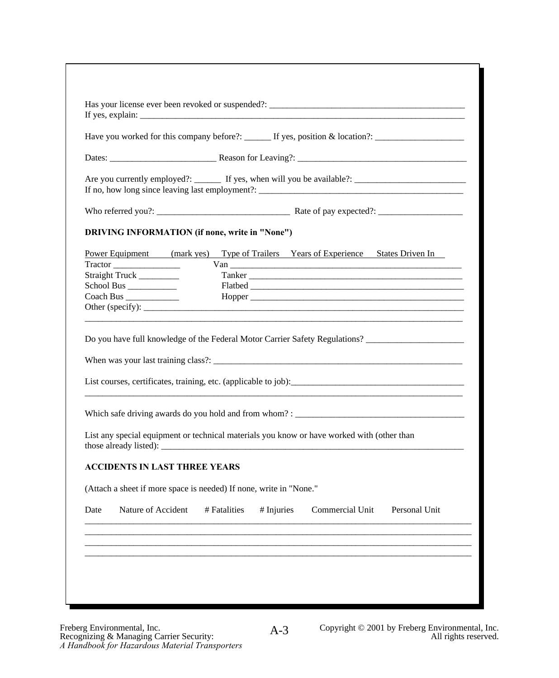|                                                                                                                                                              |              | Have you worked for this company before?: $\qquad \qquad$ If yes, position & location?:                                                                                                                                       |
|--------------------------------------------------------------------------------------------------------------------------------------------------------------|--------------|-------------------------------------------------------------------------------------------------------------------------------------------------------------------------------------------------------------------------------|
|                                                                                                                                                              |              |                                                                                                                                                                                                                               |
|                                                                                                                                                              |              | Are you currently employed?: _______ If yes, when will you be available?: __________________________                                                                                                                          |
|                                                                                                                                                              |              |                                                                                                                                                                                                                               |
| <b>DRIVING INFORMATION (if none, write in "None")</b>                                                                                                        |              |                                                                                                                                                                                                                               |
|                                                                                                                                                              |              | Power Equipment (mark yes) Type of Trailers Years of Experience States Driven In                                                                                                                                              |
|                                                                                                                                                              |              | $Van$ $\qquad \qquad$                                                                                                                                                                                                         |
| Straight Truck _________                                                                                                                                     |              | Tanker Tanker and the second contract of the second contract of the second contract of the second contract of the second contract of the second contract of the second contract of the second contract of the second contract |
|                                                                                                                                                              |              |                                                                                                                                                                                                                               |
|                                                                                                                                                              |              |                                                                                                                                                                                                                               |
|                                                                                                                                                              |              |                                                                                                                                                                                                                               |
|                                                                                                                                                              |              | Do you have full knowledge of the Federal Motor Carrier Safety Regulations?                                                                                                                                                   |
|                                                                                                                                                              |              | List courses, certificates, training, etc. (applicable to job):                                                                                                                                                               |
|                                                                                                                                                              |              |                                                                                                                                                                                                                               |
|                                                                                                                                                              |              | List any special equipment or technical materials you know or have worked with (other than<br>those already listed):                                                                                                          |
|                                                                                                                                                              |              |                                                                                                                                                                                                                               |
|                                                                                                                                                              |              |                                                                                                                                                                                                                               |
| Other (specify):<br><b>ACCIDENTS IN LAST THREE YEARS</b><br>(Attach a sheet if more space is needed) If none, write in "None."<br>Nature of Accident<br>Date | # Fatalities | $#$ Injuries<br>Commercial Unit<br>Personal Unit                                                                                                                                                                              |
|                                                                                                                                                              |              |                                                                                                                                                                                                                               |
|                                                                                                                                                              |              |                                                                                                                                                                                                                               |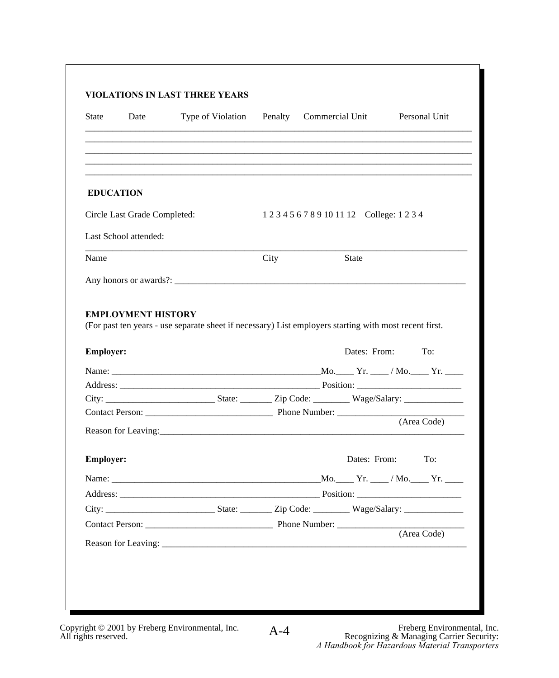| <b>State</b><br>Date                          | Type of Violation                                                                                                                                                                                                              | Penalty | Commercial Unit |                                             | Personal Unit |  |
|-----------------------------------------------|--------------------------------------------------------------------------------------------------------------------------------------------------------------------------------------------------------------------------------|---------|-----------------|---------------------------------------------|---------------|--|
|                                               |                                                                                                                                                                                                                                |         |                 |                                             |               |  |
| <b>EDUCATION</b>                              |                                                                                                                                                                                                                                |         |                 |                                             |               |  |
| Circle Last Grade Completed:                  |                                                                                                                                                                                                                                |         |                 | 1 2 3 4 5 6 7 8 9 10 11 12 College: 1 2 3 4 |               |  |
| Last School attended:                         |                                                                                                                                                                                                                                |         |                 |                                             |               |  |
| Name                                          |                                                                                                                                                                                                                                | City    |                 | State                                       |               |  |
|                                               |                                                                                                                                                                                                                                |         |                 |                                             |               |  |
|                                               | (For past ten years - use separate sheet if necessary) List employers starting with most recent first.                                                                                                                         |         |                 | Dates: From:                                | To:           |  |
|                                               | Address: Position:                                                                                                                                                                                                             |         |                 |                                             |               |  |
| <b>EMPLOYMENT HISTORY</b><br><b>Employer:</b> |                                                                                                                                                                                                                                |         |                 |                                             |               |  |
|                                               |                                                                                                                                                                                                                                |         |                 |                                             |               |  |
|                                               |                                                                                                                                                                                                                                |         |                 |                                             | (Area Code)   |  |
| <b>Employer:</b>                              |                                                                                                                                                                                                                                |         |                 | Dates: From: To:                            |               |  |
|                                               |                                                                                                                                                                                                                                |         |                 |                                             |               |  |
|                                               | Address: Position: Position: Position: Position: Position: Position: Position: Position: Position: Position: Position: Position: Position: Position: Position: Position: Position: Position: Position: Position: Position: Pos |         |                 |                                             |               |  |
|                                               |                                                                                                                                                                                                                                |         |                 |                                             |               |  |
|                                               |                                                                                                                                                                                                                                |         |                 |                                             | (Area Code)   |  |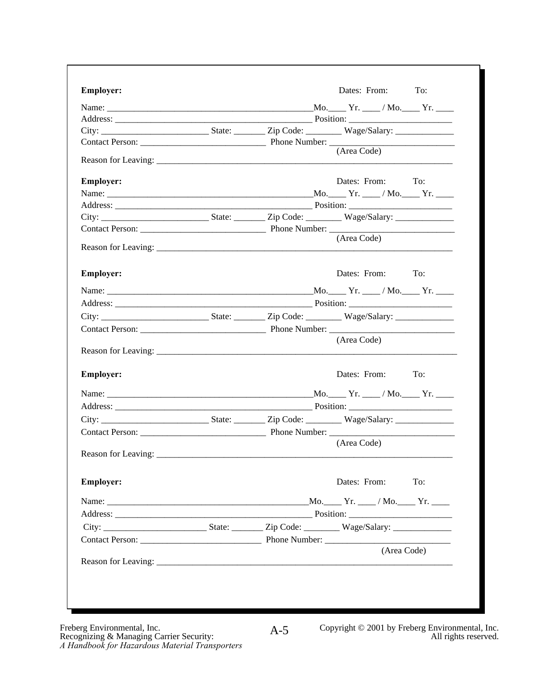| <b>Employer:</b>    | Dates: From: To:                                                                               |
|---------------------|------------------------------------------------------------------------------------------------|
|                     | Name: $\qquad \qquad \mathbf{Mo.} \qquad \mathbf{Yr.} \qquad \mathbf{Mo.} \qquad \mathbf{Yr.}$ |
|                     | Position:                                                                                      |
|                     |                                                                                                |
|                     | (Area Code)                                                                                    |
| Reason for Leaving: |                                                                                                |
| <b>Employer:</b>    | Dates: From: To:                                                                               |
|                     |                                                                                                |
|                     |                                                                                                |
|                     |                                                                                                |
|                     |                                                                                                |
|                     | (Area Code)                                                                                    |
| <b>Employer:</b>    | Dates: From: To:                                                                               |
|                     | Name: Mo. Yr. /Mo. Yr. /Mo. Yr.                                                                |
|                     | Position:                                                                                      |
|                     |                                                                                                |
|                     |                                                                                                |
|                     | (Area Code)                                                                                    |
| Reason for Leaving: |                                                                                                |
| <b>Employer:</b>    | Dates: From: To:                                                                               |
|                     |                                                                                                |
|                     |                                                                                                |
|                     |                                                                                                |
|                     |                                                                                                |
|                     | (Area Code)                                                                                    |
|                     |                                                                                                |
| <b>Employer:</b>    | Dates: From: To:                                                                               |
|                     |                                                                                                |
|                     | the control of the control of                                                                  |
|                     |                                                                                                |
|                     | Contact Person: Phone Number:                                                                  |
|                     | (Area Code)                                                                                    |
|                     |                                                                                                |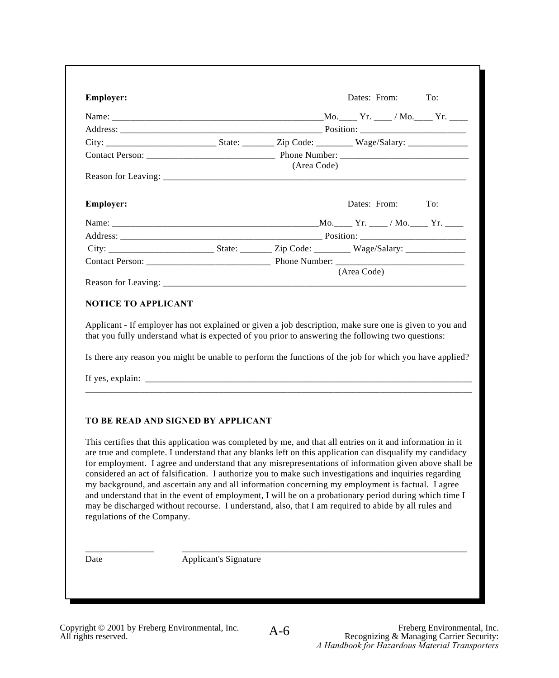| <b>Employer:</b>                                                                                                                                                                                                                                                                                                                                                                                                                                                                                                                                                                                                                                                                                                                                                                                                                                                                                                                                                                                                                                                                                                                                                                                                     |             | Dates: From: To: |  |
|----------------------------------------------------------------------------------------------------------------------------------------------------------------------------------------------------------------------------------------------------------------------------------------------------------------------------------------------------------------------------------------------------------------------------------------------------------------------------------------------------------------------------------------------------------------------------------------------------------------------------------------------------------------------------------------------------------------------------------------------------------------------------------------------------------------------------------------------------------------------------------------------------------------------------------------------------------------------------------------------------------------------------------------------------------------------------------------------------------------------------------------------------------------------------------------------------------------------|-------------|------------------|--|
| Name: Mo. Yr. / Mo. Yr. / Mo. Yr.                                                                                                                                                                                                                                                                                                                                                                                                                                                                                                                                                                                                                                                                                                                                                                                                                                                                                                                                                                                                                                                                                                                                                                                    |             |                  |  |
|                                                                                                                                                                                                                                                                                                                                                                                                                                                                                                                                                                                                                                                                                                                                                                                                                                                                                                                                                                                                                                                                                                                                                                                                                      |             |                  |  |
|                                                                                                                                                                                                                                                                                                                                                                                                                                                                                                                                                                                                                                                                                                                                                                                                                                                                                                                                                                                                                                                                                                                                                                                                                      |             |                  |  |
|                                                                                                                                                                                                                                                                                                                                                                                                                                                                                                                                                                                                                                                                                                                                                                                                                                                                                                                                                                                                                                                                                                                                                                                                                      |             |                  |  |
|                                                                                                                                                                                                                                                                                                                                                                                                                                                                                                                                                                                                                                                                                                                                                                                                                                                                                                                                                                                                                                                                                                                                                                                                                      | (Area Code) |                  |  |
| <b>Employer:</b>                                                                                                                                                                                                                                                                                                                                                                                                                                                                                                                                                                                                                                                                                                                                                                                                                                                                                                                                                                                                                                                                                                                                                                                                     |             | Dates: From: To: |  |
|                                                                                                                                                                                                                                                                                                                                                                                                                                                                                                                                                                                                                                                                                                                                                                                                                                                                                                                                                                                                                                                                                                                                                                                                                      |             |                  |  |
| Address: Position: Position:                                                                                                                                                                                                                                                                                                                                                                                                                                                                                                                                                                                                                                                                                                                                                                                                                                                                                                                                                                                                                                                                                                                                                                                         |             |                  |  |
|                                                                                                                                                                                                                                                                                                                                                                                                                                                                                                                                                                                                                                                                                                                                                                                                                                                                                                                                                                                                                                                                                                                                                                                                                      |             |                  |  |
|                                                                                                                                                                                                                                                                                                                                                                                                                                                                                                                                                                                                                                                                                                                                                                                                                                                                                                                                                                                                                                                                                                                                                                                                                      |             |                  |  |
|                                                                                                                                                                                                                                                                                                                                                                                                                                                                                                                                                                                                                                                                                                                                                                                                                                                                                                                                                                                                                                                                                                                                                                                                                      |             | (Area Code)      |  |
|                                                                                                                                                                                                                                                                                                                                                                                                                                                                                                                                                                                                                                                                                                                                                                                                                                                                                                                                                                                                                                                                                                                                                                                                                      |             |                  |  |
|                                                                                                                                                                                                                                                                                                                                                                                                                                                                                                                                                                                                                                                                                                                                                                                                                                                                                                                                                                                                                                                                                                                                                                                                                      |             |                  |  |
|                                                                                                                                                                                                                                                                                                                                                                                                                                                                                                                                                                                                                                                                                                                                                                                                                                                                                                                                                                                                                                                                                                                                                                                                                      |             |                  |  |
| <b>NOTICE TO APPLICANT</b><br>Applicant - If employer has not explained or given a job description, make sure one is given to you and<br>that you fully understand what is expected of you prior to answering the following two questions:<br>Is there any reason you might be unable to perform the functions of the job for which you have applied?<br>If yes, explain:<br>TO BE READ AND SIGNED BY APPLICANT<br>This certifies that this application was completed by me, and that all entries on it and information in it<br>are true and complete. I understand that any blanks left on this application can disqualify my candidacy<br>for employment. I agree and understand that any misrepresentations of information given above shall be<br>considered an act of falsification. I authorize you to make such investigations and inquiries regarding<br>my background, and ascertain any and all information concerning my employment is factual. I agree<br>and understand that in the event of employment, I will be on a probationary period during which time I<br>may be discharged without recourse. I understand, also, that I am required to abide by all rules and<br>regulations of the Company. |             |                  |  |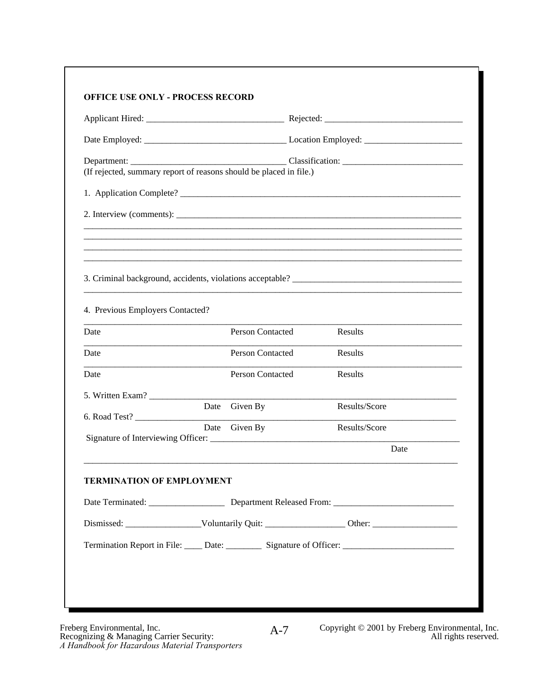|                                                                    |                         | Date Employed: Location Employed:                                                                    |
|--------------------------------------------------------------------|-------------------------|------------------------------------------------------------------------------------------------------|
| (If rejected, summary report of reasons should be placed in file.) |                         |                                                                                                      |
| 1. Application Complete?                                           |                         |                                                                                                      |
| 2. Interview (comments):                                           |                         |                                                                                                      |
|                                                                    |                         |                                                                                                      |
|                                                                    |                         |                                                                                                      |
|                                                                    |                         |                                                                                                      |
|                                                                    |                         |                                                                                                      |
| 4. Previous Employers Contacted?                                   |                         |                                                                                                      |
| Date                                                               | Person Contacted        | Results                                                                                              |
| Date                                                               | <b>Person Contacted</b> | Results                                                                                              |
| Date                                                               | <b>Person Contacted</b> | Results                                                                                              |
| 5. Written Exam?                                                   |                         |                                                                                                      |
| 6. Road Test?                                                      | Date Given By           | Results/Score                                                                                        |
|                                                                    | Date Given By           | Results/Score                                                                                        |
|                                                                    |                         | Date                                                                                                 |
| <b>TERMINATION OF EMPLOYMENT</b>                                   |                         |                                                                                                      |
|                                                                    |                         |                                                                                                      |
|                                                                    |                         |                                                                                                      |
|                                                                    |                         | Termination Report in File: _____ Date: ___________ Signature of Officer: __________________________ |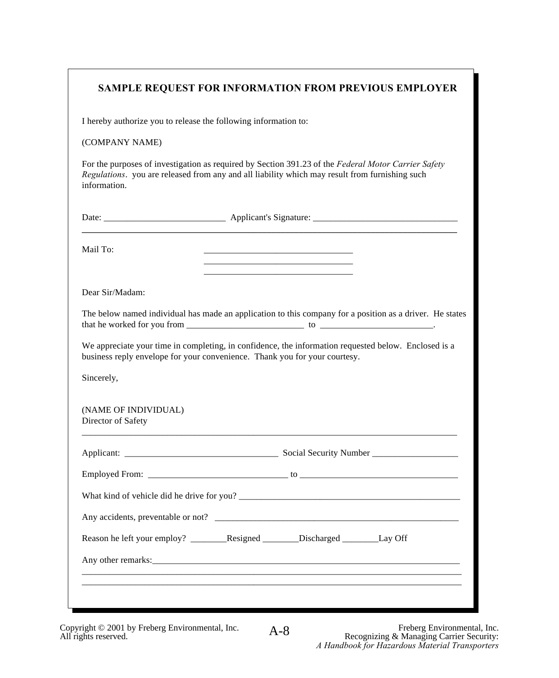# **SAMPLE REQUEST FOR INFORMATION FROM PREVIOUS EMPLOYER SAMPLE REQUEST FOR INFORMATION FROM PREVIOUS EMPLOYER**

I hereby authorize you to release the following information to: I hereby authorize you to release the following information to:

## (COMPANY NAME) (COMPANY NAME)

For the purposes of investigation as required by Section 391.23 of the *Federal Motor Carrier Safety Regulations*. you are released from any and all liability which may result from furnishing such *Regulations*. you are released from any and all liability which may result from furnishing such information. information. For the purposes of investigation as required by Section 391.23 of the *Federal Motor Carrier Safety* 

Date: \_\_\_\_\_\_\_\_\_\_\_\_\_\_\_\_\_\_\_\_\_\_\_\_\_\_\_ Applicant's Signature: \_\_\_\_\_\_\_\_\_\_\_\_\_\_\_\_\_\_\_\_\_\_\_\_\_\_\_\_\_\_\_\_ Date: \_\_\_\_\_\_\_\_\_\_\_\_\_\_\_\_\_\_\_\_\_\_\_\_\_\_\_ Applicant's Signature: \_\_\_\_\_\_\_\_\_\_\_\_\_\_\_\_\_\_\_\_\_\_\_\_\_\_\_\_\_\_\_\_ **\_\_\_\_\_\_\_\_\_\_\_\_\_\_\_\_\_\_\_\_\_\_\_\_\_\_\_\_\_\_\_\_\_\_\_\_\_\_\_\_\_\_\_\_\_\_\_\_\_\_\_\_\_\_\_\_\_\_\_\_\_\_\_\_\_\_\_\_\_\_\_\_\_\_\_\_\_\_\_\_\_\_\_ \_\_\_\_\_\_\_\_\_\_\_\_\_\_\_\_\_\_\_\_\_\_\_\_\_\_\_\_\_\_\_\_\_\_\_\_\_\_\_\_\_\_\_\_\_\_\_\_\_\_\_\_\_\_\_\_\_\_\_\_\_\_\_\_\_\_\_\_\_\_\_\_\_\_\_\_\_\_\_\_\_\_\_**

Tall 10.  $\qquad \qquad \qquad \qquad$ Mail To: \_\_\_\_\_\_\_\_\_\_\_\_\_\_\_\_\_\_\_\_\_\_\_\_\_\_\_\_\_\_\_\_\_

Dear Sir/Madam: Dear Sir/Madam:

The below named individual has made an application to this company for a position as a driver. He states that he worked for you from \_\_\_\_\_\_\_\_\_\_\_\_\_\_\_\_\_\_\_\_\_\_\_\_\_\_ to \_\_\_\_\_\_\_\_\_\_\_\_\_\_\_\_\_\_\_\_\_\_\_\_\_. that he worked for you from \_\_\_\_\_\_\_\_\_\_\_\_\_\_\_\_\_\_\_\_\_\_\_\_\_\_ to \_\_\_\_\_\_\_\_\_\_\_\_\_\_\_\_\_\_\_\_\_\_\_\_\_. The below named individual has made an application to this company for a position as a driver. He states

\_\_\_\_\_\_\_\_\_\_\_\_\_\_\_\_\_\_\_\_\_\_\_\_\_\_\_\_\_\_\_\_\_ \_\_\_\_\_\_\_\_\_\_\_\_\_\_\_\_\_\_\_\_\_\_\_\_\_\_\_\_\_\_\_\_\_ \_\_\_\_\_\_\_\_\_\_\_\_\_\_\_\_\_\_\_\_\_\_\_\_\_\_\_\_\_\_\_\_\_

\_\_\_\_\_\_\_\_\_\_\_\_\_\_\_\_\_\_\_\_\_\_\_\_\_\_\_\_\_\_\_\_\_

We appreciate your time in completing, in confidence, the information requested below. Enclosed is a business reply envelope for your convenience. Thank you for your courtesy. business reply envelope for your convenience. Thank you for your courtesy.

\_\_\_\_\_\_\_\_\_\_\_\_\_\_\_\_\_\_\_\_\_\_\_\_\_\_\_\_\_\_\_\_\_\_\_\_\_\_\_\_\_\_\_\_\_\_\_\_\_\_\_\_\_\_\_\_\_\_\_\_\_\_\_\_\_\_\_\_\_\_\_\_\_\_\_\_\_\_\_\_\_\_\_

Sincerely, Sincerely,

(NAME OF INDIVIDUAL) (NAME OF INDIVIDUAL) Director of Safety Director of Safety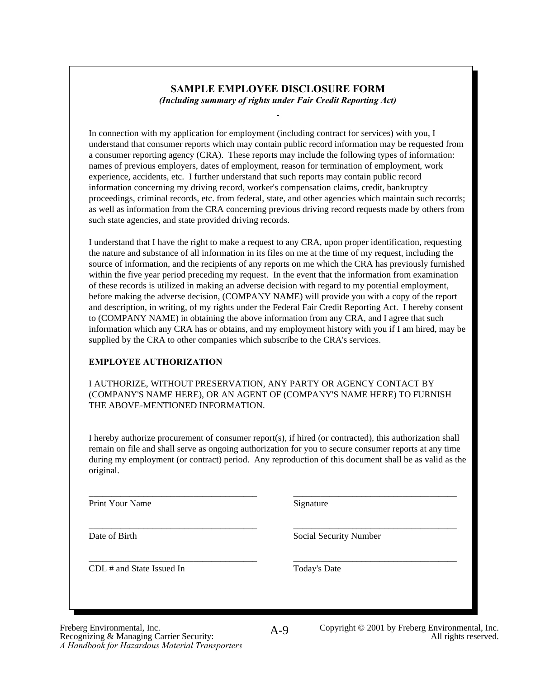#### **SAMPLE EMPLOYEE DISCLOSURE FORM** *(Including summary of rights under Fair Credit Reporting Act) (Including summary of rights under Fair Credit Reporting Act)* **SAMPLE EMPLOYEE DISCLOSURE FORM**

In connection with my application for employment (including contract for services) with you, I<br>understand that consumer reports which may contain public record information may be requested from understand that consumer reports which may contain public record information may be requested from a consumer reporting agency (CRA). These reports may include the following types of information: a consumer reporting agency (CRA). These reports may include the following types of information: names of previous employers, dates of employment, reason for termination of employment, work experience, accidents, etc. I further understand that such reports may contain public record information concerning my driving record, worker's compensation claims, credit, bankruptcy information concerning my driving record, worker's compensation claims, credit, bankruptcy proceedings, criminal records, etc. from federal, state, and other agencies which maintain such records; proceedings, criminal records, etc. from federal, state, and other agencies which maintain such records; as well as information from the CRA concerning previous driving record requests made by others from as well as information from the CRA concerning previous driving record requests made by others from such state agencies, and state provided driving records. such state agencies, and state provided driving records. In connection with my application for employment (including contract for services) with you, I experience, accidents, etc. I further understand that such reports may contain public record

I understand that I have the right to make a request to any CRA, upon proper identification, requesting the nature and substance of all information in its files on me at the time of my request, including the In the nature and substance of all information in its files on me at the time of my request, including the source of information, and the recipients of any reports on me which the CRA has previously furnished source of information, and the recipients of any reports on me which the CRA has previously furnished within the five year period preceding my request. In the event that the information from examination within the five year period preceding my request. In the event that the information from examination of these records is utilized in making an adverse decision with regard to my potential employment, before making the adverse decision, (COMPANY NAME) will provide you with a copy of the report and description, in writing, of my rights under the Federal Fair Credit Reporting Act. I hereby consent and description, in writing, of my rights under the Federal Fair Credit Reporting Act. I hereby consent to (COMPANY NAME) in obtaining the above information from any CRA, and I agree that such  $t_0$  (COMPANY I NAME) in obtaining the above information from any CRA, and I agree that such information which any CRA has or obtains, and my employment history with you if I am hired, may be information which any CRA has or obtains, and my employment history with you if I am hired, may be supplied by the CRA to other companies which subscribe to the CRA's services. supplied by the CRA to other companies which subscribe to the CRA's services. I understand that I have the right to make a request to any CRA, upon proper identification, requesting before making the adverse decision, (COMPANY NAME) will provide you with a copy of the report

## **EMPLOYEE AUTHORIZATION EMPLOYEE AUTHORIZATION**

AUTHORIZE, WITHOUT PRESERVATION, ANY PARTY OR AGENCY CONTACT BY (COMPANY'S NAME HERE), OR AN AGENT OF (COMPANY'S NAME HERE) TO FURNISH (COMPANY'S NAME HERE), OR AN AGENT OF (COMPANY'S NAME HERE) TO FURNISH THE ABOVE-MENTIONED INFORMATION. THE ABOVE-MENTIONED INFORMATION. I AUTHORIZE, WITHOUT PRESERVATION, ANY PARTY OR AGENCY CONTACT BY

I hereby authorize procurement of consumer report(s), if hired (or contracted), this authorization shall remain on file and shall serve as ongoing authorization for you to secure consumer reports at any time remain on file and shall serve as ongoing authorization for you to secure consumer reports at any time during my employment (or contract) period. Any reproduction of this document shall be as valid as the original. original. I hereby authorize procurement of consumer report(s), if hired (or contracted), this authorization shall

\_\_\_\_\_\_\_\_\_\_\_\_\_\_\_\_\_\_\_\_\_\_\_\_\_\_\_\_\_\_\_\_\_\_\_\_\_ \_\_\_\_\_\_\_\_\_\_\_\_\_\_\_\_\_\_\_\_\_\_\_\_\_\_\_\_\_\_\_\_\_\_\_\_ Print Your Name Signature \_\_\_\_\_\_\_\_\_\_\_\_\_\_\_\_\_\_\_\_\_\_\_\_\_\_\_\_\_\_\_\_\_\_\_\_\_ \_\_\_\_\_\_\_\_\_\_\_\_\_\_\_\_\_\_\_\_\_\_\_\_\_\_\_\_\_\_\_\_\_\_\_\_ Print Your Name Signature

 $\frac{1}{\sqrt{2}}$   $\frac{1}{\sqrt{2}}$   $\frac{1}{\sqrt{2}}$   $\frac{1}{\sqrt{2}}$   $\frac{1}{\sqrt{2}}$   $\frac{1}{\sqrt{2}}$   $\frac{1}{\sqrt{2}}$   $\frac{1}{\sqrt{2}}$   $\frac{1}{\sqrt{2}}$   $\frac{1}{\sqrt{2}}$   $\frac{1}{\sqrt{2}}$   $\frac{1}{\sqrt{2}}$   $\frac{1}{\sqrt{2}}$   $\frac{1}{\sqrt{2}}$   $\frac{1}{\sqrt{2}}$   $\frac{1}{\sqrt{2}}$   $\frac{1}{\sqrt{2}}$  Date of Birth Social Security Number \_\_\_\_\_\_\_\_\_\_\_\_\_\_\_\_\_\_\_\_\_\_\_\_\_\_\_\_\_\_\_\_\_\_\_\_\_ \_\_\_\_\_\_\_\_\_\_\_\_\_\_\_\_\_\_\_\_\_\_\_\_\_\_\_\_\_\_\_\_\_\_\_\_

 $\overline{L}$   $\overline{L}$   $\overline{L}$   $\overline{L}$   $\overline{L}$   $\overline{L}$   $\overline{L}$   $\overline{L}$   $\overline{L}$   $\overline{L}$   $\overline{L}$   $\overline{L}$   $\overline{L}$   $\overline{L}$   $\overline{L}$   $\overline{L}$   $\overline{L}$   $\overline{L}$   $\overline{L}$   $\overline{L}$   $\overline{L}$   $\overline{L}$   $\overline{L}$   $\overline{L}$   $\overline{$ CDL # and State Issued In Today's Date CDL # and State Issued In Today's Date

A-9

\_\_\_\_\_\_\_\_\_\_\_\_\_\_\_\_\_\_\_\_\_\_\_\_\_\_\_\_\_\_\_\_\_\_\_\_\_ \_\_\_\_\_\_\_\_\_\_\_\_\_\_\_\_\_\_\_\_\_\_\_\_\_\_\_\_\_\_\_\_\_\_\_\_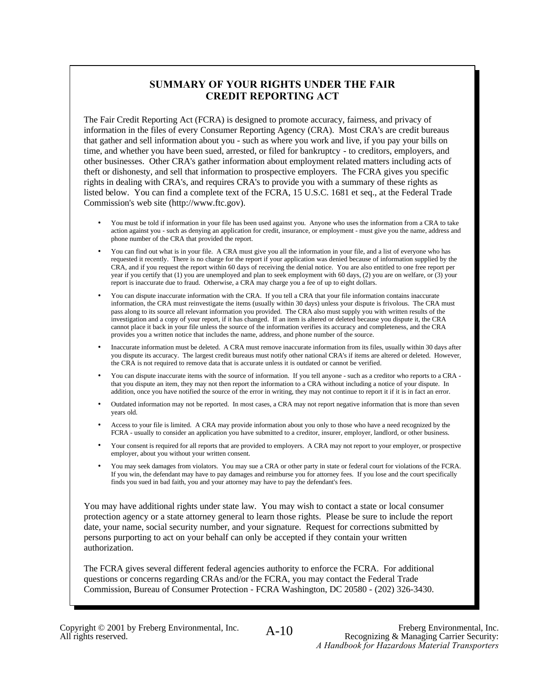### **SUMMARY OF YOUR RIGHTS UNDER THE FAIR CREDIT REPORTING ACT**

The Fair Credit Reporting Act (FCRA) is designed to promote accuracy, fairness, and privacy of information in the files of every Consumer Reporting Agency (CRA). Most CRA's are credit bureaus that gather and sell information about you - such as where you work and live, if you pay your bills on time, and whether you have been sued, arrested, or filed for bankruptcy - to creditors, employers, and other businesses. Other CRA's gather information about employment related matters including acts of theft or dishonesty, and sell that information to prospective employers. The FCRA gives you specific rights in dealing with CRA's, and requires CRA's to provide you with a summary of these rights as listed below. You can find a complete text of the FCRA, 15 U.S.C. 1681 et seq., at the Federal Trade Commission's web site (http://www.ftc.gov).

- You must be told if information in your file has been used against you. Anyone who uses the information from a CRA to take action against you - such as denying an application for credit, insurance, or employment - must give you the name, address and phone number of the CRA that provided the report.
- You can find out what is in your file. A CRA must give you all the information in your file, and a list of everyone who has requested it recently. There is no charge for the report if your application was denied because of information supplied by the CRA, and if you request the report within 60 days of receiving the denial notice. You are also entitled to one free report per year if you certify that (1) you are unemployed and plan to seek employment with 60 days, (2) you are on welfare, or (3) your report is inaccurate due to fraud. Otherwise, a CRA may charge you a fee of up to eight dollars.
- You can dispute inaccurate information with the CRA. If you tell a CRA that your file information contains inaccurate information, the CRA must reinvestigate the items (usually within 30 days) unless your dispute is frivolous. The CRA must pass along to its source all relevant information you provided. The CRA also must supply you with written results of the investigation and a copy of your report, if it has changed. If an item is altered or deleted because you dispute it, the CRA cannot place it back in your file unless the source of the information verifies its accuracy and completeness, and the CRA provides you a written notice that includes the name, address, and phone number of the source.
- Inaccurate information must be deleted. A CRA must remove inaccurate information from its files, usually within 30 days after you dispute its accuracy. The largest credit bureaus must notify other national CRA's if items are altered or deleted. However, the CRA is not required to remove data that is accurate unless it is outdated or cannot be verified.
- You can dispute inaccurate items with the source of information. If you tell anyone such as a creditor who reports to a CRA that you dispute an item, they may not then report the information to a CRA without including a notice of your dispute. In addition, once you have notified the source of the error in writing, they may not continue to report it if it is in fact an error.
- Outdated information may not be reported. In most cases, a CRA may not report negative information that is more than seven years old.
- Access to your file is limited. A CRA may provide information about you only to those who have a need recognized by the FCRA - usually to consider an application you have submitted to a creditor, insurer, employer, landlord, or other business.
- Your consent is required for all reports that are provided to employers. A CRA may not report to your employer, or prospective employer, about you without your written consent.
- You may seek damages from violators. You may sue a CRA or other party in state or federal court for violations of the FCRA. If you win, the defendant may have to pay damages and reimburse you for attorney fees. If you lose and the court specifically finds you sued in bad faith, you and your attorney may have to pay the defendant's fees.

You may have additional rights under state law. You may wish to contact a state or local consumer protection agency or a state attorney general to learn those rights. Please be sure to include the report date, your name, social security number, and your signature. Request for corrections submitted by persons purporting to act on your behalf can only be accepted if they contain your written authorization.

The FCRA gives several different federal agencies authority to enforce the FCRA. For additional questions or concerns regarding CRAs and/or the FCRA, you may contact the Federal Trade Commission, Bureau of Consumer Protection - FCRA Washington, DC 20580 - (202) 326-3430.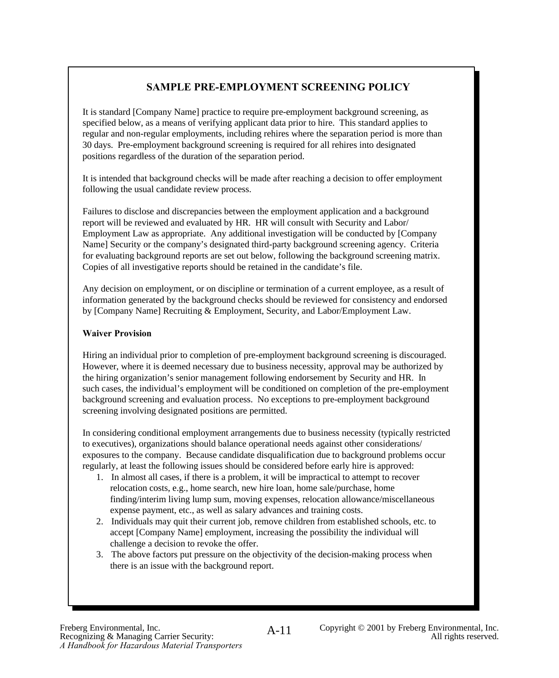# **SAMPLE PRE-EMPLOYMENT SCREENING POLICY SAMPLE PRE-EMPLOYMENT SCREENING POLICY**

It is standard [Company Name] practice to require pre-employment background screening, as specified below, as a means of verifying applicant data prior to hire. This standard applies to specified below, as a means of verifying applicant data prior to hire. This standard applies to regular and non-regular employments, including rehires where the separation period is more than 30 days. Pre-employment background screening is required for all rehires into designated 30 days. Pre-employment background screening is required for all rehires into designated positions regardless of the duration of the separation period. positions regardless of the duration of the separation period. It is standard [Company Name] practice to require pre-employment background screening, as regular and non-regular employments, including rehires where the separation period is more than

It is intended that background checks will be made after reaching a decision to offer employment It is intended that background checks will be made after reaching a decision to offer employment following the usual candidate review process. following the usual candidate review process.

Failures to disclose and discrepancies between the employment application and a background and a background and a background and a background and a background and a background and a background and a background and a backgr report will be reviewed and evaluated by HR. HR will consult with Security and Labor/ Employment Law as appropriate. Any additional investigation will be conducted by [Company Name] Security or the company's designated third-party background screening agency. Criteria Name] Security or the company's designated third-party background screening agency. Criteria for evaluating background reports are set out below, following the background screening matrix. Copies of all investigative reports should be retained in the candidate's file. Copies of all investigative reports should be retained in the candidate's file. Employment Law as appropriate. Any additional investigation will be conducted by [Company

Any decision on employment, or on discipline or termination of a current employee, as a result of information generated by the background checks should be reviewed for consistency and endorsed information generated by the background checks should be reviewed for consistency and endorsed by [Company Name] Recruiting & Employment, Security, and Labor/Employment Law. by [Company Name] Recruiting & Employment, Security, and Labor/Employment Law. Any decision on employment, or on discipline or termination of a current employee, as a result of

## **Waiver Provision Waiver Provision**

Hiring an individual prior to completion of pre-employment background screening is discouraged. However, where it is deemed necessary due to business necessity, approval may be authorized by However, where it is deemed necessary due to business necessity, approval may be authorized by the hiring organization's senior management following endorsement by Security and HR. In the hiring organization's senior management following endorsement by Security and HR. In such cases, the individual's employment will be conditioned on completion of the pre-employment background screening and evaluation process. No exceptions to pre-employment background screening involving designated positions are permitted. screening involving designated positions are permitted. Hiring an individual prior to completion of pre-employment background screening is discouraged. such cases, the individual's employment will be conditioned on completion of the pre-employment

In considering conditional employment arrangements due to business necessity (typically restricted In considering conditional employment arrangements due to business necessity (typically restricted to executives), organizations should balance operational needs against other considerations/ exposures to the company. Because candidate disqualification due to background problems occur regularly, at least the following issues should be considered before early hire is approved: regularly, at least the following issues should be considered before early hire is approved: to executives), organizations should balance operational needs against other considerations/

- $\frac{1}{1}$ . In almost all cases, if there is a problem, it will be impractical to attempt to recover relocation costs, e.g., home search, new hire loan, home sale/purchase, home finding/interim living lump sum, moving expenses, relocation allowance/miscellaneous finding/interim living lump sum, moving expenses, relocation allowance/miscellaneous 1. In almost all cases, if there is a problem, it will be impractical to attempt to recover expense payment, etc., as well as salary advances and training costs.
- expense payment, etc., as well as salary advances and training costs. 2. Individuals may quit their current job, remove children from established schools, etc. to 2. Individuals may quit their current job, remove children from established schools, etc. to accept [Company Name] employment, increasing the possibility the individual will raneige a decision to revoke the offer. challenge a decision to revoke the offer.
- 3. The above factors put pressure on the objectivity of the decision-making process when 3. The above factors put pressure on the objectivity of the decision-making process when there is an issue with the background report. there is an issue with the background report.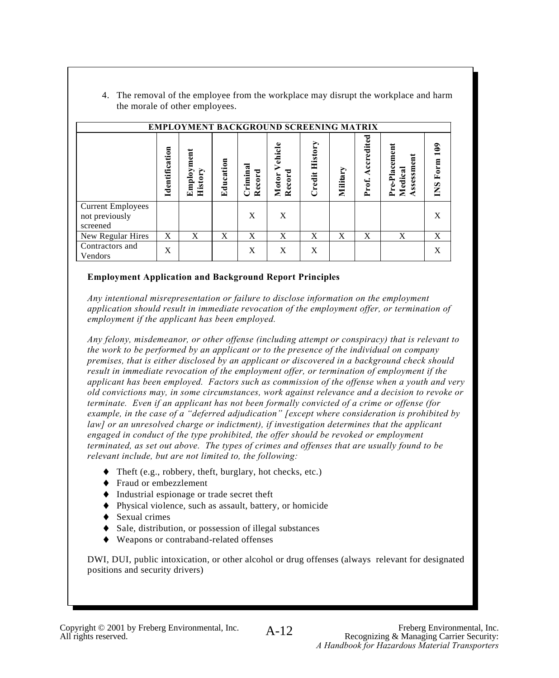4. The removal of the employee from the workplace may disrupt the workplace and harm the morale of other employees.

|                                                        |                |                       |           |                   | <b>EMPLOYMENT BACKGROUND SCREENING MATRIX</b> |                          |          |                     |                                        |                               |
|--------------------------------------------------------|----------------|-----------------------|-----------|-------------------|-----------------------------------------------|--------------------------|----------|---------------------|----------------------------------------|-------------------------------|
|                                                        | Identification | Employment<br>History | Education | Crimina<br>Record | Vehicle<br>Record<br>Motor                    | <b>History</b><br>Credit | Military | Accredited<br>Prof. | Pre-Placement<br>Assessment<br>Medical | $\frac{2}{10}$<br>Form<br>SND |
| <b>Current Employees</b><br>not previously<br>screened |                |                       |           | X                 | X                                             |                          |          |                     |                                        | X                             |
| New Regular Hires                                      | X              | X                     | X         | X                 | X                                             | X                        | X        | X                   | X                                      | X                             |
| Contractors and<br>Vendors                             | X              |                       |           | X                 | X                                             | X                        |          |                     |                                        | X                             |

### **Employment Application and Background Report Principles**

*Any intentional misrepresentation or failure to disclose information on the employment*  application should result in immediate revocation of the employment offer, or termination of *employment if the applicant has been employed.*

*Any felony, misdemeanor, or other offense (including attempt or conspiracy) that is relevant to the work to be performed by an applicant or to the presence of the individual on company premises, that is either disclosed by an applicant or discovered in a background check should result in immediate revocation of the employment offer, or termination of employment if the applicant has been employed. Factors such as commission of the offense when a youth and very old convictions may, in some circumstances, work against relevance and a decision to revoke or terminate. Even if an applicant has not been formally convicted of a crime or offense (for example, in the case of a "deferred adjudication" [except where consideration is prohibited by law] or an unresolved charge or indictment), if investigation determines that the applicant engaged in conduct of the type prohibited, the offer should be revoked or employment terminated, as set out above. The types of crimes and offenses that are usually found to be relevant include, but are not limited to, the following:*

- ♦ Theft (e.g., robbery, theft, burglary, hot checks, etc.)
- ♦ Fraud or embezzlement
- ♦ Industrial espionage or trade secret theft
- ♦ Physical violence, such as assault, battery, or homicide
- ♦ Sexual crimes
- ♦ Sale, distribution, or possession of illegal substances
- ♦ Weapons or contraband-related offenses

DWI, DUI, public intoxication, or other alcohol or drug offenses (always relevant for designated positions and security drivers)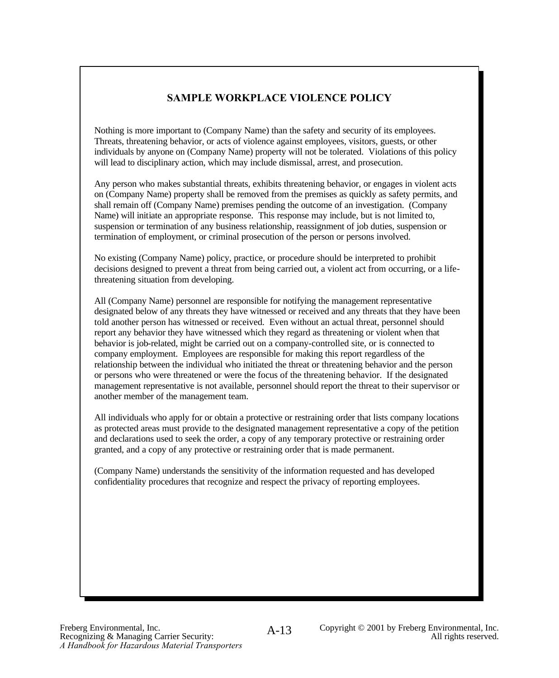## **SAMPLE WORKPLACE VIOLENCE POLICY**

Nothing is more important to (Company Name) than the safety and security of its employees. Threats, threatening behavior, or acts of violence against employees, visitors, guests, or other individuals by anyone on (Company Name) property will not be tolerated. Violations of this policy will lead to disciplinary action, which may include dismissal, arrest, and prosecution.

Any person who makes substantial threats, exhibits threatening behavior, or engages in violent acts on (Company Name) property shall be removed from the premises as quickly as safety permits, and shall remain off (Company Name) premises pending the outcome of an investigation. (Company Name) will initiate an appropriate response. This response may include, but is not limited to, suspension or termination of any business relationship, reassignment of job duties, suspension or termination of employment, or criminal prosecution of the person or persons involved.

No existing (Company Name) policy, practice, or procedure should be interpreted to prohibit decisions designed to prevent a threat from being carried out, a violent act from occurring, or a lifethreatening situation from developing.

All (Company Name) personnel are responsible for notifying the management representative designated below of any threats they have witnessed or received and any threats that they have been told another person has witnessed or received. Even without an actual threat, personnel should report any behavior they have witnessed which they regard as threatening or violent when that behavior is job-related, might be carried out on a company-controlled site, or is connected to company employment. Employees are responsible for making this report regardless of the relationship between the individual who initiated the threat or threatening behavior and the person or persons who were threatened or were the focus of the threatening behavior. If the designated management representative is not available, personnel should report the threat to their supervisor or another member of the management team.

All individuals who apply for or obtain a protective or restraining order that lists company locations as protected areas must provide to the designated management representative a copy of the petition and declarations used to seek the order, a copy of any temporary protective or restraining order granted, and a copy of any protective or restraining order that is made permanent.

(Company Name) understands the sensitivity of the information requested and has developed confidentiality procedures that recognize and respect the privacy of reporting employees.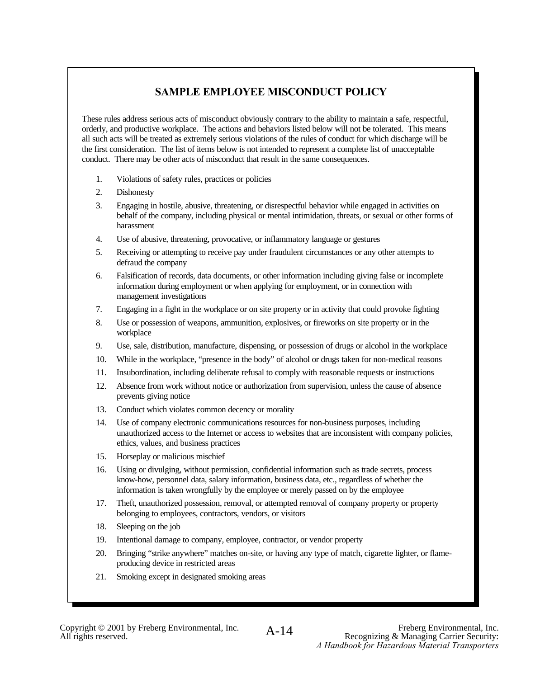## **SAMPLE EMPLOYEE MISCONDUCT POLICY**

These rules address serious acts of misconduct obviously contrary to the ability to maintain a safe, respectful, orderly, and productive workplace. The actions and behaviors listed below will not be tolerated. This means all such acts will be treated as extremely serious violations of the rules of conduct for which discharge will be the first consideration. The list of items below is not intended to represent a complete list of unacceptable conduct. There may be other acts of misconduct that result in the same consequences.

- 1. Violations of safety rules, practices or policies
- 2. Dishonesty
- 3. Engaging in hostile, abusive, threatening, or disrespectful behavior while engaged in activities on behalf of the company, including physical or mental intimidation, threats, or sexual or other forms of harassment
- 4. Use of abusive, threatening, provocative, or inflammatory language or gestures
- 5. Receiving or attempting to receive pay under fraudulent circumstances or any other attempts to defraud the company
- 6. Falsification of records, data documents, or other information including giving false or incomplete information during employment or when applying for employment, or in connection with management investigations
- 7. Engaging in a fight in the workplace or on site property or in activity that could provoke fighting
- 8. Use or possession of weapons, ammunition, explosives, or fireworks on site property or in the workplace
- 9. Use, sale, distribution, manufacture, dispensing, or possession of drugs or alcohol in the workplace
- 10. While in the workplace, "presence in the body" of alcohol or drugs taken for non-medical reasons
- 11. Insubordination, including deliberate refusal to comply with reasonable requests or instructions
- 12. Absence from work without notice or authorization from supervision, unless the cause of absence prevents giving notice
- 13. Conduct which violates common decency or morality
- 14. Use of company electronic communications resources for non-business purposes, including unauthorized access to the Internet or access to websites that are inconsistent with company policies, ethics, values, and business practices
- 15. Horseplay or malicious mischief
- 16. Using or divulging, without permission, confidential information such as trade secrets, process know-how, personnel data, salary information, business data, etc., regardless of whether the information is taken wrongfully by the employee or merely passed on by the employee
- 17. Theft, unauthorized possession, removal, or attempted removal of company property or property belonging to employees, contractors, vendors, or visitors
- 18. Sleeping on the job
- 19. Intentional damage to company, employee, contractor, or vendor property
- 20. Bringing "strike anywhere" matches on-site, or having any type of match, cigarette lighter, or flameproducing device in restricted areas
- 21. Smoking except in designated smoking areas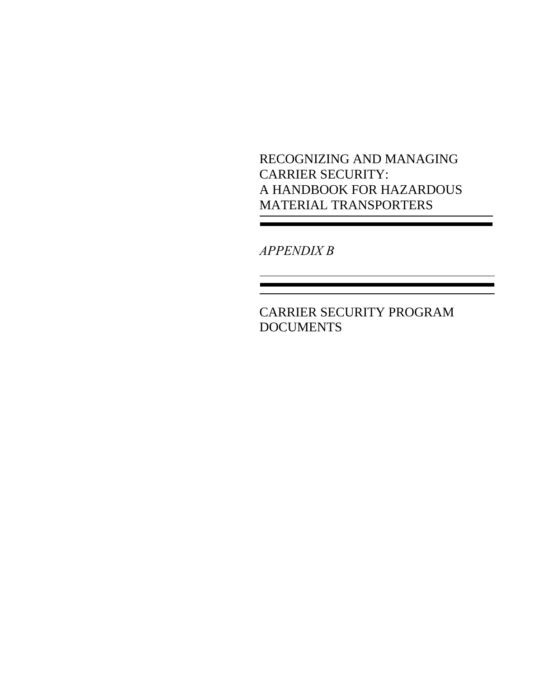RECOGNIZING AND MANAGING CARRIER SECURITY: A HANDBOOK FOR HAZARDOUS MATERIAL TRANSPORTERS

*APPENDIX B*

CARRIER SECURITY PROGRAM **DOCUMENTS**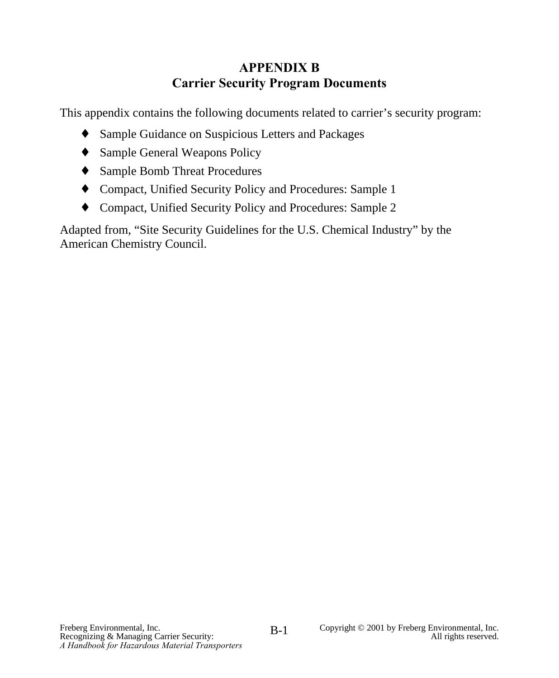# **APPENDIX B Carrier Security Program Documents**

This appendix contains the following documents related to carrier's security program:

- ♦ Sample Guidance on Suspicious Letters and Packages
- ♦ Sample General Weapons Policy
- ♦ Sample Bomb Threat Procedures
- ♦ Compact, Unified Security Policy and Procedures: Sample 1
- ♦ Compact, Unified Security Policy and Procedures: Sample 2

Adapted from, "Site Security Guidelines for the U.S. Chemical Industry" by the American Chemistry Council.

B-1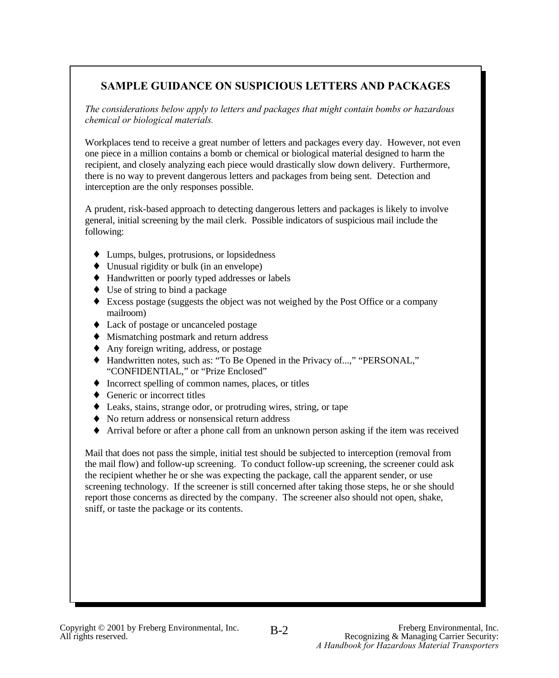## **SAMPLE GUIDANCE ON SUSPICIOUS LETTERS AND PACKAGES**

*The considerations below apply to letters and packages that might contain bombs or hazardous chemical or biological materials.*

Workplaces tend to receive a great number of letters and packages every day. However, not even one piece in a million contains a bomb or chemical or biological material designed to harm the recipient, and closely analyzing each piece would drastically slow down delivery. Furthermore, there is no way to prevent dangerous letters and packages from being sent. Detection and interception are the only responses possible.

A prudent, risk-based approach to detecting dangerous letters and packages is likely to involve general, initial screening by the mail clerk. Possible indicators of suspicious mail include the following:

- ♦ Lumps, bulges, protrusions, or lopsidedness
- ♦ Unusual rigidity or bulk (in an envelope)
- ♦ Handwritten or poorly typed addresses or labels
- ♦ Use of string to bind a package
- ♦ Excess postage (suggests the object was not weighed by the Post Office or a company mailroom)
- ♦ Lack of postage or uncanceled postage
- ♦ Mismatching postmark and return address
- ♦ Any foreign writing, address, or postage
- ♦ Handwritten notes, such as: "To Be Opened in the Privacy of...," "PERSONAL," "CONFIDENTIAL," or "Prize Enclosed"
- ♦ Incorrect spelling of common names, places, or titles
- ♦ Generic or incorrect titles
- ♦ Leaks, stains, strange odor, or protruding wires, string, or tape
- ♦ No return address or nonsensical return address
- Arrival before or after a phone call from an unknown person asking if the item was received

Mail that does not pass the simple, initial test should be subjected to interception (removal from the mail flow) and follow-up screening. To conduct follow-up screening, the screener could ask the recipient whether he or she was expecting the package, call the apparent sender, or use screening technology. If the screener is still concerned after taking those steps, he or she should report those concerns as directed by the company. The screener also should not open, shake, sniff, or taste the package or its contents.

B-2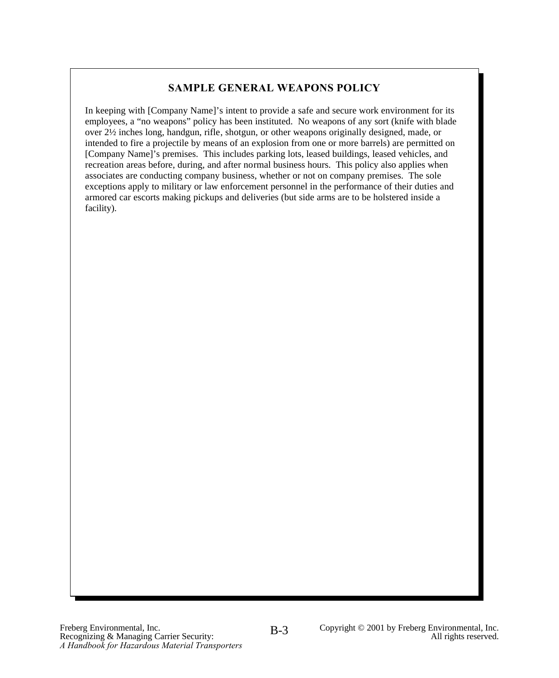## **SAMPLE GENERAL WEAPONS POLICY**

In keeping with [Company Name]'s intent to provide a safe and secure work environment for its employees, a "no weapons" policy has been instituted. No weapons of any sort (knife with blade over 2½ inches long, handgun, rifle, shotgun, or other weapons originally designed, made, or intended to fire a projectile by means of an explosion from one or more barrels) are permitted on [Company Name]'s premises. This includes parking lots, leased buildings, leased vehicles, and recreation areas before, during, and after normal business hours. This policy also applies when associates are conducting company business, whether or not on company premises. The sole exceptions apply to military or law enforcement personnel in the performance of their duties and armored car escorts making pickups and deliveries (but side arms are to be holstered inside a facility).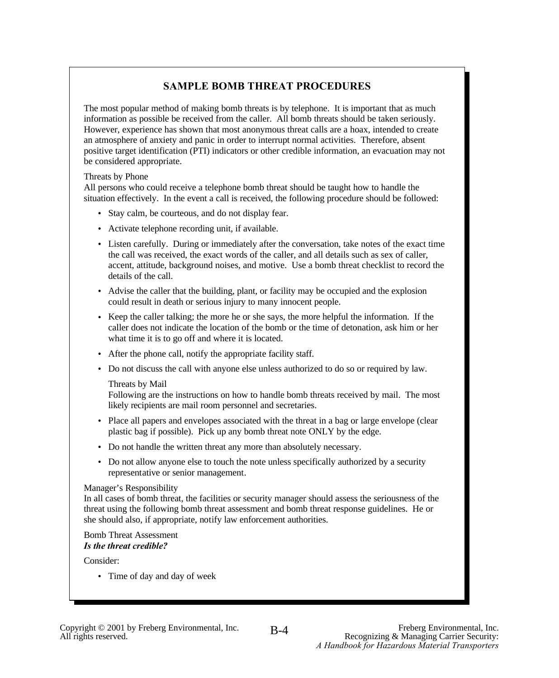## **SAMPLE BOMB THREAT PROCEDURES**

The most popular method of making bomb threats is by telephone. It is important that as much information as possible be received from the caller. All bomb threats should be taken seriously. However, experience has shown that most anonymous threat calls are a hoax, intended to create an atmosphere of anxiety and panic in order to interrupt normal activities. Therefore, absent positive target identification (PTI) indicators or other credible information, an evacuation may not be considered appropriate.

#### Threats by Phone

All persons who could receive a telephone bomb threat should be taught how to handle the situation effectively. In the event a call is received, the following procedure should be followed:

- Stay calm, be courteous, and do not display fear.
- Activate telephone recording unit, if available.
- Listen carefully. During or immediately after the conversation, take notes of the exact time the call was received, the exact words of the caller, and all details such as sex of caller, accent, attitude, background noises, and motive. Use a bomb threat checklist to record the details of the call.
- Advise the caller that the building, plant, or facility may be occupied and the explosion could result in death or serious injury to many innocent people.
- Keep the caller talking; the more he or she says, the more helpful the information. If the caller does not indicate the location of the bomb or the time of detonation, ask him or her what time it is to go off and where it is located.
- After the phone call, notify the appropriate facility staff.
- Do not discuss the call with anyone else unless authorized to do so or required by law.

#### Threats by Mail

Following are the instructions on how to handle bomb threats received by mail. The most likely recipients are mail room personnel and secretaries.

- Place all papers and envelopes associated with the threat in a bag or large envelope (clear plastic bag if possible). Pick up any bomb threat note ONLY by the edge.
- Do not handle the written threat any more than absolutely necessary.
- Do not allow anyone else to touch the note unless specifically authorized by a security representative or senior management.

#### Manager's Responsibility

In all cases of bomb threat, the facilities or security manager should assess the seriousness of the threat using the following bomb threat assessment and bomb threat response guidelines. He or she should also, if appropriate, notify law enforcement authorities.

#### Bomb Threat Assessment *Is the threat credible?*

Consider:

• Time of day and day of week

B-4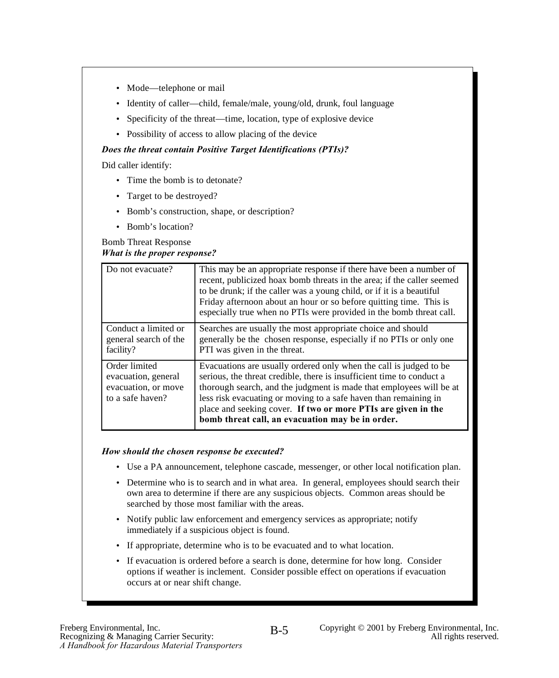- Mode—telephone or mail
- Identity of caller—child, female/male, young/old, drunk, foul language
- Specificity of the threat—time, location, type of explosive device
- Possibility of access to allow placing of the device

### *Does the threat contain Positive Target Identifications (PTIs)?*

Did caller identify:

- Time the bomb is to detonate?
- Target to be destroyed?
- Bomb's construction, shape, or description?
- Bomb's location?

### Bomb Threat Response *What is the proper response?*

| Do not evacuate?                                                                | This may be an appropriate response if there have been a number of<br>recent, publicized hoax bomb threats in the area; if the caller seemed<br>to be drunk; if the caller was a young child, or if it is a beautiful<br>Friday afternoon about an hour or so before quitting time. This is<br>especially true when no PTIs were provided in the bomb threat call.                                          |
|---------------------------------------------------------------------------------|-------------------------------------------------------------------------------------------------------------------------------------------------------------------------------------------------------------------------------------------------------------------------------------------------------------------------------------------------------------------------------------------------------------|
| Conduct a limited or<br>general search of the<br>facility?                      | Searches are usually the most appropriate choice and should<br>generally be the chosen response, especially if no PTIs or only one<br>PTI was given in the threat.                                                                                                                                                                                                                                          |
| Order limited<br>evacuation, general<br>evacuation, or move<br>to a safe haven? | Evacuations are usually ordered only when the call is judged to be<br>serious, the threat credible, there is insufficient time to conduct a<br>thorough search, and the judgment is made that employees will be at<br>less risk evacuating or moving to a safe haven than remaining in<br>place and seeking cover. If two or more PTIs are given in the<br>bomb threat call, an evacuation may be in order. |

### *How should the chosen response be executed?*

- Use a PA announcement, telephone cascade, messenger, or other local notification plan.
- Determine who is to search and in what area. In general, employees should search their own area to determine if there are any suspicious objects. Common areas should be searched by those most familiar with the areas.
- Notify public law enforcement and emergency services as appropriate; notify immediately if a suspicious object is found.
- If appropriate, determine who is to be evacuated and to what location.
- If evacuation is ordered before a search is done, determine for how long. Consider options if weather is inclement. Consider possible effect on operations if evacuation occurs at or near shift change.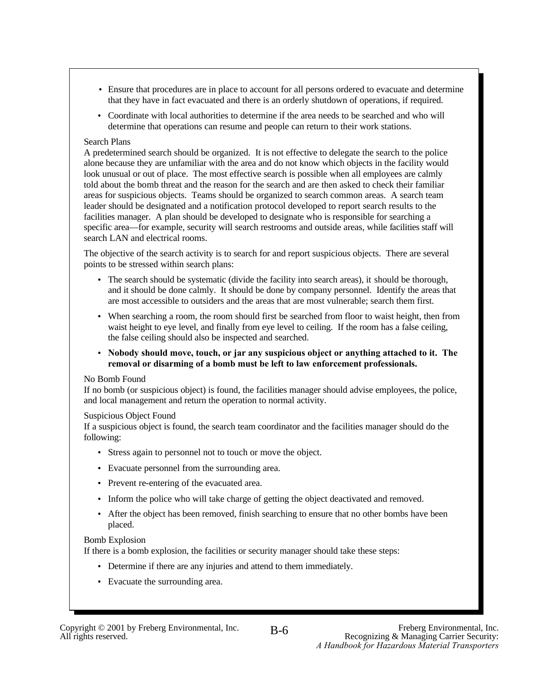- Ensure that procedures are in place to account for all persons ordered to evacuate and determine that they have in fact evacuated and there is an orderly shutdown of operations, if required.
- Coordinate with local authorities to determine if the area needs to be searched and who will determine that operations can resume and people can return to their work stations.

### Search Plans

A predetermined search should be organized. It is not effective to delegate the search to the police alone because they are unfamiliar with the area and do not know which objects in the facility would look unusual or out of place. The most effective search is possible when all employees are calmly told about the bomb threat and the reason for the search and are then asked to check their familiar areas for suspicious objects. Teams should be organized to search common areas. A search team leader should be designated and a notification protocol developed to report search results to the facilities manager. A plan should be developed to designate who is responsible for searching a specific area—for example, security will search restrooms and outside areas, while facilities staff will search LAN and electrical rooms.

The objective of the search activity is to search for and report suspicious objects. There are several points to be stressed within search plans:

- The search should be systematic (divide the facility into search areas), it should be thorough, and it should be done calmly. It should be done by company personnel. Identify the areas that are most accessible to outsiders and the areas that are most vulnerable; search them first.
- When searching a room, the room should first be searched from floor to waist height, then from waist height to eye level, and finally from eye level to ceiling. If the room has a false ceiling, the false ceiling should also be inspected and searched.
- **Nobody should move, touch, or jar any suspicious object or anything attached to it. The removal or disarming of a bomb must be left to law enforcement professionals.**

### No Bomb Found

If no bomb (or suspicious object) is found, the facilities manager should advise employees, the police, and local management and return the operation to normal activity.

### Suspicious Object Found

If a suspicious object is found, the search team coordinator and the facilities manager should do the following:

- Stress again to personnel not to touch or move the object.
- Evacuate personnel from the surrounding area.
- Prevent re-entering of the evacuated area.
- Inform the police who will take charge of getting the object deactivated and removed.
- After the object has been removed, finish searching to ensure that no other bombs have been placed.

### Bomb Explosion

If there is a bomb explosion, the facilities or security manager should take these steps:

- Determine if there are any injuries and attend to them immediately.
- Evacuate the surrounding area.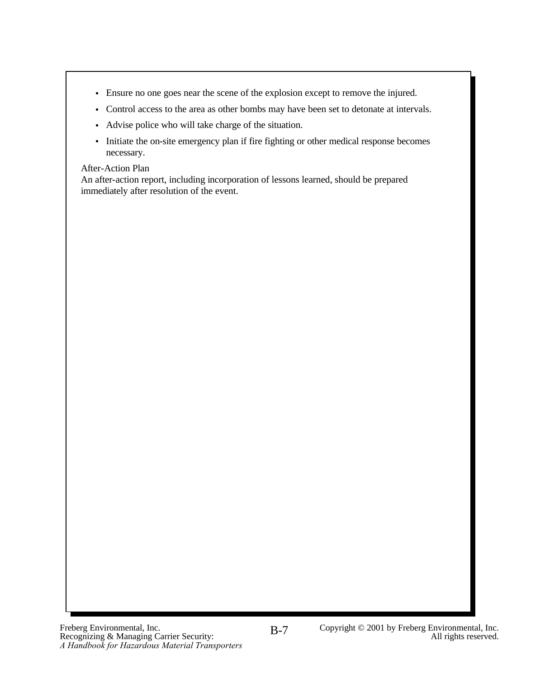- Ensure no one goes near the scene of the explosion except to remove the injured.
- Control access to the area as other bombs may have been set to detonate at intervals.
- Advise police who will take charge of the situation.
- Initiate the on-site emergency plan if fire fighting or other medical response becomes necessary.

### After-Action Plan

An after-action report, including incorporation of lessons learned, should be prepared immediately after resolution of the event.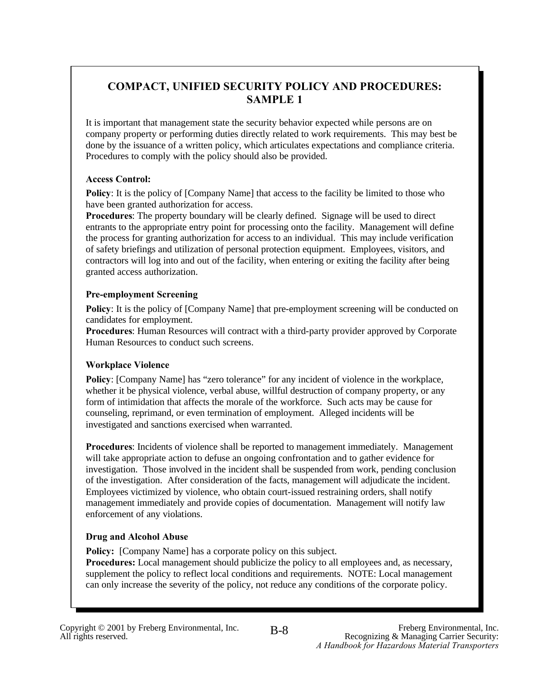## **COMPACT, UNIFIED SECURITY POLICY AND PROCEDURES: SAMPLE 1**

It is important that management state the security behavior expected while persons are on company property or performing duties directly related to work requirements. This may best be done by the issuance of a written policy, which articulates expectations and compliance criteria. Procedures to comply with the policy should also be provided.

### **Access Control:**

**Policy**: It is the policy of [Company Name] that access to the facility be limited to those who have been granted authorization for access.

**Procedures**: The property boundary will be clearly defined. Signage will be used to direct entrants to the appropriate entry point for processing onto the facility. Management will define the process for granting authorization for access to an individual. This may include verification of safety briefings and utilization of personal protection equipment. Employees, visitors, and contractors will log into and out of the facility, when entering or exiting the facility after being granted access authorization.

### **Pre-employment Screening**

**Policy**: It is the policy of [Company Name] that pre-employment screening will be conducted on candidates for employment.

**Procedures**: Human Resources will contract with a third-party provider approved by Corporate Human Resources to conduct such screens.

### **Workplace Violence**

**Policy**: [Company Name] has "zero tolerance" for any incident of violence in the workplace, whether it be physical violence, verbal abuse, willful destruction of company property, or any form of intimidation that affects the morale of the workforce. Such acts may be cause for counseling, reprimand, or even termination of employment. Alleged incidents will be investigated and sanctions exercised when warranted.

**Procedures**: Incidents of violence shall be reported to management immediately. Management will take appropriate action to defuse an ongoing confrontation and to gather evidence for investigation. Those involved in the incident shall be suspended from work, pending conclusion of the investigation. After consideration of the facts, management will adjudicate the incident. Employees victimized by violence, who obtain court-issued restraining orders, shall notify management immediately and provide copies of documentation. Management will notify law enforcement of any violations.

### **Drug and Alcohol Abuse**

**Policy:** [Company Name] has a corporate policy on this subject.

**Procedures:** Local management should publicize the policy to all employees and, as necessary, supplement the policy to reflect local conditions and requirements. NOTE: Local management can only increase the severity of the policy, not reduce any conditions of the corporate policy.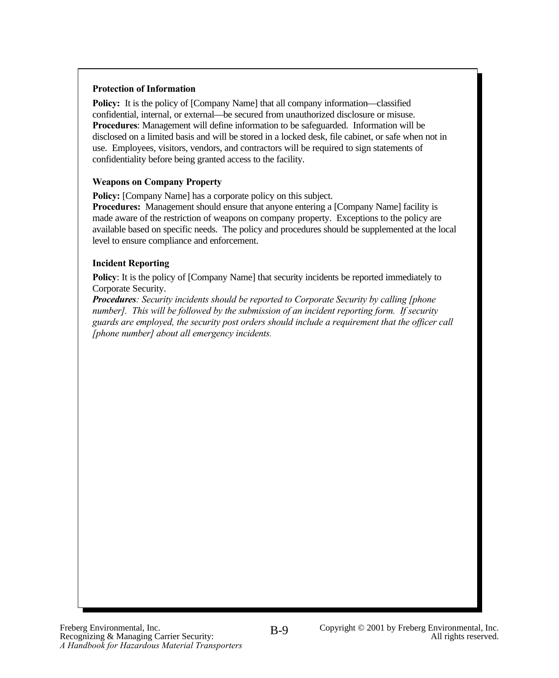#### **Protection of Information**

**Policy:** It is the policy of [Company Name] that all company information—classified confidential, internal, or external—be secured from unauthorized disclosure or misuse. **Procedures**: Management will define information to be safeguarded. Information will be disclosed on a limited basis and will be stored in a locked desk, file cabinet, or safe when not in use. Employees, visitors, vendors, and contractors will be required to sign statements of confidentiality before being granted access to the facility.

### **Weapons on Company Property**

**Policy:** [Company Name] has a corporate policy on this subject.

**Procedures:** Management should ensure that anyone entering a [Company Name] facility is made aware of the restriction of weapons on company property. Exceptions to the policy are available based on specific needs. The policy and procedures should be supplemented at the local level to ensure compliance and enforcement.

### **Incident Reporting**

**Policy:** It is the policy of [Company Name] that security incidents be reported immediately to Corporate Security.

*Procedures: Security incidents should be reported to Corporate Security by calling [phone number]. This will be followed by the submission of an incident reporting form. If security guards are employed, the security post orders should include a requirement that the officer call [phone number] about all emergency incidents.*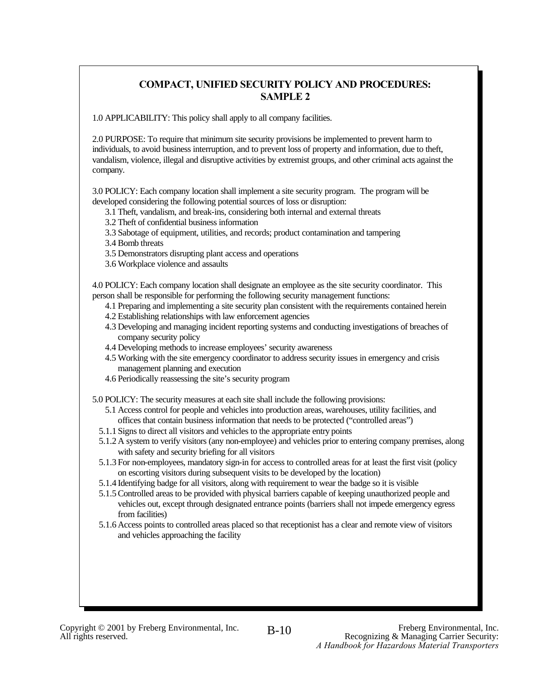### **COMPACT, UNIFIED SECURITY POLICY AND PROCEDURES: SAMPLE 2**

1.0 APPLICABILITY: This policy shall apply to all company facilities.

2.0 PURPOSE: To require that minimum site security provisions be implemented to prevent harm to individuals, to avoid business interruption, and to prevent loss of property and information, due to theft, vandalism, violence, illegal and disruptive activities by extremist groups, and other criminal acts against the company.

3.0 POLICY: Each company location shall implement a site security program. The program will be developed considering the following potential sources of loss or disruption:

3.1 Theft, vandalism, and break-ins, considering both internal and external threats

- 3.2 Theft of confidential business information
- 3.3 Sabotage of equipment, utilities, and records; product contamination and tampering

3.4 Bomb threats

3.5 Demonstrators disrupting plant access and operations

3.6 Workplace violence and assaults

4.0 POLICY: Each company location shall designate an employee as the site security coordinator. This person shall be responsible for performing the following security management functions:

- 4.1 Preparing and implementing a site security plan consistent with the requirements contained herein
- 4.2 Establishing relationships with law enforcement agencies
- 4.3 Developing and managing incident reporting systems and conducting investigations of breaches of company security policy
- 4.4 Developing methods to increase employees' security awareness
- 4.5 Working with the site emergency coordinator to address security issues in emergency and crisis management planning and execution
- 4.6 Periodically reassessing the site's security program
- 5.0 POLICY: The security measures at each site shall include the following provisions:
	- 5.1 Access control for people and vehicles into production areas, warehouses, utility facilities, and offices that contain business information that needs to be protected ("controlled areas")
	- 5.1.1 Signs to direct all visitors and vehicles to the appropriate entry points
	- 5.1.2 A system to verify visitors (any non-employee) and vehicles prior to entering company premises, along with safety and security briefing for all visitors
	- 5.1.3 For non-employees, mandatory sign-in for access to controlled areas for at least the first visit (policy on escorting visitors during subsequent visits to be developed by the location)
	- 5.1.4 Identifying badge for all visitors, along with requirement to wear the badge so it is visible
	- 5.1.5Controlled areas to be provided with physical barriers capable of keeping unauthorized people and vehicles out, except through designated entrance points (barriers shall not impede emergency egress from facilities)
	- 5.1.6 Access points to controlled areas placed so that receptionist has a clear and remote view of visitors and vehicles approaching the facility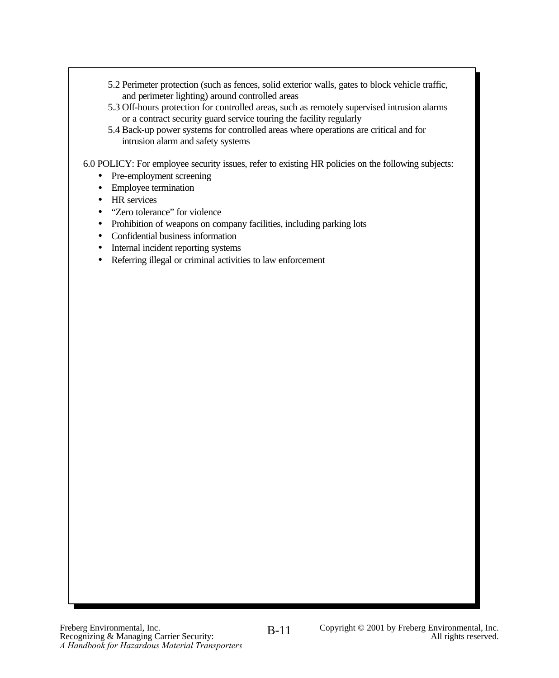- 5.2 Perimeter protection (such as fences, solid exterior walls, gates to block vehicle traffic, and perimeter lighting) around controlled areas
- 5.3 Off-hours protection for controlled areas, such as remotely supervised intrusion alarms or a contract security guard service touring the facility regularly
- 5.4 Back-up power systems for controlled areas where operations are critical and for intrusion alarm and safety systems

6.0 POLICY: For employee security issues, refer to existing HR policies on the following subjects:

- Pre-employment screening
- Employee termination
- HR services
- "Zero tolerance" for violence
- Prohibition of weapons on company facilities, including parking lots
- Confidential business information
- Internal incident reporting systems
- Referring illegal or criminal activities to law enforcement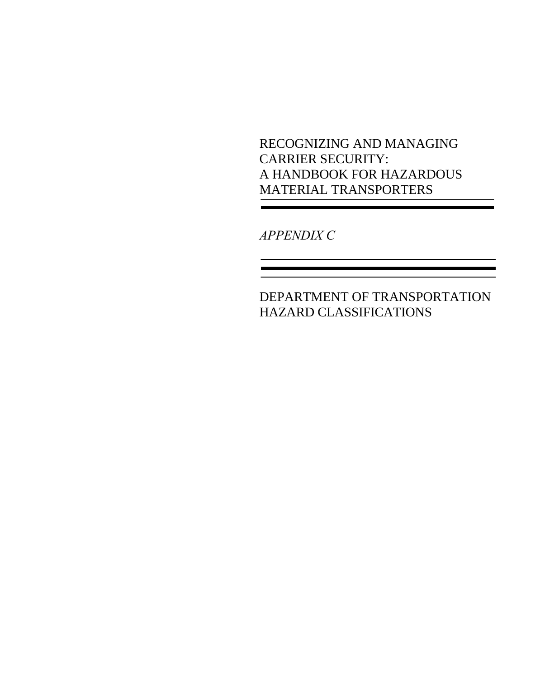RECOGNIZING AND MANAGING CARRIER SECURITY: A HANDBOOK FOR HAZARDOUS MATERIAL TRANSPORTERS

*APPENDIX C*

DEPARTMENT OF TRANSPORTATION HAZARD CLASSIFICATIONS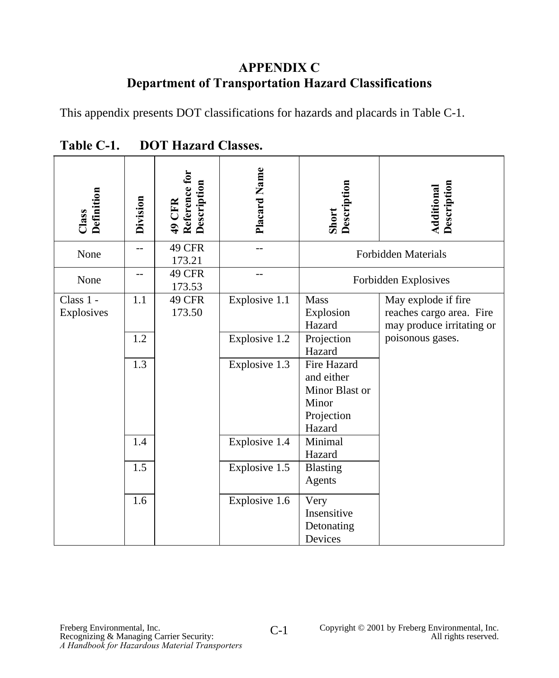## **APPENDIX C Department of Transportation Hazard Classifications**

This appendix presents DOT classifications for hazards and placards in Table C-1.

| Class<br>Definition     | Division | Reference for<br>Description<br>49 CFR | Placard Name  | Short<br>Description                                                         | <b>Additional</b><br>Description                                             |
|-------------------------|----------|----------------------------------------|---------------|------------------------------------------------------------------------------|------------------------------------------------------------------------------|
| None                    | --       | 49 CFR<br>173.21                       |               |                                                                              | <b>Forbidden Materials</b>                                                   |
| None                    |          | <b>49 CFR</b><br>173.53                |               |                                                                              | Forbidden Explosives                                                         |
| Class 1 -<br>Explosives | 1.1      | 49 CFR<br>173.50                       | Explosive 1.1 | Mass<br>Explosion<br>Hazard                                                  | May explode if fire<br>reaches cargo area. Fire<br>may produce irritating or |
|                         | 1.2      |                                        | Explosive 1.2 | Projection<br>Hazard                                                         | poisonous gases.                                                             |
|                         | 1.3      |                                        | Explosive 1.3 | Fire Hazard<br>and either<br>Minor Blast or<br>Minor<br>Projection<br>Hazard |                                                                              |
|                         | 1.4      |                                        | Explosive 1.4 | Minimal<br>Hazard                                                            |                                                                              |
|                         | 1.5      |                                        | Explosive 1.5 | Blasting<br>Agents                                                           |                                                                              |
|                         | 1.6      |                                        | Explosive 1.6 | Very<br>Insensitive<br>Detonating<br>Devices                                 |                                                                              |

**Table C-1. DOT Hazard Classes.**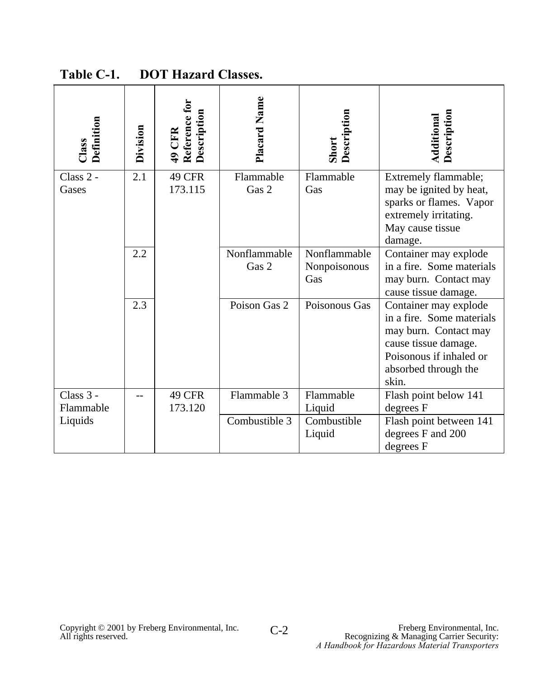| Definition<br>Class    | Division | Reference for<br>Description<br>49 CFR | Placard Name          | Description<br>Short                | <b>Additional</b><br>Description                                                                                                                                |
|------------------------|----------|----------------------------------------|-----------------------|-------------------------------------|-----------------------------------------------------------------------------------------------------------------------------------------------------------------|
| Class $2 -$<br>Gases   | 2.1      | 49 CFR<br>173.115                      | Flammable<br>Gas 2    | Flammable<br>Gas                    | Extremely flammable;<br>may be ignited by heat,<br>sparks or flames. Vapor<br>extremely irritating.<br>May cause tissue<br>damage.                              |
|                        | 2.2      |                                        | Nonflammable<br>Gas 2 | Nonflammable<br>Nonpoisonous<br>Gas | Container may explode<br>in a fire. Some materials<br>may burn. Contact may<br>cause tissue damage.                                                             |
|                        | 2.3      |                                        | Poison Gas 2          | Poisonous Gas                       | Container may explode<br>in a fire. Some materials<br>may burn. Contact may<br>cause tissue damage.<br>Poisonous if inhaled or<br>absorbed through the<br>skin. |
| Class 3 -<br>Flammable |          | 49 CFR<br>173.120                      | Flammable 3           | Flammable<br>Liquid                 | Flash point below 141<br>degrees F                                                                                                                              |
| Liquids                |          |                                        | Combustible 3         | Combustible<br>Liquid               | Flash point between 141<br>degrees F and 200<br>degrees F                                                                                                       |

**Table C-1. DOT Hazard Classes.**

C-2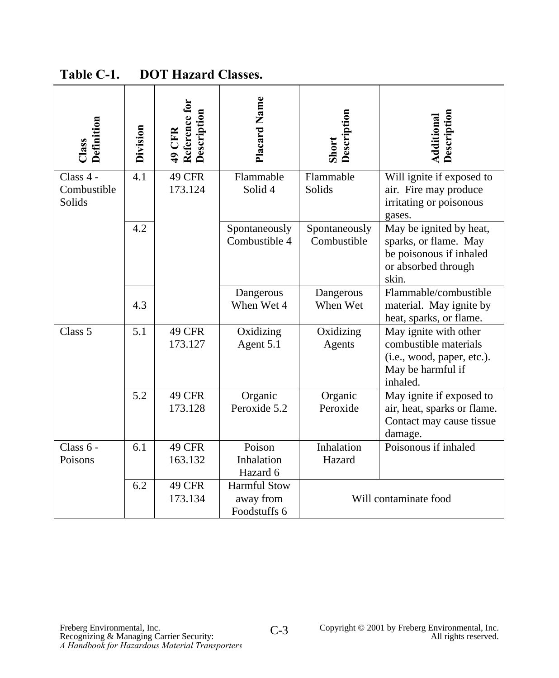| Definition<br>$\Box$ ass           | Division | Reference for<br>Description<br>49 CFR | Placard Name                                     | Description<br>Short         | <b>Additional</b><br>Description                                                                              |
|------------------------------------|----------|----------------------------------------|--------------------------------------------------|------------------------------|---------------------------------------------------------------------------------------------------------------|
| Class 4 -<br>Combustible<br>Solids | 4.1      | 49 CFR<br>173.124                      | Flammable<br>Solid <sub>4</sub>                  | Flammable<br>Solids          | Will ignite if exposed to<br>air. Fire may produce<br>irritating or poisonous<br>gases.                       |
|                                    | 4.2      |                                        | Spontaneously<br>Combustible 4                   | Spontaneously<br>Combustible | May be ignited by heat,<br>sparks, or flame. May<br>be poisonous if inhaled<br>or absorbed through<br>skin.   |
|                                    | 4.3      |                                        | Dangerous<br>When Wet 4                          | Dangerous<br>When Wet        | Flammable/combustible<br>material. May ignite by<br>heat, sparks, or flame.                                   |
| Class 5                            | 5.1      | 49 CFR<br>173.127                      | Oxidizing<br>Agent 5.1                           | Oxidizing<br>Agents          | May ignite with other<br>combustible materials<br>(i.e., wood, paper, etc.).<br>May be harmful if<br>inhaled. |
|                                    | 5.2      | 49 CFR<br>173.128                      | Organic<br>Peroxide 5.2                          | Organic<br>Peroxide          | May ignite if exposed to<br>air, heat, sparks or flame.<br>Contact may cause tissue<br>damage.                |
| Class $6 -$<br>Poisons             | 6.1      | 49 CFR<br>163.132                      | Poison<br>Inhalation<br>Hazard 6                 | Inhalation<br>Hazard         | Poisonous if inhaled                                                                                          |
|                                    | 6.2      | 49 CFR<br>173.134                      | <b>Harmful Stow</b><br>away from<br>Foodstuffs 6 |                              | Will contaminate food                                                                                         |

**Table C-1. DOT Hazard Classes.**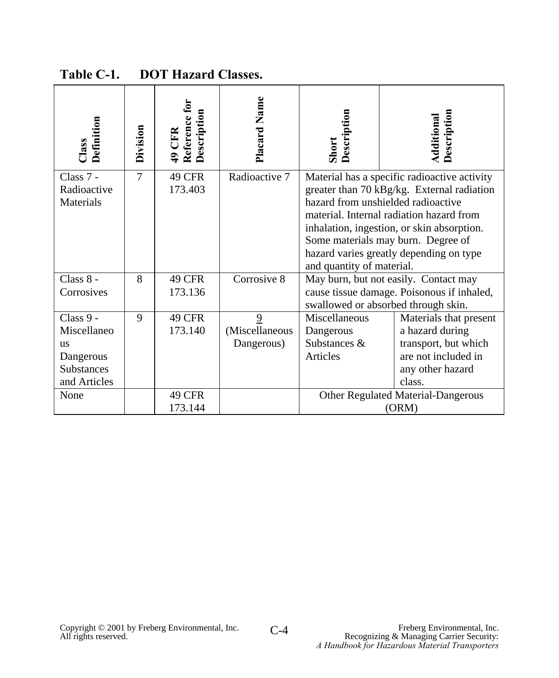| Definition<br>Class      | Division       | Reference for<br>Description<br>49 CFR | Placard Name   | Description<br>Short      | <b>Additional</b><br>Description                                                 |
|--------------------------|----------------|----------------------------------------|----------------|---------------------------|----------------------------------------------------------------------------------|
| Class 7 -                | $\overline{7}$ | 49 CFR                                 | Radioactive 7  |                           | Material has a specific radioactive activity                                     |
| Radioactive<br>Materials |                | 173.403                                |                |                           | greater than 70 kBg/kg. External radiation<br>hazard from unshielded radioactive |
|                          |                |                                        |                |                           | material. Internal radiation hazard from                                         |
|                          |                |                                        |                |                           | inhalation, ingestion, or skin absorption.                                       |
|                          |                |                                        |                |                           | Some materials may burn. Degree of                                               |
|                          |                |                                        |                | and quantity of material. | hazard varies greatly depending on type                                          |
| Class 8 -                | 8              | <b>49 CFR</b>                          | Corrosive 8    |                           | May burn, but not easily. Contact may                                            |
| Corrosives               |                | 173.136                                |                |                           | cause tissue damage. Poisonous if inhaled,                                       |
|                          |                |                                        |                |                           | swallowed or absorbed through skin.                                              |
| Class 9 -                | 9              | 49 CFR                                 | 9              | Miscellaneous             | Materials that present                                                           |
| Miscellaneo              |                | 173.140                                | (Miscellaneous | Dangerous                 | a hazard during                                                                  |
| <b>us</b>                |                |                                        | Dangerous)     | Substances &              | transport, but which                                                             |
| Dangerous                |                |                                        |                | Articles                  | are not included in                                                              |
| Substances               |                |                                        |                |                           | any other hazard<br>class.                                                       |
| and Articles<br>None     |                |                                        |                |                           |                                                                                  |
|                          |                | <b>49 CFR</b><br>173.144               |                |                           | Other Regulated Material-Dangerous<br>(ORM)                                      |
|                          |                |                                        |                |                           |                                                                                  |

**Table C-1. DOT Hazard Classes.**

C-4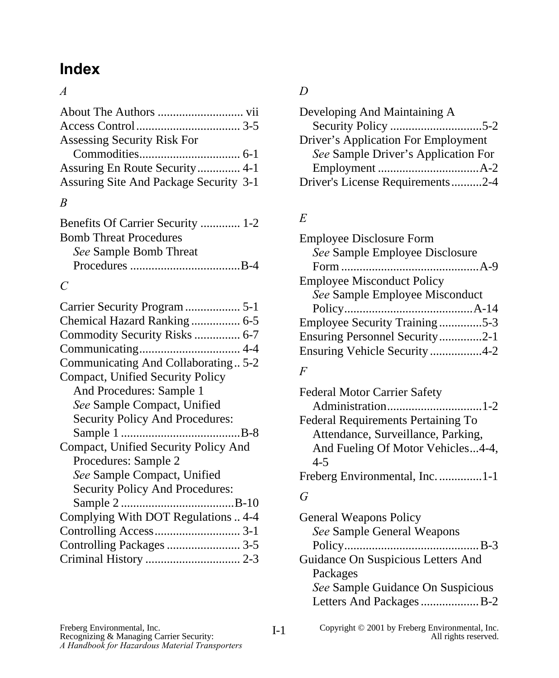# **Index**

## *A*

| Assessing Security Risk For            |  |
|----------------------------------------|--|
|                                        |  |
| Assuring En Route Security 4-1         |  |
| Assuring Site And Package Security 3-1 |  |
| B                                      |  |

| Benefits Of Carrier Security  1-2 |  |
|-----------------------------------|--|
| <b>Bomb Threat Procedures</b>     |  |
| See Sample Bomb Threat            |  |
|                                   |  |
|                                   |  |

# *C*

| Carrier Security Program  5-1          |
|----------------------------------------|
| Chemical Hazard Ranking  6-5           |
| Commodity Security Risks  6-7          |
|                                        |
| Communicating And Collaborating5-2     |
| Compact, Unified Security Policy       |
| And Procedures: Sample 1               |
| See Sample Compact, Unified            |
| <b>Security Policy And Procedures:</b> |
|                                        |
| Compact, Unified Security Policy And   |
| Procedures: Sample 2                   |
| See Sample Compact, Unified            |
| <b>Security Policy And Procedures:</b> |
|                                        |
| Complying With DOT Regulations  4-4    |
|                                        |
| Controlling Packages  3-5              |
|                                        |
|                                        |

# *D*

| Developing And Maintaining A        |  |
|-------------------------------------|--|
|                                     |  |
| Driver's Application For Employment |  |
| See Sample Driver's Application For |  |
|                                     |  |
| Driver's License Requirements2-4    |  |

# *E*

| <b>Employee Disclosure Form</b>   |  |
|-----------------------------------|--|
| See Sample Employee Disclosure    |  |
|                                   |  |
| <b>Employee Misconduct Policy</b> |  |
| See Sample Employee Misconduct    |  |
|                                   |  |
| Employee Security Training5-3     |  |
| Ensuring Personnel Security2-1    |  |
| Ensuring Vehicle Security4-2      |  |
|                                   |  |

## *F*

| <b>Federal Motor Carrier Safety</b>       |  |
|-------------------------------------------|--|
|                                           |  |
| <b>Federal Requirements Pertaining To</b> |  |
| Attendance, Surveillance, Parking,        |  |
| And Fueling Of Motor Vehicles4-4,         |  |
| $4 - 5$                                   |  |
| Freberg Environmental, Inc. 1-1           |  |

## *G*

| <b>General Weapons Policy</b>      |
|------------------------------------|
| See Sample General Weapons         |
|                                    |
| Guidance On Suspicious Letters And |
| Packages                           |
| See Sample Guidance On Suspicious  |
| Letters And Packages B-2           |
|                                    |

I-1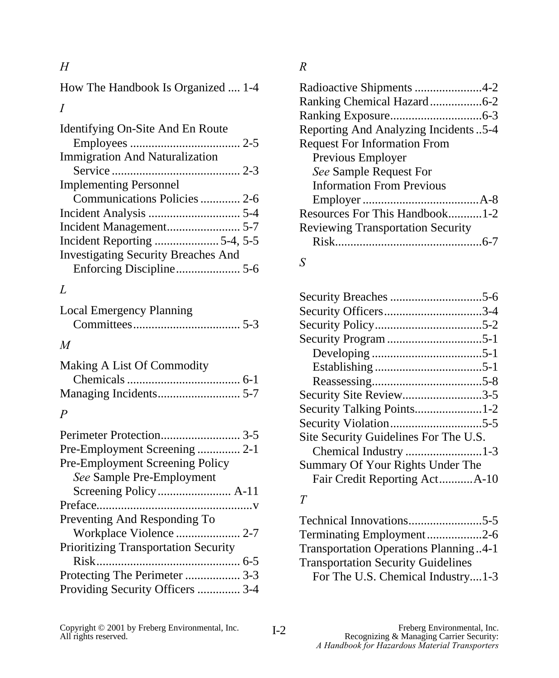*H*

How The Handbook Is Organized .... 1-4 *I*

| Identifying On-Site And En Route           |  |
|--------------------------------------------|--|
|                                            |  |
| <b>Immigration And Naturalization</b>      |  |
|                                            |  |
| <b>Implementing Personnel</b>              |  |
| Communications Policies  2-6               |  |
|                                            |  |
|                                            |  |
|                                            |  |
| <b>Investigating Security Breaches And</b> |  |
|                                            |  |
|                                            |  |

## *L*

Local Emergency Planning Committees................................... 5-3

## *M*

| Making A List Of Commodity |  |
|----------------------------|--|
|                            |  |
|                            |  |

## *P*

# *R*

| Radioactive Shipments 4-2                   |
|---------------------------------------------|
| Ranking Chemical Hazard6-2                  |
|                                             |
| <b>Reporting And Analyzing Incidents5-4</b> |
| <b>Request For Information From</b>         |
| Previous Employer                           |
| See Sample Request For                      |
| <b>Information From Previous</b>            |
|                                             |
| Resources For This Handbook1-2              |
| <b>Reviewing Transportation Security</b>    |
|                                             |
|                                             |

## *S*

| Security Officers3-4                  |  |
|---------------------------------------|--|
|                                       |  |
|                                       |  |
|                                       |  |
|                                       |  |
|                                       |  |
| Security Site Review3-5               |  |
| Security Talking Points1-2            |  |
|                                       |  |
| Site Security Guidelines For The U.S. |  |
| Chemical Industry 1-3                 |  |
| Summary Of Your Rights Under The      |  |
| Fair Credit Reporting ActA-10         |  |
|                                       |  |

## *T*

| Terminating Employment2-6             |
|---------------------------------------|
| Transportation Operations Planning4-1 |
|                                       |
| For The U.S. Chemical Industry1-3     |
|                                       |

Copyright © 2001 by Freberg Environmental, Inc. T<sub>2</sub> Freberg Environmental, Inc.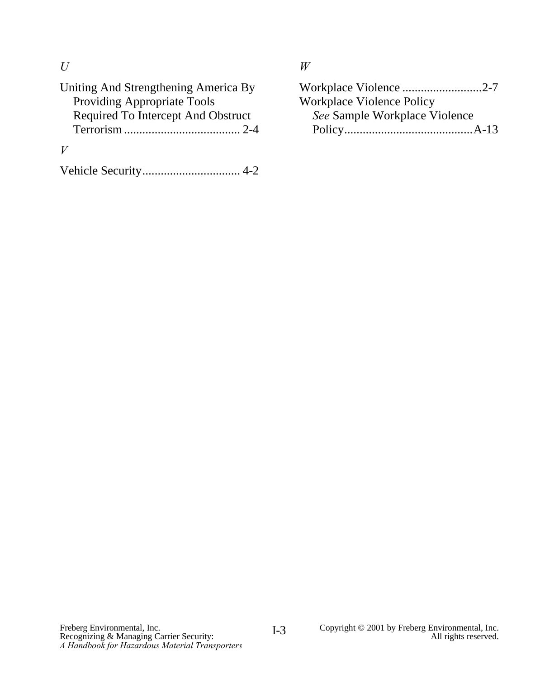*U*

| Uniting And Strengthening America By |
|--------------------------------------|
| <b>Providing Appropriate Tools</b>   |
| Required To Intercept And Obstruct   |
|                                      |
|                                      |
|                                      |

*W*